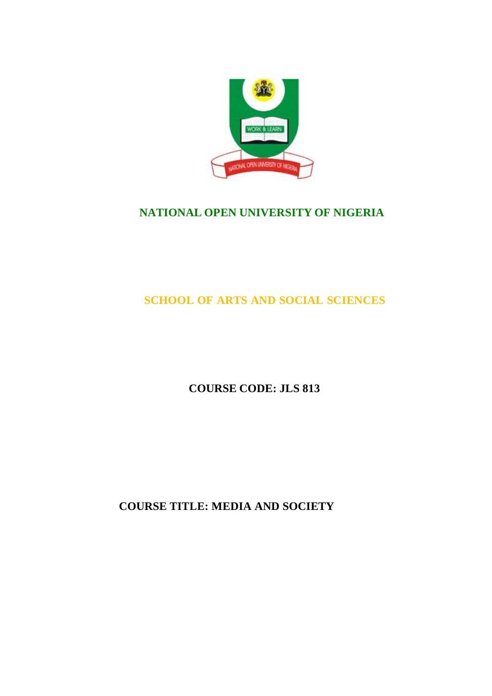

## **NATIONAL OPEN UNIVERSITY OF NIGERIA**

## **SCHOOL OF ARTS AND SOCIAL SCIENCES**

## **COURSE CODE: JLS 813**

## **COURSE TITLE: MEDIA AND SOCIETY**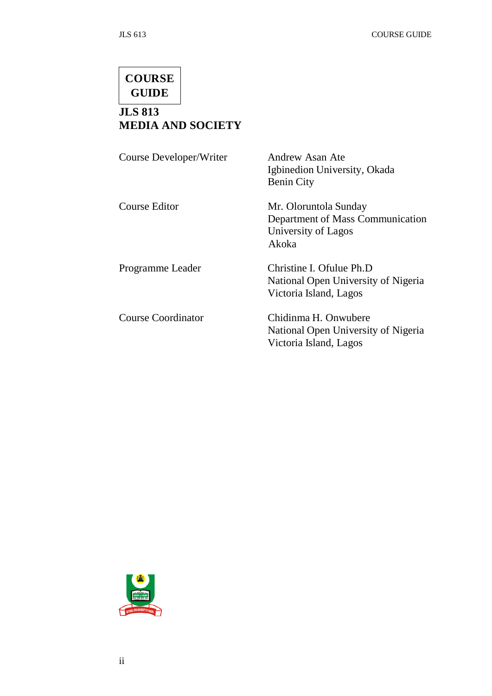# **COURSE GUIDE**

## **JLS 813 MEDIA AND SOCIETY**

| Course Developer/Writer   | Andrew Asan Ate<br>Igbinedion University, Okada<br><b>Benin City</b>                      |
|---------------------------|-------------------------------------------------------------------------------------------|
| <b>Course Editor</b>      | Mr. Oloruntola Sunday<br>Department of Mass Communication<br>University of Lagos<br>Akoka |
| Programme Leader          | Christine I. Ofulue Ph.D<br>National Open University of Nigeria<br>Victoria Island, Lagos |
| <b>Course Coordinator</b> | Chidinma H. Onwubere<br>National Open University of Nigeria<br>Victoria Island, Lagos     |

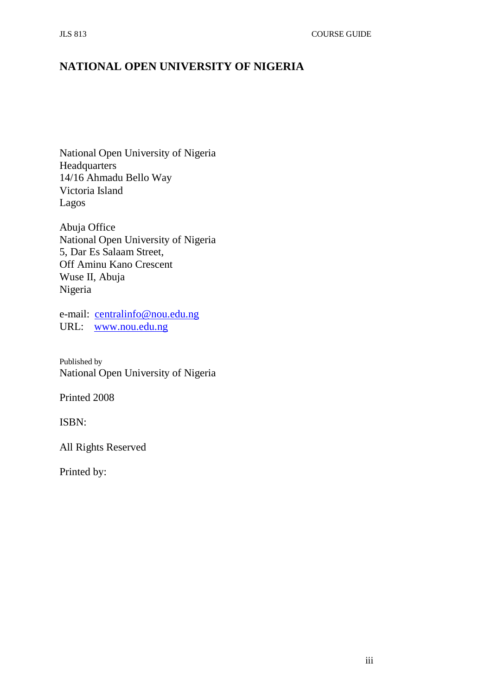## **NATIONAL OPEN UNIVERSITY OF NIGERIA**

National Open University of Nigeria Headquarters 14/16 Ahmadu Bello Way Victoria Island Lagos

Abuja Office National Open University of Nigeria 5, Dar Es Salaam Street, Off Aminu Kano Crescent Wuse II, Abuja Nigeria

e-mail: [centralinfo@nou.edu.ng](mailto:centralinfo@nou.edu.ng) URL: [www.nou.edu.ng](http://www.nou.edu.ng/)

Published by National Open University of Nigeria

Printed 2008

ISBN:

All Rights Reserved

Printed by: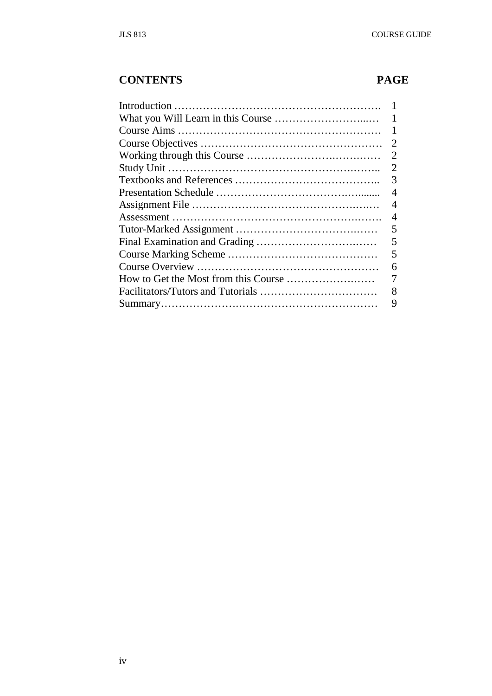## **CONTENTS PAGE**

| 1                           |
|-----------------------------|
|                             |
| $\mathcal{D}_{\mathcal{L}}$ |
| 2                           |
| 2                           |
| 3                           |
| 4                           |
| 4                           |
| 4                           |
| 5                           |
| 5                           |
| 5                           |
| 6                           |
|                             |
| 8                           |
| 9                           |
|                             |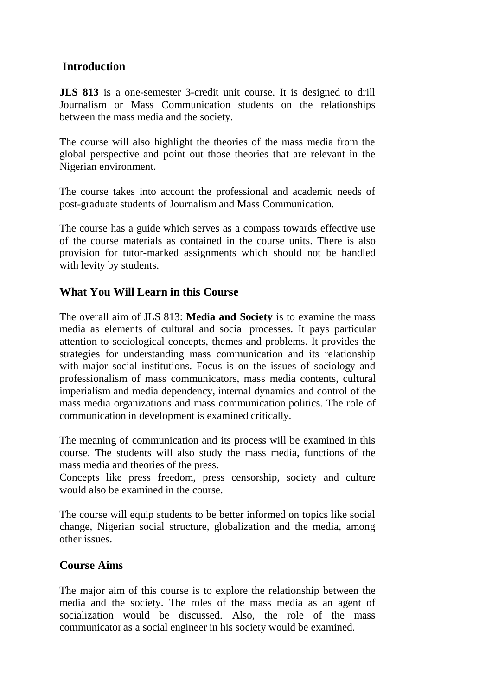#### **Introduction**

**JLS 813** is a one-semester 3-credit unit course. It is designed to drill Journalism or Mass Communication students on the relationships between the mass media and the society.

The course will also highlight the theories of the mass media from the global perspective and point out those theories that are relevant in the Nigerian environment.

The course takes into account the professional and academic needs of post-graduate students of Journalism and Mass Communication.

The course has a guide which serves as a compass towards effective use of the course materials as contained in the course units. There is also provision for tutor-marked assignments which should not be handled with levity by students.

#### **What You Will Learn in this Course**

The overall aim of JLS 813: **Media and Society** is to examine the mass media as elements of cultural and social processes. It pays particular attention to sociological concepts, themes and problems. It provides the strategies for understanding mass communication and its relationship with major social institutions. Focus is on the issues of sociology and professionalism of mass communicators, mass media contents, cultural imperialism and media dependency, internal dynamics and control of the mass media organizations and mass communication politics. The role of communication in development is examined critically.

The meaning of communication and its process will be examined in this course. The students will also study the mass media, functions of the mass media and theories of the press.

Concepts like press freedom, press censorship, society and culture would also be examined in the course.

The course will equip students to be better informed on topics like social change, Nigerian social structure, globalization and the media, among other issues.

#### **Course Aims**

The major aim of this course is to explore the relationship between the media and the society. The roles of the mass media as an agent of socialization would be discussed. Also, the role of the mass communicator as a social engineer in his society would be examined.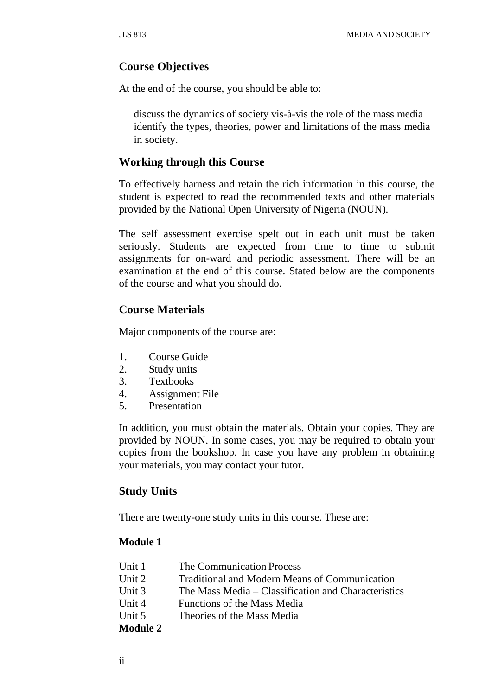#### **Course Objectives**

At the end of the course, you should be able to:

discuss the dynamics of society vis-à-vis the role of the mass media identify the types, theories, power and limitations of the mass media in society.

#### **Working through this Course**

To effectively harness and retain the rich information in this course, the student is expected to read the recommended texts and other materials provided by the National Open University of Nigeria (NOUN).

The self assessment exercise spelt out in each unit must be taken seriously. Students are expected from time to time to submit assignments for on-ward and periodic assessment. There will be an examination at the end of this course. Stated below are the components of the course and what you should do.

#### **Course Materials**

Major components of the course are:

- 1. Course Guide
- 2. Study units
- 3. Textbooks
- 4. Assignment File
- 5. Presentation

In addition, you must obtain the materials. Obtain your copies. They are provided by NOUN. In some cases, you may be required to obtain your copies from the bookshop. In case you have any problem in obtaining your materials, you may contact your tutor.

#### **Study Units**

There are twenty-one study units in this course. These are:

#### **Module 1**

| <b>Module 2</b> |                                                      |
|-----------------|------------------------------------------------------|
| Unit 5          | Theories of the Mass Media                           |
| Unit 4          | Functions of the Mass Media                          |
| Unit 3          | The Mass Media – Classification and Characteristics  |
| Unit 2          | <b>Traditional and Modern Means of Communication</b> |
| Unit 1          | The Communication Process                            |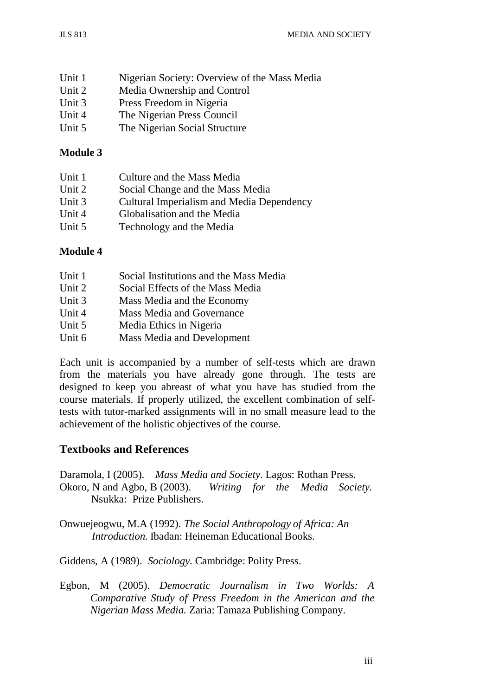| Unit 1 | Nigerian Society: Overview of the Mass Media |
|--------|----------------------------------------------|
| Unit 2 | Media Ownership and Control                  |
| Unit 3 | Press Freedom in Nigeria                     |
| Unit 4 | The Nigerian Press Council                   |
| Unit 5 | The Nigerian Social Structure                |

#### **Module 3**

| Unit 1 | Culture and the Mass Media                |
|--------|-------------------------------------------|
| Unit 2 | Social Change and the Mass Media          |
| Unit 3 | Cultural Imperialism and Media Dependency |
| Unit 4 | Globalisation and the Media               |
| Unit 5 | Technology and the Media                  |

#### **Module 4**

| Unit 1 | Social Institutions and the Mass Media |
|--------|----------------------------------------|
| Unit 2 | Social Effects of the Mass Media       |
| Unit 3 | Mass Media and the Economy             |
| Unit 4 | <b>Mass Media and Governance</b>       |
| Unit 5 | Media Ethics in Nigeria                |
| Unit 6 | <b>Mass Media and Development</b>      |

Each unit is accompanied by a number of self-tests which are drawn from the materials you have already gone through. The tests are designed to keep you abreast of what you have has studied from the course materials. If properly utilized, the excellent combination of selftests with tutor-marked assignments will in no small measure lead to the achievement of the holistic objectives of the course.

### **Textbooks and References**

Daramola, I (2005). *Mass Media and Society.* Lagos: Rothan Press. Okoro, N and Agbo, B (2003). *Writing for the Media Society.* Nsukka: Prize Publishers.

Onwuejeogwu, M.A (1992). *The Social Anthropology of Africa: An Introduction.* Ibadan: Heineman Educational Books.

Giddens, A (1989). *Sociology.* Cambridge: Polity Press.

Egbon, M (2005). *Democratic Journalism in Two Worlds: A Comparative Study of Press Freedom in the American and the Nigerian Mass Media.* Zaria: Tamaza Publishing Company.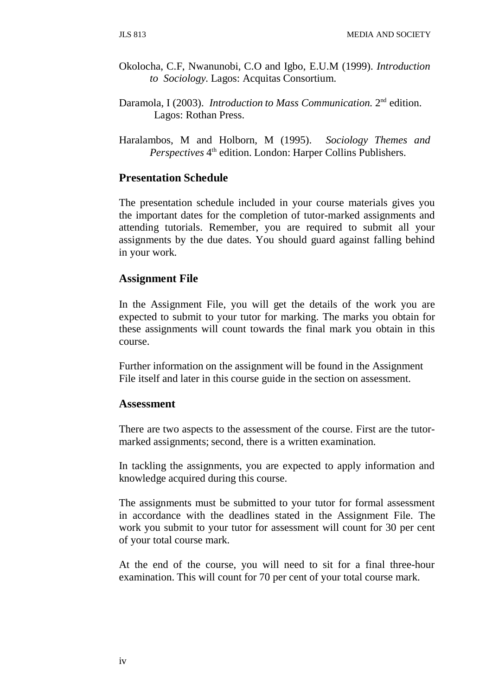- Okolocha, C.F, Nwanunobi, C.O and Igbo, E.U.M (1999). *Introduction to Sociology.* Lagos: Acquitas Consortium.
- Daramola, I (2003). *Introduction to Mass Communication.* 2nd edition. Lagos: Rothan Press.
- Haralambos, M and Holborn, M (1995). *Sociology Themes and Perspectives* 4<sup>th</sup> edition. London: Harper Collins Publishers.

#### **Presentation Schedule**

The presentation schedule included in your course materials gives you the important dates for the completion of tutor-marked assignments and attending tutorials. Remember, you are required to submit all your assignments by the due dates. You should guard against falling behind in your work.

#### **Assignment File**

In the Assignment File, you will get the details of the work you are expected to submit to your tutor for marking. The marks you obtain for these assignments will count towards the final mark you obtain in this course.

Further information on the assignment will be found in the Assignment File itself and later in this course guide in the section on assessment.

#### **Assessment**

There are two aspects to the assessment of the course. First are the tutormarked assignments; second, there is a written examination.

In tackling the assignments, you are expected to apply information and knowledge acquired during this course.

The assignments must be submitted to your tutor for formal assessment in accordance with the deadlines stated in the Assignment File. The work you submit to your tutor for assessment will count for 30 per cent of your total course mark.

At the end of the course, you will need to sit for a final three-hour examination. This will count for 70 per cent of your total course mark.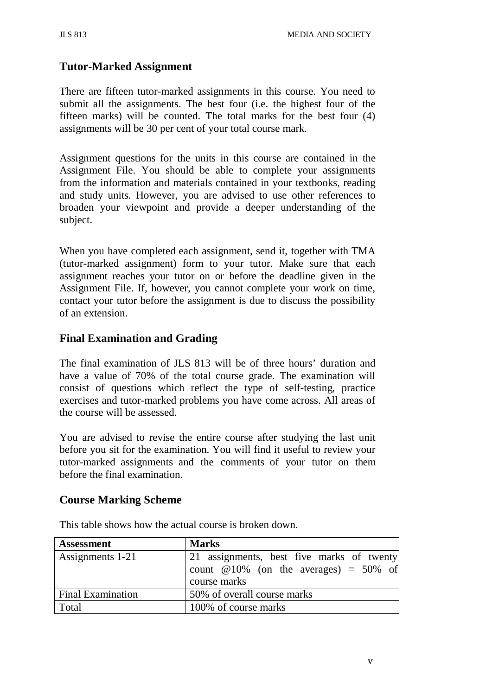### **Tutor-Marked Assignment**

There are fifteen tutor-marked assignments in this course. You need to submit all the assignments. The best four (i.e. the highest four of the fifteen marks) will be counted. The total marks for the best four (4) assignments will be 30 per cent of your total course mark.

Assignment questions for the units in this course are contained in the Assignment File. You should be able to complete your assignments from the information and materials contained in your textbooks, reading and study units. However, you are advised to use other references to broaden your viewpoint and provide a deeper understanding of the subject.

When you have completed each assignment, send it, together with TMA (tutor-marked assignment) form to your tutor. Make sure that each assignment reaches your tutor on or before the deadline given in the Assignment File. If, however, you cannot complete your work on time, contact your tutor before the assignment is due to discuss the possibility of an extension.

### **Final Examination and Grading**

The final examination of JLS 813 will be of three hours' duration and have a value of 70% of the total course grade. The examination will consist of questions which reflect the type of self-testing, practice exercises and tutor-marked problems you have come across. All areas of the course will be assessed.

You are advised to revise the entire course after studying the last unit before you sit for the examination. You will find it useful to review your tutor-marked assignments and the comments of your tutor on them before the final examination.

#### **Course Marking Scheme**

| <b>Assessment</b>        | <b>Marks</b>                              |
|--------------------------|-------------------------------------------|
| Assignments 1-21         | 21 assignments, best five marks of twenty |
|                          | count $@10\%$ (on the averages) = 50% of  |
|                          | course marks                              |
| <b>Final Examination</b> | 50% of overall course marks               |
| Total                    | 100% of course marks                      |

This table shows how the actual course is broken down.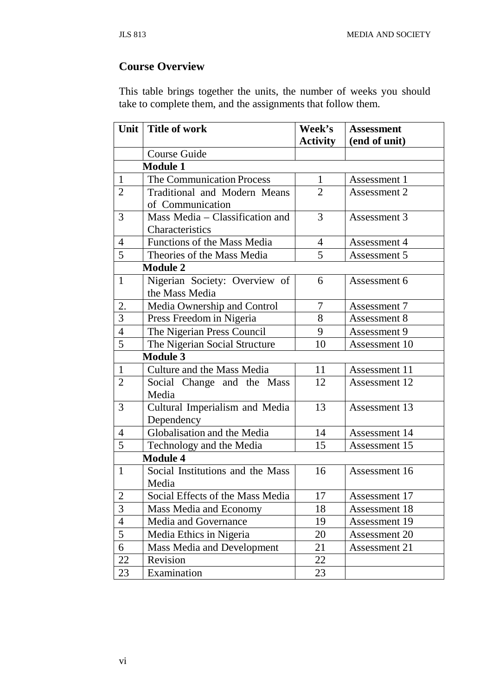## **Course Overview**

This table brings together the units, the number of weeks you should take to complete them, and the assignments that follow them.

| Unit           | <b>Title of work</b>             | Week's          | <b>Assessment</b> |
|----------------|----------------------------------|-----------------|-------------------|
|                |                                  | <b>Activity</b> | (end of unit)     |
|                | Course Guide                     |                 |                   |
|                | <b>Module 1</b>                  |                 |                   |
| $\mathbf{1}$   | The Communication Process        | $\mathbf{1}$    | Assessment 1      |
| 2              | Traditional and Modern Means     | 2               | Assessment 2      |
|                | of Communication                 |                 |                   |
| 3              | Mass Media - Classification and  | 3               | Assessment 3      |
|                | Characteristics                  |                 |                   |
| 4              | Functions of the Mass Media      | 4               | Assessment 4      |
| 5              | Theories of the Mass Media       | 5               | Assessment 5      |
|                | <b>Module 2</b>                  |                 |                   |
| $\mathbf{1}$   | Nigerian Society: Overview of    | 6               | Assessment 6      |
|                | the Mass Media                   |                 |                   |
| 2.             | Media Ownership and Control      | 7               | Assessment 7      |
| 3              | Press Freedom in Nigeria         | 8               | Assessment 8      |
| $\overline{4}$ | The Nigerian Press Council       | 9               | Assessment 9      |
| 5              | The Nigerian Social Structure    | 10              | Assessment 10     |
|                | <b>Module 3</b>                  |                 |                   |
| $\mathbf{1}$   | Culture and the Mass Media       | 11              | Assessment 11     |
| $\overline{2}$ | Social Change and the Mass       | 12              | Assessment 12     |
|                | Media                            |                 |                   |
| 3              | Cultural Imperialism and Media   | 13              | Assessment 13     |
|                | Dependency                       |                 |                   |
| 4              | Globalisation and the Media      | 14              | Assessment 14     |
| 5              | Technology and the Media         | 15              | Assessment 15     |
|                | <b>Module 4</b>                  |                 |                   |
| $\mathbf{1}$   | Social Institutions and the Mass | 16              | Assessment 16     |
|                | Media                            |                 |                   |
| $\overline{2}$ | Social Effects of the Mass Media | 17              | Assessment 17     |
| 3              | Mass Media and Economy           | 18              | Assessment 18     |
| 4              | Media and Governance             | 19              | Assessment 19     |
| 5              | Media Ethics in Nigeria          | 20              | Assessment 20     |
| 6              | Mass Media and Development       | 21              | Assessment 21     |
| 22             | Revision                         | 22              |                   |
| 23             | Examination                      | 23              |                   |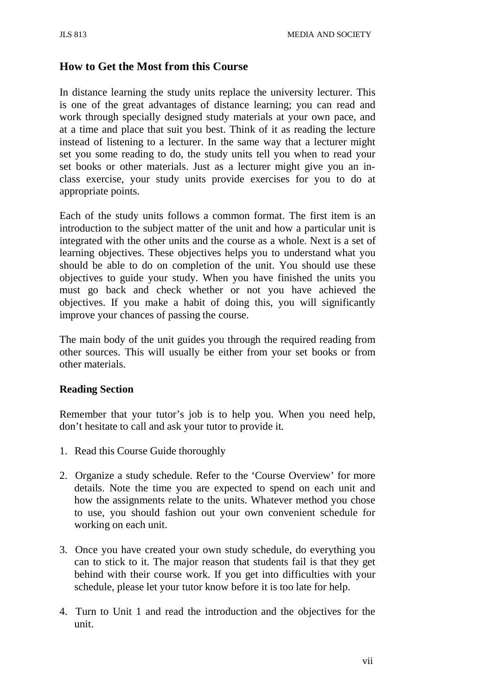#### **How to Get the Most from this Course**

In distance learning the study units replace the university lecturer. This is one of the great advantages of distance learning; you can read and work through specially designed study materials at your own pace, and at a time and place that suit you best. Think of it as reading the lecture instead of listening to a lecturer. In the same way that a lecturer might set you some reading to do, the study units tell you when to read your set books or other materials. Just as a lecturer might give you an inclass exercise, your study units provide exercises for you to do at appropriate points.

Each of the study units follows a common format. The first item is an introduction to the subject matter of the unit and how a particular unit is integrated with the other units and the course as a whole. Next is a set of learning objectives. These objectives helps you to understand what you should be able to do on completion of the unit. You should use these objectives to guide your study. When you have finished the units you must go back and check whether or not you have achieved the objectives. If you make a habit of doing this, you will significantly improve your chances of passing the course.

The main body of the unit guides you through the required reading from other sources. This will usually be either from your set books or from other materials.

#### **Reading Section**

Remember that your tutor's job is to help you. When you need help, don't hesitate to call and ask your tutor to provide it.

- 1. Read this Course Guide thoroughly
- 2. Organize a study schedule. Refer to the 'Course Overview' for more details. Note the time you are expected to spend on each unit and how the assignments relate to the units. Whatever method you chose to use, you should fashion out your own convenient schedule for working on each unit.
- 3. Once you have created your own study schedule, do everything you can to stick to it. The major reason that students fail is that they get behind with their course work. If you get into difficulties with your schedule, please let your tutor know before it is too late for help.
- 4. Turn to Unit 1 and read the introduction and the objectives for the unit.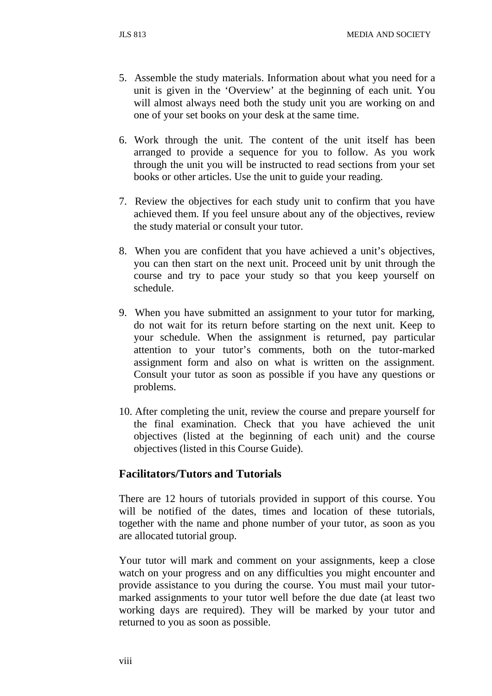- 5. Assemble the study materials. Information about what you need for a unit is given in the 'Overview' at the beginning of each unit. You will almost always need both the study unit you are working on and one of your set books on your desk at the same time.
- 6. Work through the unit. The content of the unit itself has been arranged to provide a sequence for you to follow. As you work through the unit you will be instructed to read sections from your set books or other articles. Use the unit to guide your reading.
- 7. Review the objectives for each study unit to confirm that you have achieved them. If you feel unsure about any of the objectives, review the study material or consult your tutor.
- 8. When you are confident that you have achieved a unit's objectives, you can then start on the next unit. Proceed unit by unit through the course and try to pace your study so that you keep yourself on schedule.
- 9. When you have submitted an assignment to your tutor for marking, do not wait for its return before starting on the next unit. Keep to your schedule. When the assignment is returned, pay particular attention to your tutor's comments, both on the tutor-marked assignment form and also on what is written on the assignment. Consult your tutor as soon as possible if you have any questions or problems.
- 10. After completing the unit, review the course and prepare yourself for the final examination. Check that you have achieved the unit objectives (listed at the beginning of each unit) and the course objectives (listed in this Course Guide).

#### **Facilitators/Tutors and Tutorials**

There are 12 hours of tutorials provided in support of this course. You will be notified of the dates, times and location of these tutorials, together with the name and phone number of your tutor, as soon as you are allocated tutorial group.

Your tutor will mark and comment on your assignments, keep a close watch on your progress and on any difficulties you might encounter and provide assistance to you during the course. You must mail your tutormarked assignments to your tutor well before the due date (at least two working days are required). They will be marked by your tutor and returned to you as soon as possible.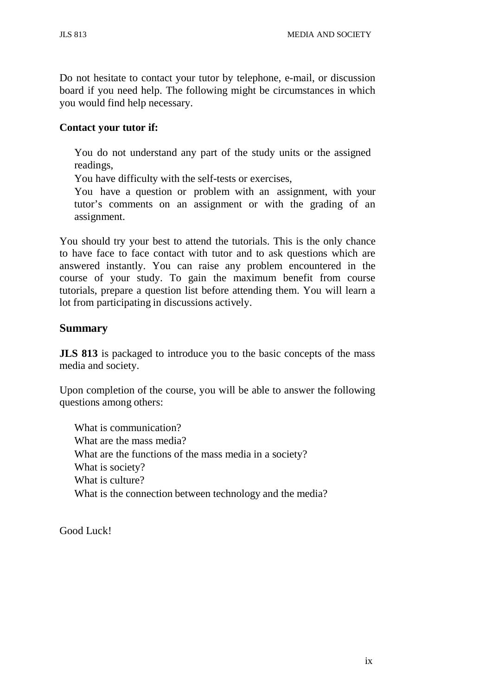Do not hesitate to contact your tutor by telephone, e-mail, or discussion board if you need help. The following might be circumstances in which you would find help necessary.

#### **Contact your tutor if:**

You do not understand any part of the study units or the assigned readings,

You have difficulty with the self-tests or exercises,

You have a question or problem with an assignment, with your tutor's comments on an assignment or with the grading of an assignment.

You should try your best to attend the tutorials. This is the only chance to have face to face contact with tutor and to ask questions which are answered instantly. You can raise any problem encountered in the course of your study. To gain the maximum benefit from course tutorials, prepare a question list before attending them. You will learn a lot from participating in discussions actively.

#### **Summary**

**JLS** 813 is packaged to introduce you to the basic concepts of the mass media and society.

Upon completion of the course, you will be able to answer the following questions among others:

What is communication? What are the mass media? What are the functions of the mass media in a society? What is society? What is culture? What is the connection between technology and the media?

Good Luck!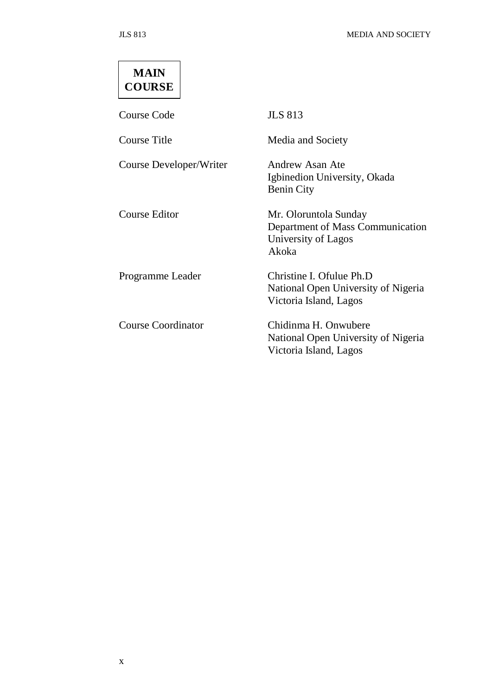# **MAIN COURSE**

Course Code JLS 813

Course Title Media and Society

Course Developer/Writer Andrew Asan Ate

Igbinedion University, Okada Benin City Course Editor Mr. Oloruntola Sunday Department of Mass Communication University of Lagos Akoka Programme Leader Christine I. Ofulue Ph.D National Open University of Nigeria Victoria Island, Lagos

Course Coordinator Chidinma H. Onwubere National Open University of Nigeria Victoria Island, Lagos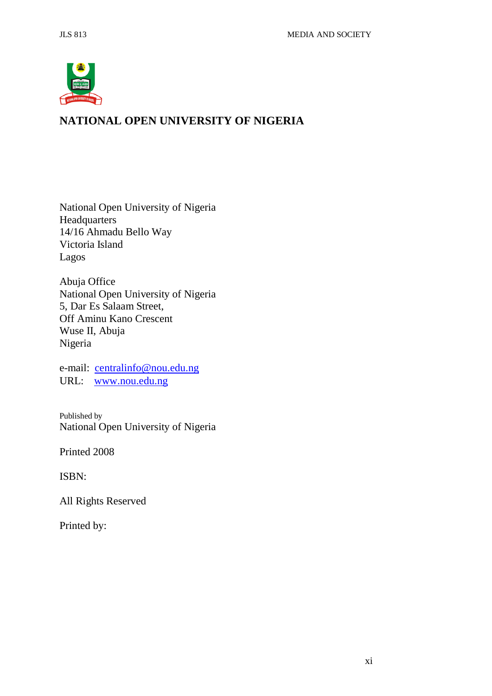

## **NATIONAL OPEN UNIVERSITY OF NIGERIA**

National Open University of Nigeria **Headquarters** 14/16 Ahmadu Bello Way Victoria Island Lagos

Abuja Office National Open University of Nigeria 5, Dar Es Salaam Street, Off Aminu Kano Crescent Wuse II, Abuja Nigeria

e-mail: [centralinfo@nou.edu.ng](mailto:centralinfo@nou.edu.ng) URL: [www.nou.edu.ng](http://www.nou.edu.ng/)

Published by National Open University of Nigeria

Printed 2008

ISBN:

All Rights Reserved

Printed by: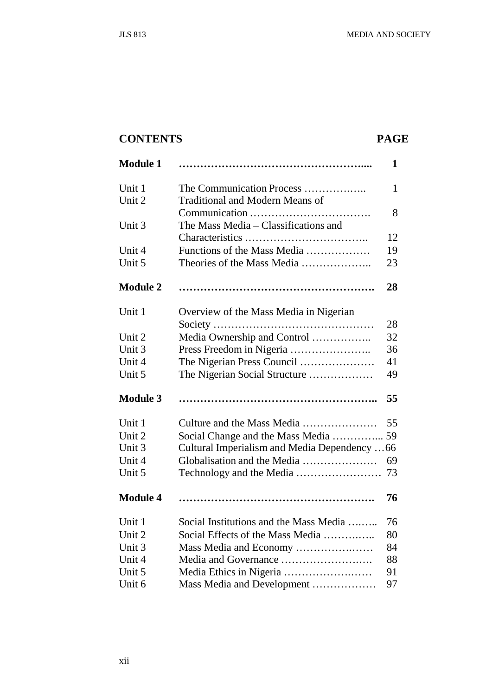## **CONTENTS PAGE**

| <b>Module 1</b> |                                              | 1            |
|-----------------|----------------------------------------------|--------------|
| Unit 1          | The Communication Process                    | $\mathbf{1}$ |
| Unit 2          | <b>Traditional and Modern Means of</b>       |              |
|                 |                                              | 8            |
| Unit 3          | The Mass Media – Classifications and         |              |
|                 |                                              | 12           |
| Unit 4          | Functions of the Mass Media                  | 19           |
| Unit 5          | Theories of the Mass Media                   | 23           |
| <b>Module 2</b> |                                              | 28           |
| Unit 1          | Overview of the Mass Media in Nigerian       |              |
|                 |                                              | 28           |
| Unit 2          | Media Ownership and Control                  | 32           |
| Unit 3          |                                              | 36           |
| Unit 4          | The Nigerian Press Council                   | 41           |
| Unit 5          | The Nigerian Social Structure                | 49           |
| <b>Module 3</b> |                                              | 55           |
| Unit 1          | Culture and the Mass Media                   | 55           |
| Unit 2          | Social Change and the Mass Media  59         |              |
| Unit 3          | Cultural Imperialism and Media Dependency 66 |              |
| Unit 4          | Globalisation and the Media                  | 69           |
| Unit 5          |                                              | 73           |
| <b>Module 4</b> |                                              | 76           |
| Unit 1          | Social Institutions and the Mass Media       | 76           |
| Unit 2          | Social Effects of the Mass Media             | 80           |
| Unit 3          | Mass Media and Economy                       | 84           |
| Unit 4          | Media and Governance                         | 88           |
| Unit 5          |                                              | 91           |
| Unit 6          | Mass Media and Development                   | 97           |
|                 |                                              |              |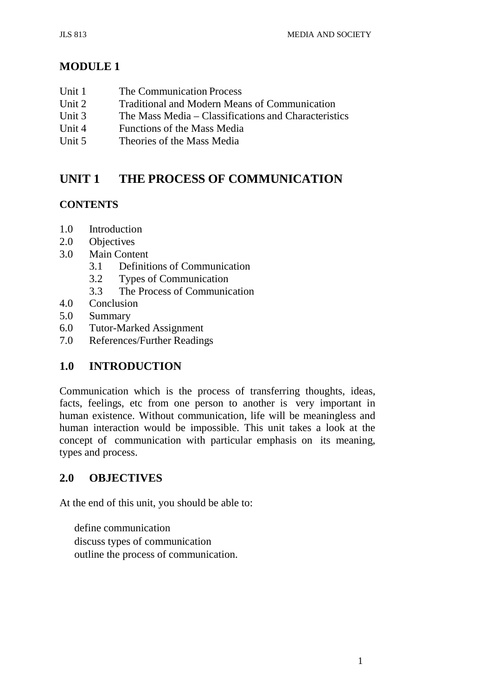## **MODULE 1**

- Unit 1 The Communication Process
- Unit 2 Traditional and Modern Means of Communication<br>Unit 3 The Mass Media Classifications and Characterist
- The Mass Media Classifications and Characteristics
- Unit 4 Functions of the Mass Media
- Unit 5 Theories of the Mass Media

## **UNIT 1 THE PROCESS OF COMMUNICATION**

## **CONTENTS**

- 1.0 Introduction
- 2.0 Objectives
- 3.0 Main Content
	- 3.1 Definitions of Communication
	- 3.2 Types of Communication
	- 3.3 The Process of Communication
- 4.0 Conclusion
- 5.0 Summary
- 6.0 Tutor-Marked Assignment
- 7.0 References/Further Readings

## **1.0 INTRODUCTION**

Communication which is the process of transferring thoughts, ideas, facts, feelings, etc from one person to another is very important in human existence. Without communication, life will be meaningless and human interaction would be impossible. This unit takes a look at the concept of communication with particular emphasis on its meaning, types and process.

## **2.0 OBJECTIVES**

At the end of this unit, you should be able to:

define communication discuss types of communication outline the process of communication.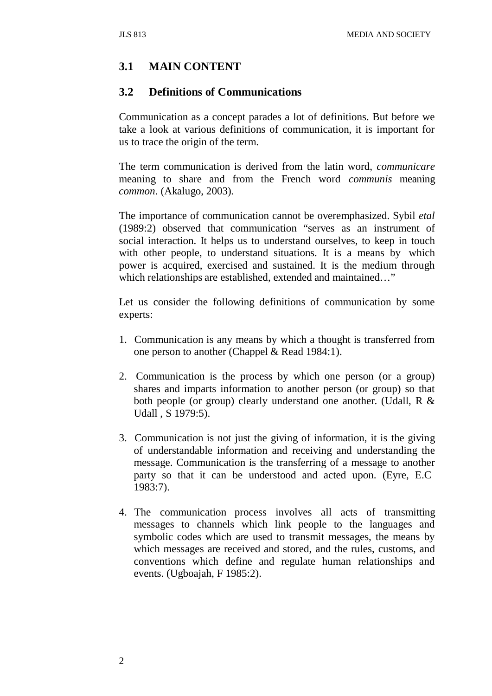## **3.1 MAIN CONTENT**

#### **3.2 Definitions of Communications**

Communication as a concept parades a lot of definitions. But before we take a look at various definitions of communication, it is important for us to trace the origin of the term.

The term communication is derived from the latin word, *communicare*  meaning to share and from the French word *communis* meaning *common*. (Akalugo, 2003).

The importance of communication cannot be overemphasized. Sybil *etal*  (1989:2) observed that communication "serves as an instrument of social interaction. It helps us to understand ourselves, to keep in touch with other people, to understand situations. It is a means by which power is acquired, exercised and sustained. It is the medium through which relationships are established, extended and maintained…"

Let us consider the following definitions of communication by some experts:

- 1. Communication is any means by which a thought is transferred from one person to another (Chappel & Read 1984:1).
- 2. Communication is the process by which one person (or a group) shares and imparts information to another person (or group) so that both people (or group) clearly understand one another. (Udall, R & Udall , S 1979:5).
- 3. Communication is not just the giving of information, it is the giving of understandable information and receiving and understanding the message. Communication is the transferring of a message to another party so that it can be understood and acted upon. (Eyre, E.C 1983:7).
- 4. The communication process involves all acts of transmitting messages to channels which link people to the languages and symbolic codes which are used to transmit messages, the means by which messages are received and stored, and the rules, customs, and conventions which define and regulate human relationships and events. (Ugboajah, F 1985:2).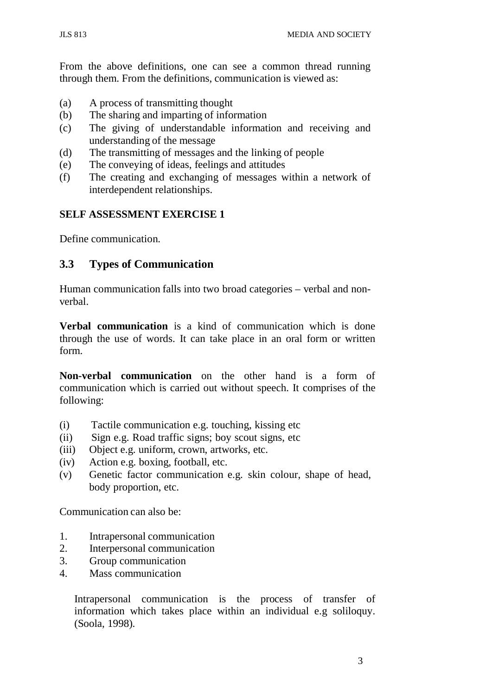From the above definitions, one can see a common thread running through them. From the definitions, communication is viewed as:

- (a) A process of transmitting thought
- (b) The sharing and imparting of information
- (c) The giving of understandable information and receiving and understanding of the message
- (d) The transmitting of messages and the linking of people
- (e) The conveying of ideas, feelings and attitudes
- (f) The creating and exchanging of messages within a network of interdependent relationships.

#### **SELF ASSESSMENT EXERCISE 1**

Define communication.

## **3.3 Types of Communication**

Human communication falls into two broad categories – verbal and nonverbal.

**Verbal communication** is a kind of communication which is done through the use of words. It can take place in an oral form or written form.

**Non-verbal communication** on the other hand is a form of communication which is carried out without speech. It comprises of the following:

- (i) Tactile communication e.g. touching, kissing etc
- (ii) Sign e.g. Road traffic signs; boy scout signs, etc
- (iii) Object e.g. uniform, crown, artworks, etc.
- (iv) Action e.g. boxing, football, etc.
- (v) Genetic factor communication e.g. skin colour, shape of head, body proportion, etc.

Communication can also be:

- 1. Intrapersonal communication
- 2. Interpersonal communication
- 3. Group communication
- 4. Mass communication

Intrapersonal communication is the process of transfer of information which takes place within an individual e.g soliloquy. (Soola, 1998).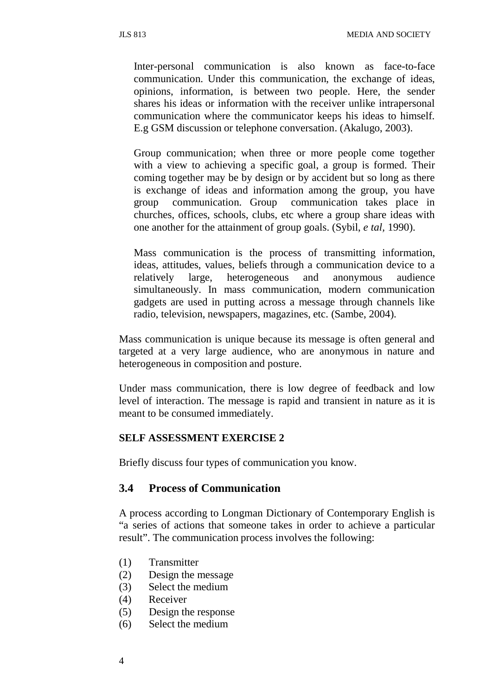Inter-personal communication is also known as face-to-face communication. Under this communication, the exchange of ideas, opinions, information, is between two people. Here, the sender shares his ideas or information with the receiver unlike intrapersonal communication where the communicator keeps his ideas to himself. E.g GSM discussion or telephone conversation. (Akalugo, 2003).

Group communication; when three or more people come together with a view to achieving a specific goal, a group is formed. Their coming together may be by design or by accident but so long as there is exchange of ideas and information among the group, you have group communication. Group communication takes place in churches, offices, schools, clubs, etc where a group share ideas with one another for the attainment of group goals. (Sybil, *e tal,* 1990).

Mass communication is the process of transmitting information, ideas, attitudes, values, beliefs through a communication device to a relatively large, heterogeneous and anonymous audience simultaneously. In mass communication, modern communication gadgets are used in putting across a message through channels like radio, television, newspapers, magazines, etc. (Sambe, 2004).

Mass communication is unique because its message is often general and targeted at a very large audience, who are anonymous in nature and heterogeneous in composition and posture.

Under mass communication, there is low degree of feedback and low level of interaction. The message is rapid and transient in nature as it is meant to be consumed immediately.

#### **SELF ASSESSMENT EXERCISE 2**

Briefly discuss four types of communication you know.

#### **3.4 Process of Communication**

A process according to Longman Dictionary of Contemporary English is "a series of actions that someone takes in order to achieve a particular result". The communication process involves the following:

- (1) Transmitter
- (2) Design the message
- (3) Select the medium
- (4) Receiver
- (5) Design the response
- (6) Select the medium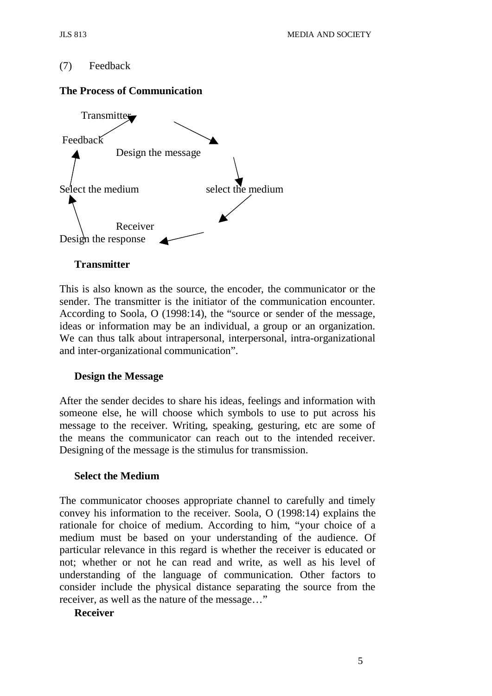#### (7) Feedback

#### **The Process of Communication**



#### **Transmitter**

This is also known as the source, the encoder, the communicator or the sender. The transmitter is the initiator of the communication encounter. According to Soola, O (1998:14), the "source or sender of the message, ideas or information may be an individual, a group or an organization. We can thus talk about intrapersonal, interpersonal, intra-organizational and inter-organizational communication".

#### **Design the Message**

After the sender decides to share his ideas, feelings and information with someone else, he will choose which symbols to use to put across his message to the receiver. Writing, speaking, gesturing, etc are some of the means the communicator can reach out to the intended receiver. Designing of the message is the stimulus for transmission.

#### **Select the Medium**

The communicator chooses appropriate channel to carefully and timely convey his information to the receiver. Soola, O (1998:14) explains the rationale for choice of medium. According to him, "your choice of a medium must be based on your understanding of the audience. Of particular relevance in this regard is whether the receiver is educated or not; whether or not he can read and write, as well as his level of understanding of the language of communication. Other factors to consider include the physical distance separating the source from the receiver, as well as the nature of the message…"

#### **Receiver**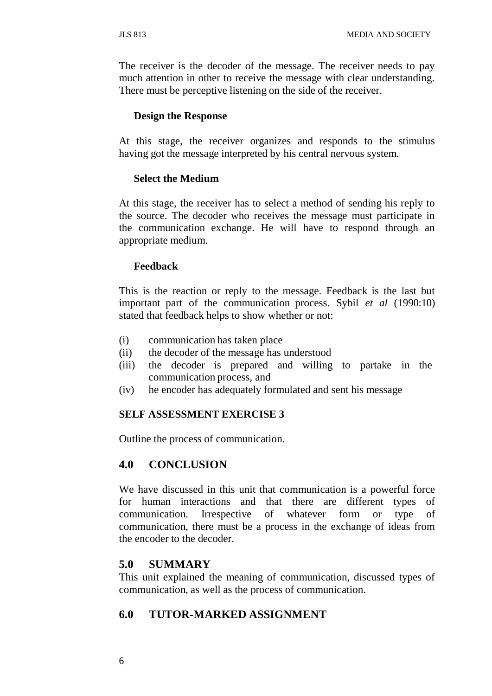The receiver is the decoder of the message. The receiver needs to pay much attention in other to receive the message with clear understanding. There must be perceptive listening on the side of the receiver.

#### **Design the Response**

At this stage, the receiver organizes and responds to the stimulus having got the message interpreted by his central nervous system.

#### **Select the Medium**

At this stage, the receiver has to select a method of sending his reply to the source. The decoder who receives the message must participate in the communication exchange. He will have to respond through an appropriate medium.

#### **Feedback**

This is the reaction or reply to the message. Feedback is the last but important part of the communication process. Sybil *et al* (1990:10) stated that feedback helps to show whether or not:

- (i) communication has taken place
- (ii) the decoder of the message has understood
- (iii) the decoder is prepared and willing to partake in the communication process, and
- (iv) he encoder has adequately formulated and sent his message

#### **SELF ASSESSMENT EXERCISE 3**

Outline the process of communication.

#### **4.0 CONCLUSION**

We have discussed in this unit that communication is a powerful force for human interactions and that there are different types of communication. Irrespective of whatever form or type of communication, there must be a process in the exchange of ideas from the encoder to the decoder.

#### **5.0 SUMMARY**

This unit explained the meaning of communication, discussed types of communication, as well as the process of communication.

#### **6.0 TUTOR-MARKED ASSIGNMENT**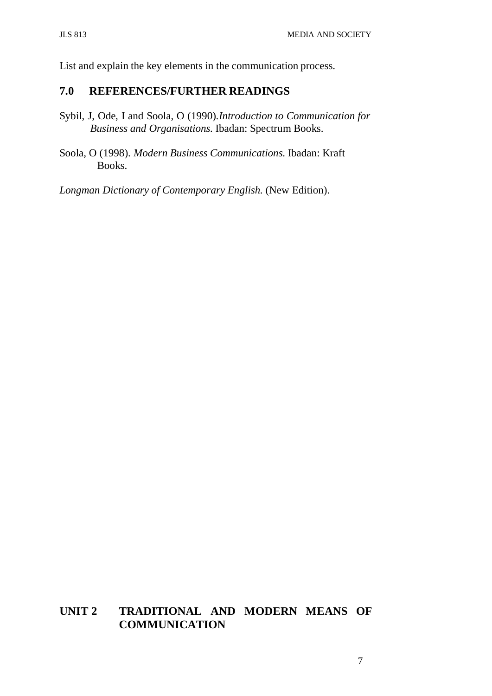List and explain the key elements in the communication process.

#### **7.0 REFERENCES/FURTHER READINGS**

- Sybil, J, Ode, I and Soola, O (1990).*Introduction to Communication for Business and Organisations.* Ibadan: Spectrum Books.
- Soola, O (1998). *Modern Business Communications.* Ibadan: Kraft Books.

*Longman Dictionary of Contemporary English.* (New Edition).

## **UNIT 2 TRADITIONAL AND MODERN MEANS OF COMMUNICATION**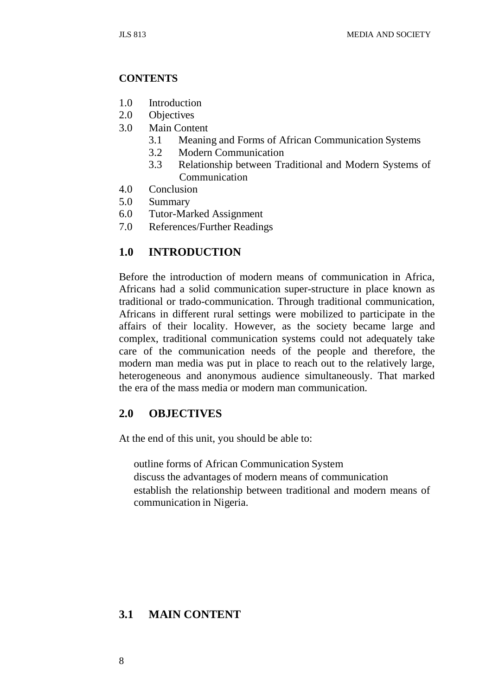#### **CONTENTS**

- 1.0 Introduction
- 2.0 Objectives
- 3.0 Main Content
	- 3.1 Meaning and Forms of African Communication Systems
	- 3.2 Modern Communication
	- 3.3 Relationship between Traditional and Modern Systems of Communication
- 4.0 Conclusion
- 5.0 Summary
- 6.0 Tutor-Marked Assignment
- 7.0 References/Further Readings

#### **1.0 INTRODUCTION**

Before the introduction of modern means of communication in Africa, Africans had a solid communication super-structure in place known as traditional or trado-communication. Through traditional communication, Africans in different rural settings were mobilized to participate in the affairs of their locality. However, as the society became large and complex, traditional communication systems could not adequately take care of the communication needs of the people and therefore, the modern man media was put in place to reach out to the relatively large, heterogeneous and anonymous audience simultaneously. That marked the era of the mass media or modern man communication.

#### **2.0 OBJECTIVES**

At the end of this unit, you should be able to:

outline forms of African Communication System discuss the advantages of modern means of communication establish the relationship between traditional and modern means of communication in Nigeria.

### **3.1 MAIN CONTENT**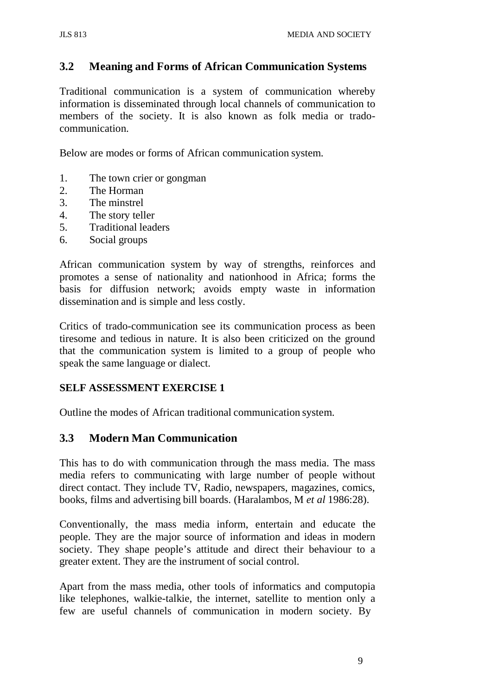## **3.2 Meaning and Forms of African Communication Systems**

Traditional communication is a system of communication whereby information is disseminated through local channels of communication to members of the society. It is also known as folk media or tradocommunication.

Below are modes or forms of African communication system.

- 1. The town crier or gongman
- 2. The Horman
- 3. The minstrel
- 4. The story teller
- 5. Traditional leaders
- 6. Social groups

African communication system by way of strengths, reinforces and promotes a sense of nationality and nationhood in Africa; forms the basis for diffusion network; avoids empty waste in information dissemination and is simple and less costly.

Critics of trado-communication see its communication process as been tiresome and tedious in nature. It is also been criticized on the ground that the communication system is limited to a group of people who speak the same language or dialect.

#### **SELF ASSESSMENT EXERCISE 1**

Outline the modes of African traditional communication system.

#### **3.3 Modern Man Communication**

This has to do with communication through the mass media. The mass media refers to communicating with large number of people without direct contact. They include TV, Radio, newspapers, magazines, comics, books, films and advertising bill boards. (Haralambos, M *et al* 1986:28).

Conventionally, the mass media inform, entertain and educate the people. They are the major source of information and ideas in modern society. They shape people's attitude and direct their behaviour to a greater extent. They are the instrument of social control.

Apart from the mass media, other tools of informatics and computopia like telephones, walkie-talkie, the internet, satellite to mention only a few are useful channels of communication in modern society. By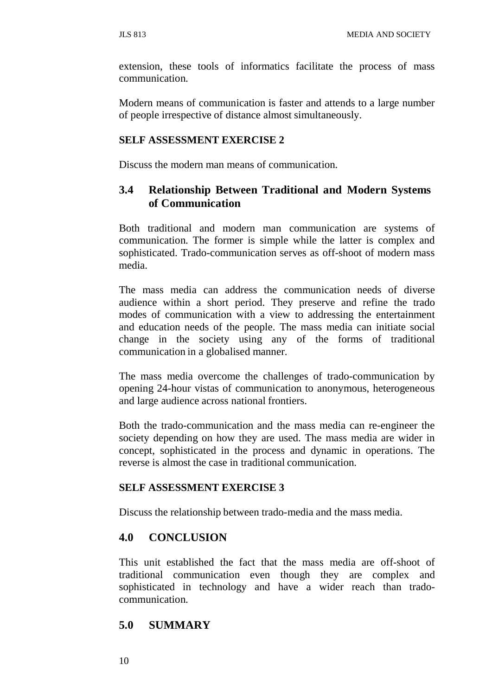extension, these tools of informatics facilitate the process of mass communication.

Modern means of communication is faster and attends to a large number of people irrespective of distance almost simultaneously.

#### **SELF ASSESSMENT EXERCISE 2**

Discuss the modern man means of communication.

#### **3.4 Relationship Between Traditional and Modern Systems of Communication**

Both traditional and modern man communication are systems of communication. The former is simple while the latter is complex and sophisticated. Trado-communication serves as off-shoot of modern mass media.

The mass media can address the communication needs of diverse audience within a short period. They preserve and refine the trado modes of communication with a view to addressing the entertainment and education needs of the people. The mass media can initiate social change in the society using any of the forms of traditional communication in a globalised manner.

The mass media overcome the challenges of trado-communication by opening 24-hour vistas of communication to anonymous, heterogeneous and large audience across national frontiers.

Both the trado-communication and the mass media can re-engineer the society depending on how they are used. The mass media are wider in concept, sophisticated in the process and dynamic in operations. The reverse is almost the case in traditional communication.

#### **SELF ASSESSMENT EXERCISE 3**

Discuss the relationship between trado-media and the mass media.

#### **4.0 CONCLUSION**

This unit established the fact that the mass media are off-shoot of traditional communication even though they are complex and sophisticated in technology and have a wider reach than tradocommunication.

#### **5.0 SUMMARY**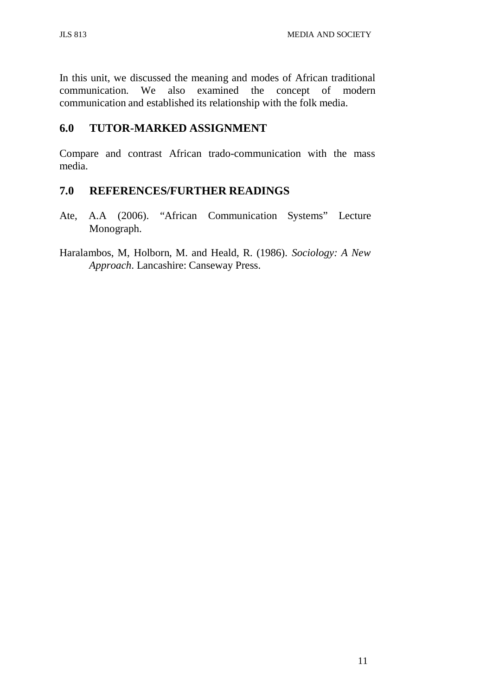In this unit, we discussed the meaning and modes of African traditional communication. We also examined the concept of modern communication and established its relationship with the folk media.

#### **6.0 TUTOR-MARKED ASSIGNMENT**

Compare and contrast African trado-communication with the mass media.

#### **7.0 REFERENCES/FURTHER READINGS**

- Ate, A.A (2006). "African Communication Systems" Lecture Monograph.
- Haralambos, M, Holborn, M. and Heald, R. (1986). *Sociology: A New Approach*. Lancashire: Canseway Press.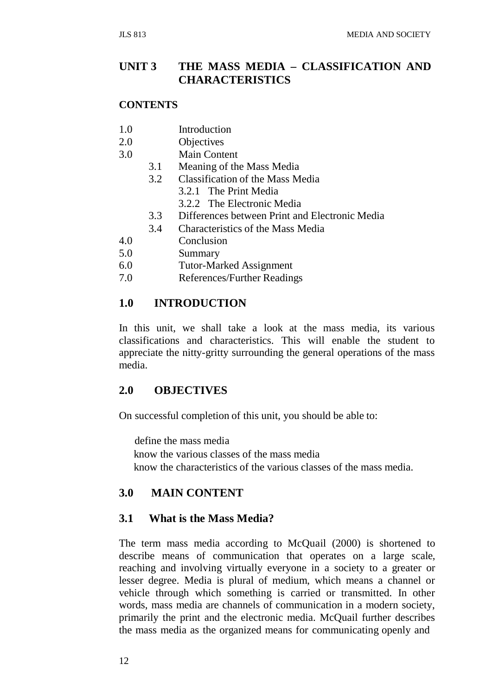#### **UNIT 3 THE MASS MEDIA – CLASSIFICATION AND CHARACTERISTICS**

#### **CONTENTS**

- 1.0 Introduction
- 2.0 Objectives
- 3.0 Main Content
	- 3.1 Meaning of the Mass Media
	- 3.2 Classification of the Mass Media
		- 3.2.1 The Print Media
		- 3.2.2 The Electronic Media
	- 3.3 Differences between Print and Electronic Media
	- 3.4 Characteristics of the Mass Media
- 4.0 Conclusion
- 5.0 Summary
- 6.0 Tutor-Marked Assignment
- 7.0 References/Further Readings

#### **1.0 INTRODUCTION**

In this unit, we shall take a look at the mass media, its various classifications and characteristics. This will enable the student to appreciate the nitty-gritty surrounding the general operations of the mass media.

#### **2.0 OBJECTIVES**

On successful completion of this unit, you should be able to:

define the mass media know the various classes of the mass media know the characteristics of the various classes of the mass media.

#### **3.0 MAIN CONTENT**

#### **3.1 What is the Mass Media?**

The term mass media according to McQuail (2000) is shortened to describe means of communication that operates on a large scale, reaching and involving virtually everyone in a society to a greater or lesser degree. Media is plural of medium, which means a channel or vehicle through which something is carried or transmitted. In other words, mass media are channels of communication in a modern society, primarily the print and the electronic media. McQuail further describes the mass media as the organized means for communicating openly and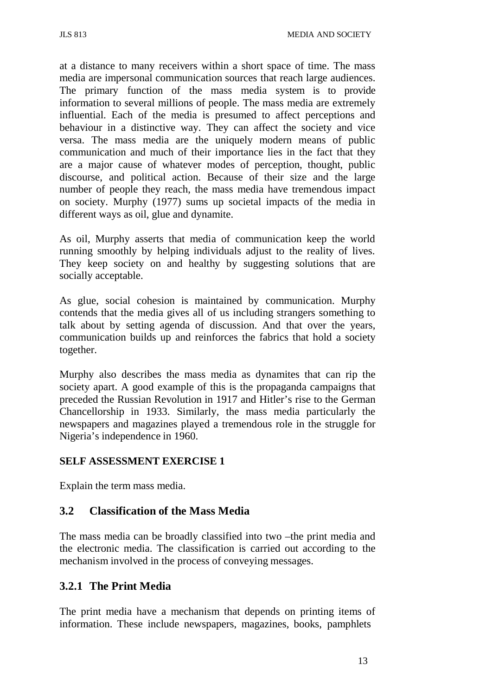at a distance to many receivers within a short space of time. The mass media are impersonal communication sources that reach large audiences. The primary function of the mass media system is to provide information to several millions of people. The mass media are extremely influential. Each of the media is presumed to affect perceptions and behaviour in a distinctive way. They can affect the society and vice versa. The mass media are the uniquely modern means of public communication and much of their importance lies in the fact that they are a major cause of whatever modes of perception, thought, public discourse, and political action. Because of their size and the large number of people they reach, the mass media have tremendous impact on society. Murphy (1977) sums up societal impacts of the media in different ways as oil, glue and dynamite.

As oil, Murphy asserts that media of communication keep the world running smoothly by helping individuals adjust to the reality of lives. They keep society on and healthy by suggesting solutions that are socially acceptable.

As glue, social cohesion is maintained by communication. Murphy contends that the media gives all of us including strangers something to talk about by setting agenda of discussion. And that over the years, communication builds up and reinforces the fabrics that hold a society together.

Murphy also describes the mass media as dynamites that can rip the society apart. A good example of this is the propaganda campaigns that preceded the Russian Revolution in 1917 and Hitler's rise to the German Chancellorship in 1933. Similarly, the mass media particularly the newspapers and magazines played a tremendous role in the struggle for Nigeria's independence in 1960.

#### **SELF ASSESSMENT EXERCISE 1**

Explain the term mass media.

### **3.2 Classification of the Mass Media**

The mass media can be broadly classified into two –the print media and the electronic media. The classification is carried out according to the mechanism involved in the process of conveying messages.

### **3.2.1 The Print Media**

The print media have a mechanism that depends on printing items of information. These include newspapers, magazines, books, pamphlets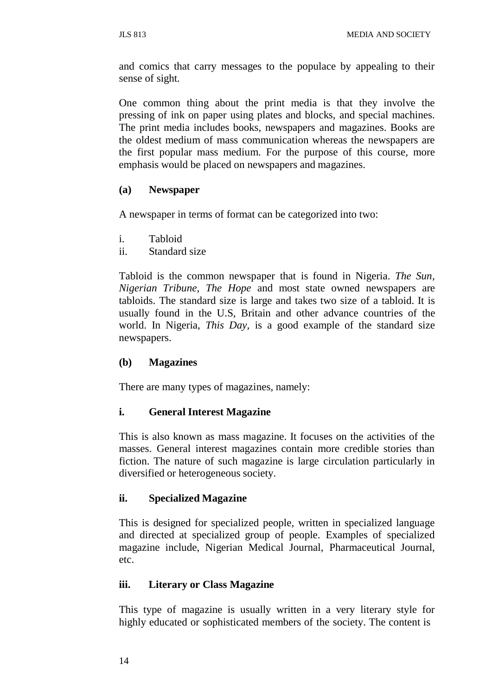and comics that carry messages to the populace by appealing to their sense of sight.

One common thing about the print media is that they involve the pressing of ink on paper using plates and blocks, and special machines. The print media includes books, newspapers and magazines. Books are the oldest medium of mass communication whereas the newspapers are the first popular mass medium. For the purpose of this course, more emphasis would be placed on newspapers and magazines.

#### **(a) Newspaper**

A newspaper in terms of format can be categorized into two:

- i. Tabloid
- ii. Standard size

Tabloid is the common newspaper that is found in Nigeria. *The Sun, Nigerian Tribune, The Hope* and most state owned newspapers are tabloids. The standard size is large and takes two size of a tabloid. It is usually found in the U.S, Britain and other advance countries of the world. In Nigeria, *This Day,* is a good example of the standard size newspapers.

#### **(b) Magazines**

There are many types of magazines, namely:

#### **i. General Interest Magazine**

This is also known as mass magazine. It focuses on the activities of the masses. General interest magazines contain more credible stories than fiction. The nature of such magazine is large circulation particularly in diversified or heterogeneous society.

#### **ii. Specialized Magazine**

This is designed for specialized people, written in specialized language and directed at specialized group of people. Examples of specialized magazine include, Nigerian Medical Journal, Pharmaceutical Journal, etc.

#### **iii. Literary or Class Magazine**

This type of magazine is usually written in a very literary style for highly educated or sophisticated members of the society. The content is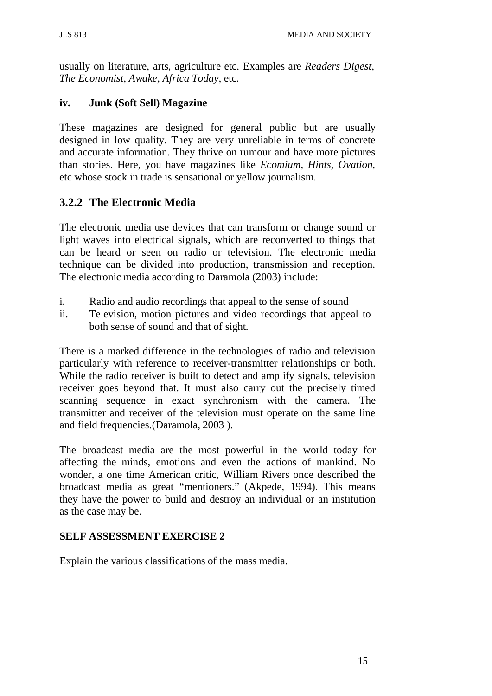usually on literature, arts, agriculture etc. Examples are *Readers Digest, The Economist, Awake, Africa Today,* etc.

#### **iv. Junk (Soft Sell) Magazine**

These magazines are designed for general public but are usually designed in low quality. They are very unreliable in terms of concrete and accurate information. They thrive on rumour and have more pictures than stories. Here, you have magazines like *Ecomium, Hints, Ovation,*  etc whose stock in trade is sensational or yellow journalism.

## **3.2.2 The Electronic Media**

The electronic media use devices that can transform or change sound or light waves into electrical signals, which are reconverted to things that can be heard or seen on radio or television. The electronic media technique can be divided into production, transmission and reception. The electronic media according to Daramola (2003) include:

- i. Radio and audio recordings that appeal to the sense of sound
- ii. Television, motion pictures and video recordings that appeal to both sense of sound and that of sight.

There is a marked difference in the technologies of radio and television particularly with reference to receiver-transmitter relationships or both. While the radio receiver is built to detect and amplify signals, television receiver goes beyond that. It must also carry out the precisely timed scanning sequence in exact synchronism with the camera. The transmitter and receiver of the television must operate on the same line and field frequencies.(Daramola, 2003 ).

The broadcast media are the most powerful in the world today for affecting the minds, emotions and even the actions of mankind. No wonder, a one time American critic, William Rivers once described the broadcast media as great "mentioners." (Akpede, 1994). This means they have the power to build and destroy an individual or an institution as the case may be.

### **SELF ASSESSMENT EXERCISE 2**

Explain the various classifications of the mass media.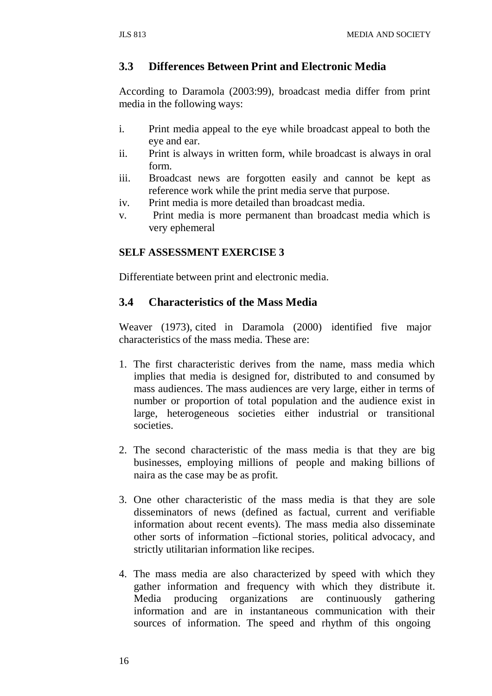#### **3.3 Differences Between Print and Electronic Media**

According to Daramola (2003:99), broadcast media differ from print media in the following ways:

- i. Print media appeal to the eye while broadcast appeal to both the eye and ear.
- ii. Print is always in written form, while broadcast is always in oral form.
- iii. Broadcast news are forgotten easily and cannot be kept as reference work while the print media serve that purpose.
- iv. Print media is more detailed than broadcast media.
- v. Print media is more permanent than broadcast media which is very ephemeral

#### **SELF ASSESSMENT EXERCISE 3**

Differentiate between print and electronic media.

### **3.4 Characteristics of the Mass Media**

Weaver (1973), cited in Daramola (2000) identified five major characteristics of the mass media. These are:

- 1. The first characteristic derives from the name, mass media which implies that media is designed for, distributed to and consumed by mass audiences. The mass audiences are very large, either in terms of number or proportion of total population and the audience exist in large, heterogeneous societies either industrial or transitional societies.
- 2. The second characteristic of the mass media is that they are big businesses, employing millions of people and making billions of naira as the case may be as profit.
- 3. One other characteristic of the mass media is that they are sole disseminators of news (defined as factual, current and verifiable information about recent events). The mass media also disseminate other sorts of information –fictional stories, political advocacy, and strictly utilitarian information like recipes.
- 4. The mass media are also characterized by speed with which they gather information and frequency with which they distribute it. Media producing organizations are continuously gathering information and are in instantaneous communication with their sources of information. The speed and rhythm of this ongoing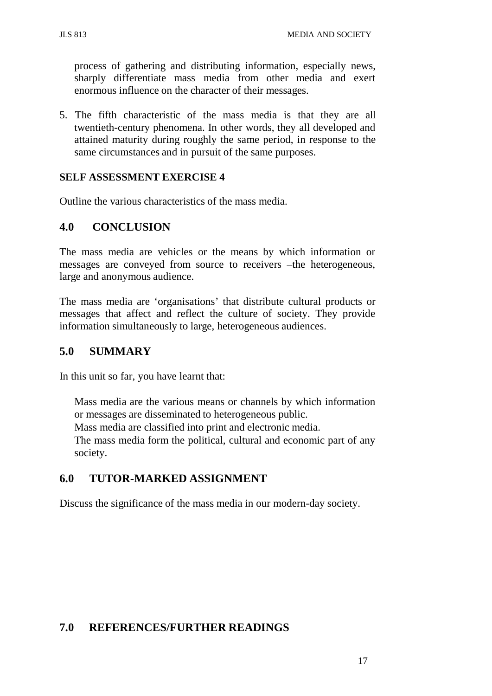process of gathering and distributing information, especially news, sharply differentiate mass media from other media and exert enormous influence on the character of their messages.

5. The fifth characteristic of the mass media is that they are all twentieth-century phenomena. In other words, they all developed and attained maturity during roughly the same period, in response to the same circumstances and in pursuit of the same purposes.

#### **SELF ASSESSMENT EXERCISE 4**

Outline the various characteristics of the mass media.

### **4.0 CONCLUSION**

The mass media are vehicles or the means by which information or messages are conveyed from source to receivers –the heterogeneous, large and anonymous audience.

The mass media are 'organisations' that distribute cultural products or messages that affect and reflect the culture of society. They provide information simultaneously to large, heterogeneous audiences.

#### **5.0 SUMMARY**

In this unit so far, you have learnt that:

Mass media are the various means or channels by which information or messages are disseminated to heterogeneous public.

Mass media are classified into print and electronic media.

The mass media form the political, cultural and economic part of any society.

## **6.0 TUTOR-MARKED ASSIGNMENT**

Discuss the significance of the mass media in our modern-day society.

### **7.0 REFERENCES/FURTHER READINGS**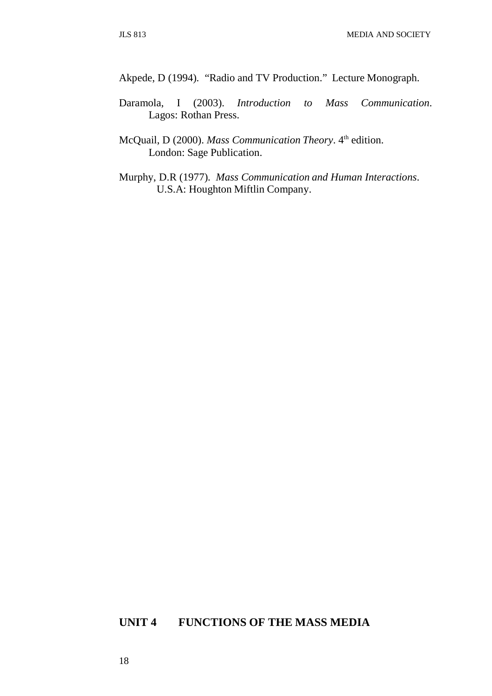Akpede, D (1994). "Radio and TV Production." Lecture Monograph.

- Daramola, I (2003). *Introduction to Mass Communication*. Lagos: Rothan Press.
- McQuail, D (2000). *Mass Communication Theory*. 4<sup>th</sup> edition. London: Sage Publication.
- Murphy, D.R (1977). *Mass Communication and Human Interactions*. U.S.A: Houghton Miftlin Company.

#### **UNIT 4 FUNCTIONS OF THE MASS MEDIA**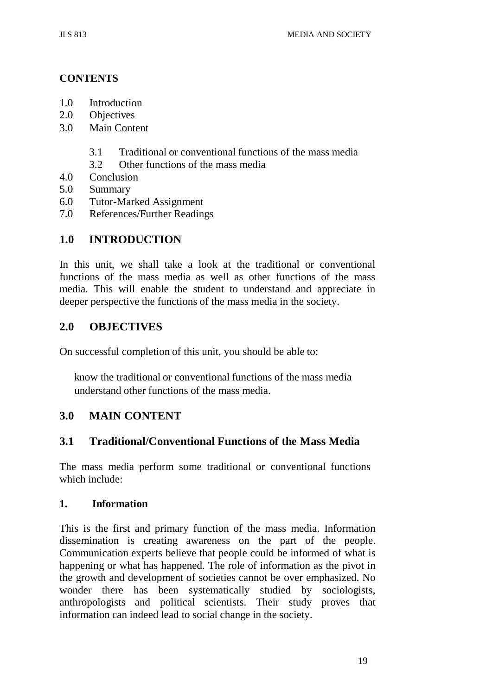#### **CONTENTS**

- 1.0 Introduction
- 2.0 Objectives
- 3.0 Main Content
	- 3.1 Traditional or conventional functions of the mass media
	- 3.2 Other functions of the mass media
- 4.0 Conclusion
- 5.0 Summary
- 6.0 Tutor-Marked Assignment
- 7.0 References/Further Readings

#### **1.0 INTRODUCTION**

In this unit, we shall take a look at the traditional or conventional functions of the mass media as well as other functions of the mass media. This will enable the student to understand and appreciate in deeper perspective the functions of the mass media in the society.

#### **2.0 OBJECTIVES**

On successful completion of this unit, you should be able to:

know the traditional or conventional functions of the mass media understand other functions of the mass media.

#### **3.0 MAIN CONTENT**

### **3.1 Traditional/Conventional Functions of the Mass Media**

The mass media perform some traditional or conventional functions which include:

#### **1. Information**

This is the first and primary function of the mass media. Information dissemination is creating awareness on the part of the people. Communication experts believe that people could be informed of what is happening or what has happened. The role of information as the pivot in the growth and development of societies cannot be over emphasized. No wonder there has been systematically studied by sociologists, anthropologists and political scientists. Their study proves that information can indeed lead to social change in the society.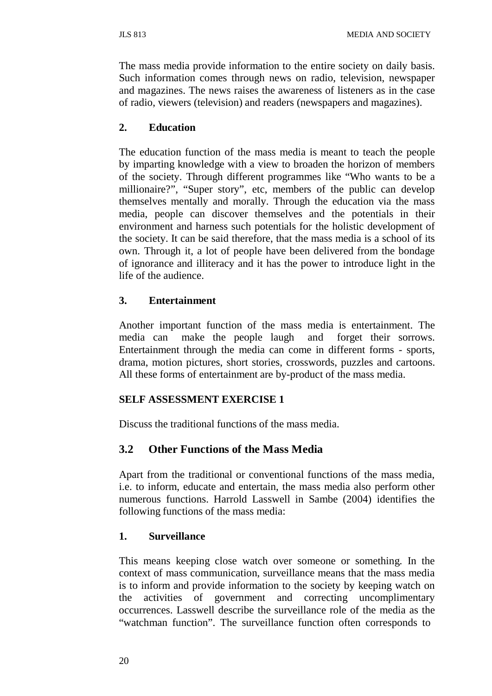The mass media provide information to the entire society on daily basis. Such information comes through news on radio, television, newspaper and magazines. The news raises the awareness of listeners as in the case of radio, viewers (television) and readers (newspapers and magazines).

#### **2. Education**

The education function of the mass media is meant to teach the people by imparting knowledge with a view to broaden the horizon of members of the society. Through different programmes like "Who wants to be a millionaire?", "Super story", etc, members of the public can develop themselves mentally and morally. Through the education via the mass media, people can discover themselves and the potentials in their environment and harness such potentials for the holistic development of the society. It can be said therefore, that the mass media is a school of its own. Through it, a lot of people have been delivered from the bondage of ignorance and illiteracy and it has the power to introduce light in the life of the audience.

#### **3. Entertainment**

Another important function of the mass media is entertainment. The media can make the people laugh and forget their sorrows. Entertainment through the media can come in different forms - sports, drama, motion pictures, short stories, crosswords, puzzles and cartoons. All these forms of entertainment are by-product of the mass media.

#### **SELF ASSESSMENT EXERCISE 1**

Discuss the traditional functions of the mass media.

### **3.2 Other Functions of the Mass Media**

Apart from the traditional or conventional functions of the mass media, i.e. to inform, educate and entertain, the mass media also perform other numerous functions. Harrold Lasswell in Sambe (2004) identifies the following functions of the mass media:

#### **1. Surveillance**

This means keeping close watch over someone or something. In the context of mass communication, surveillance means that the mass media is to inform and provide information to the society by keeping watch on the activities of government and correcting uncomplimentary occurrences. Lasswell describe the surveillance role of the media as the "watchman function". The surveillance function often corresponds to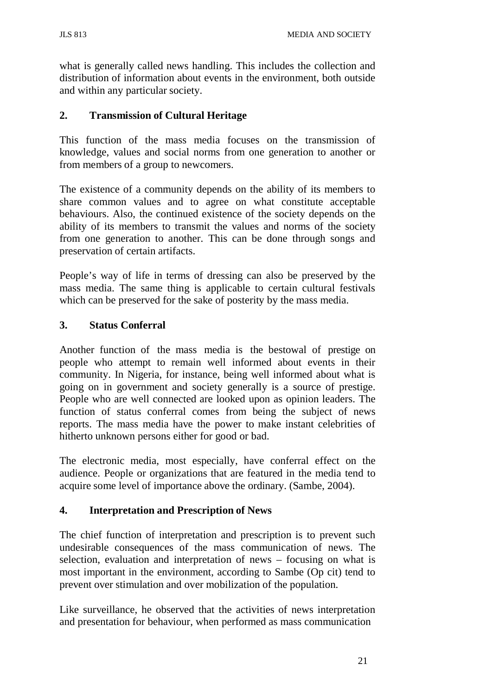what is generally called news handling. This includes the collection and distribution of information about events in the environment, both outside and within any particular society.

## **2. Transmission of Cultural Heritage**

This function of the mass media focuses on the transmission of knowledge, values and social norms from one generation to another or from members of a group to newcomers.

The existence of a community depends on the ability of its members to share common values and to agree on what constitute acceptable behaviours. Also, the continued existence of the society depends on the ability of its members to transmit the values and norms of the society from one generation to another. This can be done through songs and preservation of certain artifacts.

People's way of life in terms of dressing can also be preserved by the mass media. The same thing is applicable to certain cultural festivals which can be preserved for the sake of posterity by the mass media.

## **3. Status Conferral**

Another function of the mass media is the bestowal of prestige on people who attempt to remain well informed about events in their community. In Nigeria, for instance, being well informed about what is going on in government and society generally is a source of prestige. People who are well connected are looked upon as opinion leaders. The function of status conferral comes from being the subject of news reports. The mass media have the power to make instant celebrities of hitherto unknown persons either for good or bad.

The electronic media, most especially, have conferral effect on the audience. People or organizations that are featured in the media tend to acquire some level of importance above the ordinary. (Sambe, 2004).

## **4. Interpretation and Prescription of News**

The chief function of interpretation and prescription is to prevent such undesirable consequences of the mass communication of news. The selection, evaluation and interpretation of news – focusing on what is most important in the environment, according to Sambe (Op cit) tend to prevent over stimulation and over mobilization of the population.

Like surveillance, he observed that the activities of news interpretation and presentation for behaviour, when performed as mass communication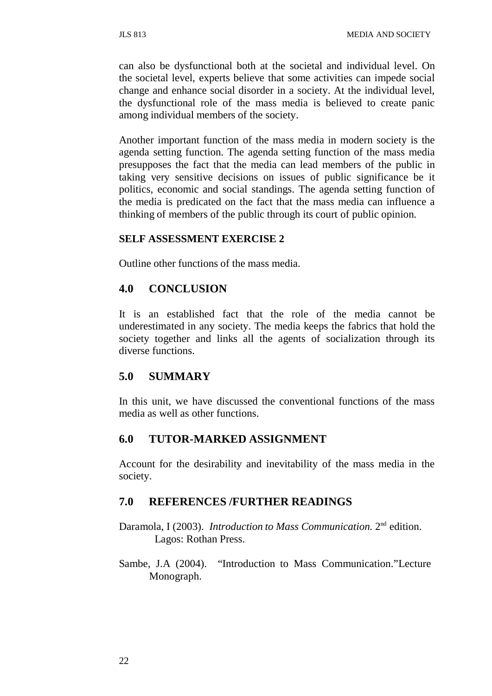can also be dysfunctional both at the societal and individual level. On the societal level, experts believe that some activities can impede social change and enhance social disorder in a society. At the individual level, the dysfunctional role of the mass media is believed to create panic among individual members of the society.

Another important function of the mass media in modern society is the agenda setting function. The agenda setting function of the mass media presupposes the fact that the media can lead members of the public in taking very sensitive decisions on issues of public significance be it politics, economic and social standings. The agenda setting function of the media is predicated on the fact that the mass media can influence a thinking of members of the public through its court of public opinion.

#### **SELF ASSESSMENT EXERCISE 2**

Outline other functions of the mass media.

## **4.0 CONCLUSION**

It is an established fact that the role of the media cannot be underestimated in any society. The media keeps the fabrics that hold the society together and links all the agents of socialization through its diverse functions.

## **5.0 SUMMARY**

In this unit, we have discussed the conventional functions of the mass media as well as other functions.

## **6.0 TUTOR-MARKED ASSIGNMENT**

Account for the desirability and inevitability of the mass media in the society.

#### **7.0 REFERENCES /FURTHER READINGS**

- Daramola, I (2003). *Introduction to Mass Communication.* 2nd edition. Lagos: Rothan Press.
- Sambe, J.A (2004). "Introduction to Mass Communication."Lecture Monograph.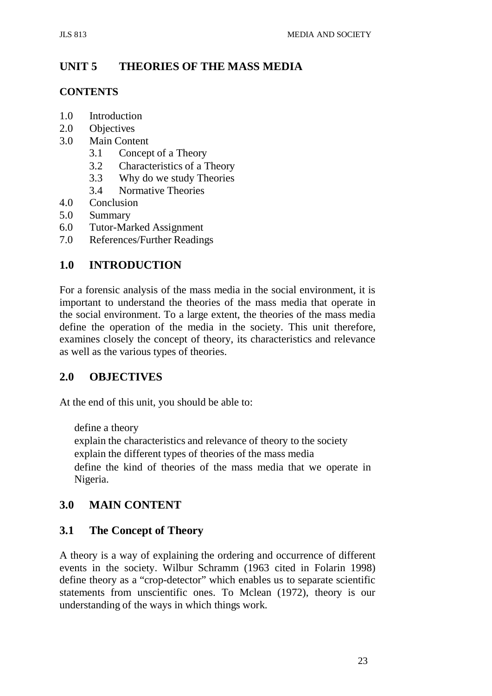# **UNIT 5 THEORIES OF THE MASS MEDIA**

## **CONTENTS**

- 1.0 Introduction
- 2.0 Objectives
- 3.0 Main Content
	- 3.1 Concept of a Theory
	- 3.2 Characteristics of a Theory
	- 3.3 Why do we study Theories
	- 3.4 Normative Theories
- 4.0 Conclusion
- 5.0 Summary
- 6.0 Tutor-Marked Assignment
- 7.0 References/Further Readings

# **1.0 INTRODUCTION**

For a forensic analysis of the mass media in the social environment, it is important to understand the theories of the mass media that operate in the social environment. To a large extent, the theories of the mass media define the operation of the media in the society. This unit therefore, examines closely the concept of theory, its characteristics and relevance as well as the various types of theories.

## **2.0 OBJECTIVES**

At the end of this unit, you should be able to:

define a theory

explain the characteristics and relevance of theory to the society explain the different types of theories of the mass media define the kind of theories of the mass media that we operate in Nigeria.

## **3.0 MAIN CONTENT**

## **3.1 The Concept of Theory**

A theory is a way of explaining the ordering and occurrence of different events in the society. Wilbur Schramm (1963 cited in Folarin 1998) define theory as a "crop-detector" which enables us to separate scientific statements from unscientific ones. To Mclean (1972), theory is our understanding of the ways in which things work.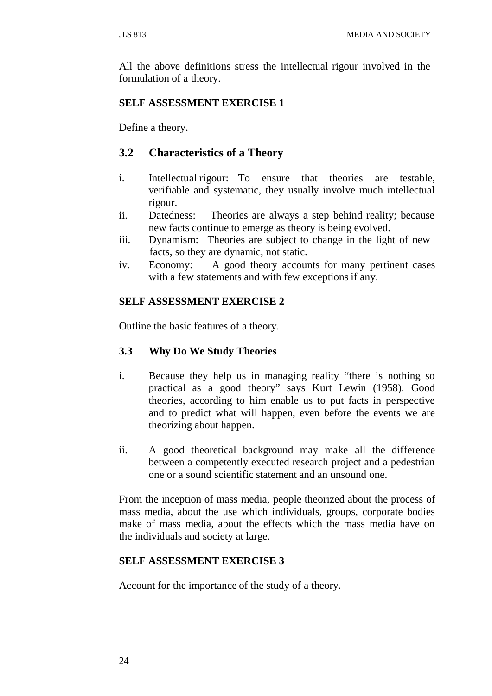All the above definitions stress the intellectual rigour involved in the formulation of a theory.

#### **SELF ASSESSMENT EXERCISE 1**

Define a theory.

## **3.2 Characteristics of a Theory**

- i. Intellectual rigour: To ensure that theories are testable, verifiable and systematic, they usually involve much intellectual rigour.
- ii. Datedness: Theories are always a step behind reality; because new facts continue to emerge as theory is being evolved.
- iii. Dynamism: Theories are subject to change in the light of new facts, so they are dynamic, not static.
- iv. Economy: A good theory accounts for many pertinent cases with a few statements and with few exceptions if any.

#### **SELF ASSESSMENT EXERCISE 2**

Outline the basic features of a theory.

### **3.3 Why Do We Study Theories**

- i. Because they help us in managing reality "there is nothing so practical as a good theory" says Kurt Lewin (1958). Good theories, according to him enable us to put facts in perspective and to predict what will happen, even before the events we are theorizing about happen.
- ii. A good theoretical background may make all the difference between a competently executed research project and a pedestrian one or a sound scientific statement and an unsound one.

From the inception of mass media, people theorized about the process of mass media, about the use which individuals, groups, corporate bodies make of mass media, about the effects which the mass media have on the individuals and society at large.

#### **SELF ASSESSMENT EXERCISE 3**

Account for the importance of the study of a theory.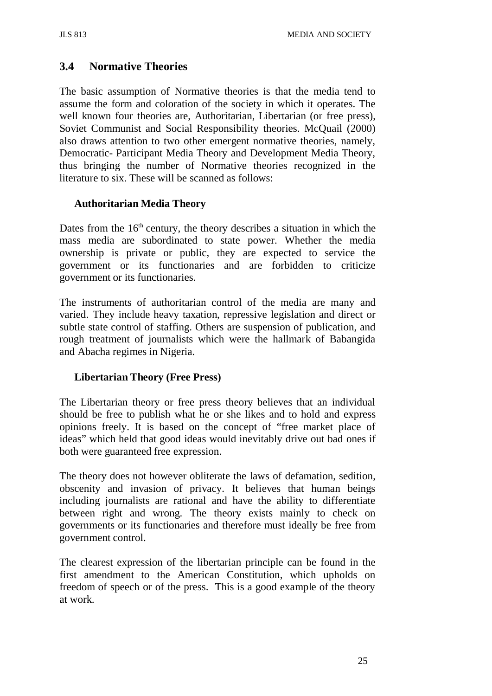## **3.4 Normative Theories**

The basic assumption of Normative theories is that the media tend to assume the form and coloration of the society in which it operates. The well known four theories are, Authoritarian, Libertarian (or free press), Soviet Communist and Social Responsibility theories. McQuail (2000) also draws attention to two other emergent normative theories, namely, Democratic- Participant Media Theory and Development Media Theory, thus bringing the number of Normative theories recognized in the literature to six. These will be scanned as follows:

## **Authoritarian Media Theory**

Dates from the  $16<sup>th</sup>$  century, the theory describes a situation in which the mass media are subordinated to state power. Whether the media ownership is private or public, they are expected to service the government or its functionaries and are forbidden to criticize government or its functionaries.

The instruments of authoritarian control of the media are many and varied. They include heavy taxation, repressive legislation and direct or subtle state control of staffing. Others are suspension of publication, and rough treatment of journalists which were the hallmark of Babangida and Abacha regimes in Nigeria.

## **Libertarian Theory (Free Press)**

The Libertarian theory or free press theory believes that an individual should be free to publish what he or she likes and to hold and express opinions freely. It is based on the concept of "free market place of ideas" which held that good ideas would inevitably drive out bad ones if both were guaranteed free expression.

The theory does not however obliterate the laws of defamation, sedition, obscenity and invasion of privacy. It believes that human beings including journalists are rational and have the ability to differentiate between right and wrong. The theory exists mainly to check on governments or its functionaries and therefore must ideally be free from government control.

The clearest expression of the libertarian principle can be found in the first amendment to the American Constitution, which upholds on freedom of speech or of the press. This is a good example of the theory at work.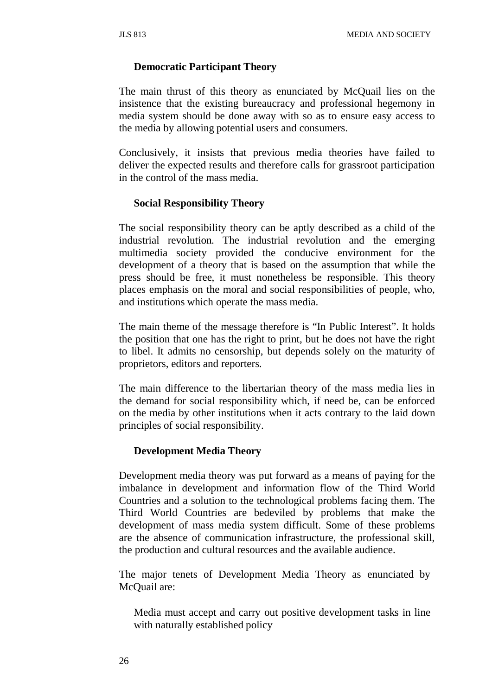#### **Democratic Participant Theory**

The main thrust of this theory as enunciated by McQuail lies on the insistence that the existing bureaucracy and professional hegemony in media system should be done away with so as to ensure easy access to the media by allowing potential users and consumers.

Conclusively, it insists that previous media theories have failed to deliver the expected results and therefore calls for grassroot participation in the control of the mass media.

#### **Social Responsibility Theory**

The social responsibility theory can be aptly described as a child of the industrial revolution. The industrial revolution and the emerging multimedia society provided the conducive environment for the development of a theory that is based on the assumption that while the press should be free, it must nonetheless be responsible. This theory places emphasis on the moral and social responsibilities of people, who, and institutions which operate the mass media.

The main theme of the message therefore is "In Public Interest". It holds the position that one has the right to print, but he does not have the right to libel. It admits no censorship, but depends solely on the maturity of proprietors, editors and reporters.

The main difference to the libertarian theory of the mass media lies in the demand for social responsibility which, if need be, can be enforced on the media by other institutions when it acts contrary to the laid down principles of social responsibility.

#### **Development Media Theory**

Development media theory was put forward as a means of paying for the imbalance in development and information flow of the Third World Countries and a solution to the technological problems facing them. The Third World Countries are bedeviled by problems that make the development of mass media system difficult. Some of these problems are the absence of communication infrastructure, the professional skill, the production and cultural resources and the available audience.

The major tenets of Development Media Theory as enunciated by McQuail are:

Media must accept and carry out positive development tasks in line with naturally established policy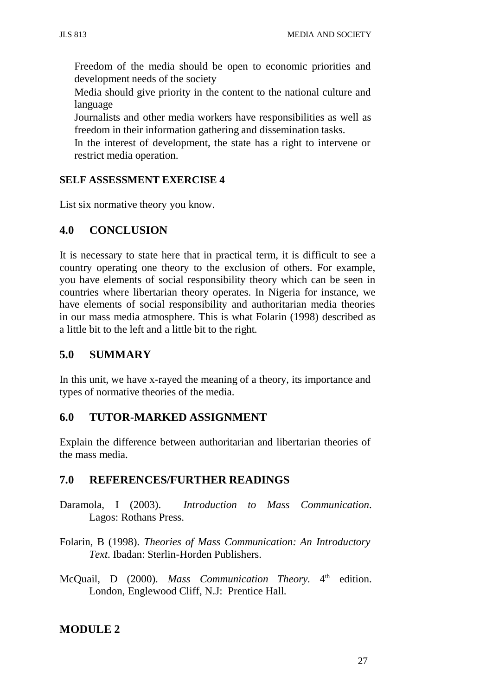Freedom of the media should be open to economic priorities and development needs of the society

Media should give priority in the content to the national culture and language

Journalists and other media workers have responsibilities as well as freedom in their information gathering and dissemination tasks.

In the interest of development, the state has a right to intervene or restrict media operation.

## **SELF ASSESSMENT EXERCISE 4**

List six normative theory you know.

# **4.0 CONCLUSION**

It is necessary to state here that in practical term, it is difficult to see a country operating one theory to the exclusion of others. For example, you have elements of social responsibility theory which can be seen in countries where libertarian theory operates. In Nigeria for instance, we have elements of social responsibility and authoritarian media theories in our mass media atmosphere. This is what Folarin (1998) described as a little bit to the left and a little bit to the right.

## **5.0 SUMMARY**

In this unit, we have x-rayed the meaning of a theory, its importance and types of normative theories of the media.

## **6.0 TUTOR-MARKED ASSIGNMENT**

Explain the difference between authoritarian and libertarian theories of the mass media.

## **7.0 REFERENCES/FURTHER READINGS**

- Daramola, I (2003). *Introduction to Mass Communication*. Lagos: Rothans Press.
- Folarin, B (1998). *Theories of Mass Communication: An Introductory Text*. Ibadan: Sterlin-Horden Publishers.
- McQuail, D (2000). *Mass Communication Theory*. 4<sup>th</sup> edition. London, Englewood Cliff, N.J: Prentice Hall.

## **MODULE 2**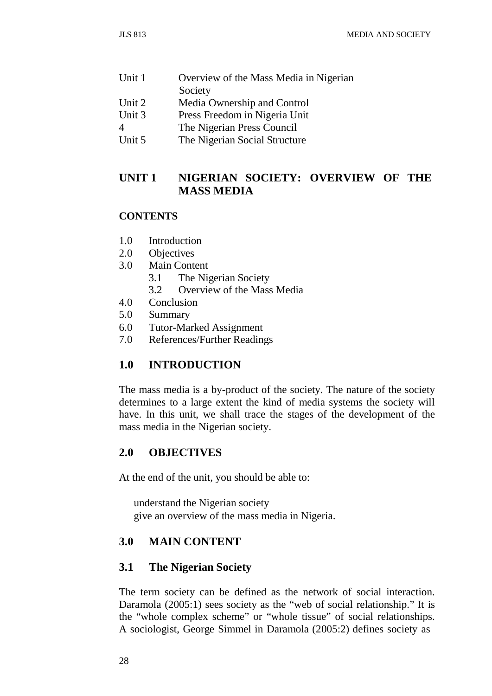| Unit 1 | Overview of the Mass Media in Nigerian |
|--------|----------------------------------------|
|        | Society                                |
| Unit 2 | Media Ownership and Control            |
| Unit 3 | Press Freedom in Nigeria Unit          |
|        | The Nigerian Press Council             |
| Unit 5 | The Nigerian Social Structure          |

## **UNIT 1 NIGERIAN SOCIETY: OVERVIEW OF THE MASS MEDIA**

### **CONTENTS**

- 1.0 Introduction
- 2.0 Objectives
- 3.0 Main Content
	- 3.1 The Nigerian Society
	- 3.2 Overview of the Mass Media
- 4.0 Conclusion<br>5.0 Summary
- **Summary**
- 6.0 Tutor-Marked Assignment
- 7.0 References/Further Readings

## **1.0 INTRODUCTION**

The mass media is a by-product of the society. The nature of the society determines to a large extent the kind of media systems the society will have. In this unit, we shall trace the stages of the development of the mass media in the Nigerian society.

## **2.0 OBJECTIVES**

At the end of the unit, you should be able to:

understand the Nigerian society give an overview of the mass media in Nigeria.

## **3.0 MAIN CONTENT**

## **3.1 The Nigerian Society**

The term society can be defined as the network of social interaction. Daramola (2005:1) sees society as the "web of social relationship." It is the "whole complex scheme" or "whole tissue" of social relationships. A sociologist, George Simmel in Daramola (2005:2) defines society as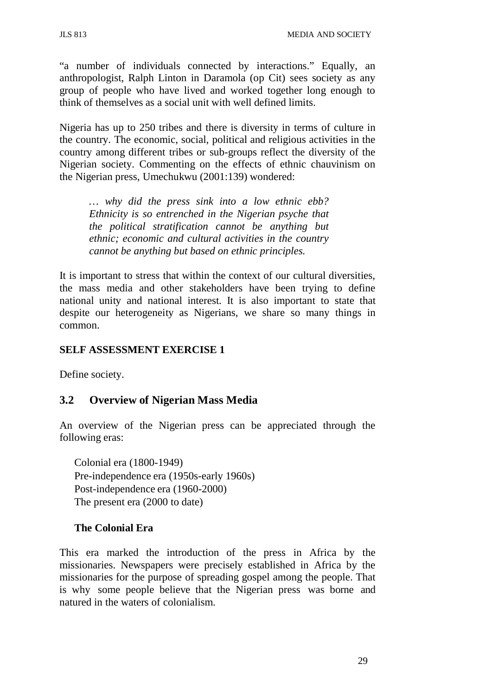"a number of individuals connected by interactions." Equally, an anthropologist, Ralph Linton in Daramola (op Cit) sees society as any group of people who have lived and worked together long enough to think of themselves as a social unit with well defined limits.

Nigeria has up to 250 tribes and there is diversity in terms of culture in the country. The economic, social, political and religious activities in the country among different tribes or sub-groups reflect the diversity of the Nigerian society. Commenting on the effects of ethnic chauvinism on the Nigerian press, Umechukwu (2001:139) wondered:

*… why did the press sink into a low ethnic ebb? Ethnicity is so entrenched in the Nigerian psyche that the political stratification cannot be anything but ethnic; economic and cultural activities in the country cannot be anything but based on ethnic principles.*

It is important to stress that within the context of our cultural diversities, the mass media and other stakeholders have been trying to define national unity and national interest. It is also important to state that despite our heterogeneity as Nigerians, we share so many things in common.

## **SELF ASSESSMENT EXERCISE 1**

Define society.

## **3.2 Overview of Nigerian Mass Media**

An overview of the Nigerian press can be appreciated through the following eras:

Colonial era (1800-1949) Pre-independence era (1950s-early 1960s) Post-independence era (1960-2000) The present era (2000 to date)

## **The Colonial Era**

This era marked the introduction of the press in Africa by the missionaries. Newspapers were precisely established in Africa by the missionaries for the purpose of spreading gospel among the people. That is why some people believe that the Nigerian press was borne and natured in the waters of colonialism.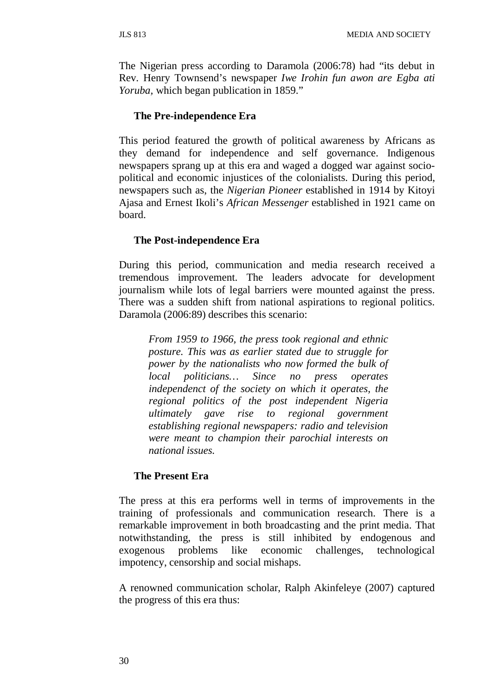The Nigerian press according to Daramola (2006:78) had "its debut in Rev. Henry Townsend's newspaper *Iwe Irohin fun awon are Egba ati Yoruba,* which began publication in 1859."

#### **The Pre-independence Era**

This period featured the growth of political awareness by Africans as they demand for independence and self governance. Indigenous newspapers sprang up at this era and waged a dogged war against sociopolitical and economic injustices of the colonialists. During this period, newspapers such as, the *Nigerian Pioneer* established in 1914 by Kitoyi Ajasa and Ernest Ikoli's *African Messenger* established in 1921 came on board.

## **The Post-independence Era**

During this period, communication and media research received a tremendous improvement. The leaders advocate for development journalism while lots of legal barriers were mounted against the press. There was a sudden shift from national aspirations to regional politics. Daramola (2006:89) describes this scenario:

*From 1959 to 1966, the press took regional and ethnic posture. This was as earlier stated due to struggle for power by the nationalists who now formed the bulk of local politicians… Since no press operates independenct of the society on which it operates, the regional politics of the post independent Nigeria ultimately gave rise to regional government establishing regional newspapers: radio and television were meant to champion their parochial interests on national issues.*

## **The Present Era**

The press at this era performs well in terms of improvements in the training of professionals and communication research. There is a remarkable improvement in both broadcasting and the print media. That notwithstanding, the press is still inhibited by endogenous and exogenous problems like economic challenges, technological impotency, censorship and social mishaps.

A renowned communication scholar, Ralph Akinfeleye (2007) captured the progress of this era thus: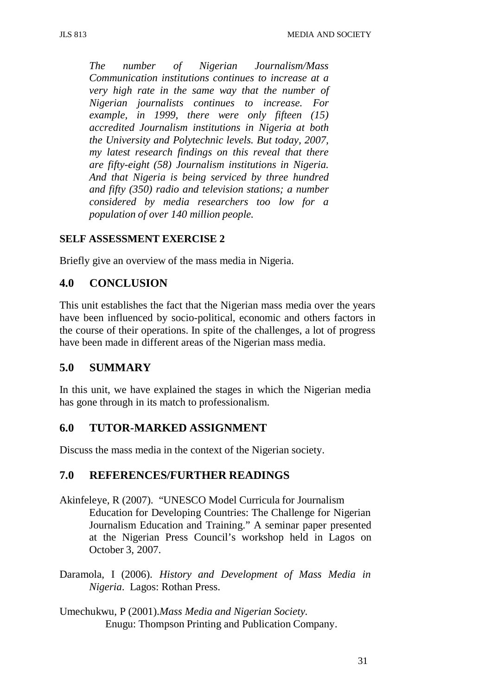*The number of Nigerian Journalism/Mass Communication institutions continues to increase at a very high rate in the same way that the number of Nigerian journalists continues to increase. For example, in 1999, there were only fifteen (15) accredited Journalism institutions in Nigeria at both the University and Polytechnic levels. But today, 2007, my latest research findings on this reveal that there are fifty-eight (58) Journalism institutions in Nigeria. And that Nigeria is being serviced by three hundred and fifty (350) radio and television stations; a number considered by media researchers too low for a population of over 140 million people.*

### **SELF ASSESSMENT EXERCISE 2**

Briefly give an overview of the mass media in Nigeria.

## **4.0 CONCLUSION**

This unit establishes the fact that the Nigerian mass media over the years have been influenced by socio-political, economic and others factors in the course of their operations. In spite of the challenges, a lot of progress have been made in different areas of the Nigerian mass media.

## **5.0 SUMMARY**

In this unit, we have explained the stages in which the Nigerian media has gone through in its match to professionalism.

## **6.0 TUTOR-MARKED ASSIGNMENT**

Discuss the mass media in the context of the Nigerian society.

## **7.0 REFERENCES/FURTHER READINGS**

- Akinfeleye, R (2007). "UNESCO Model Curricula for Journalism Education for Developing Countries: The Challenge for Nigerian Journalism Education and Training." A seminar paper presented at the Nigerian Press Council's workshop held in Lagos on October 3, 2007.
- Daramola, I (2006). *History and Development of Mass Media in Nigeria*. Lagos: Rothan Press.
- Umechukwu, P (2001).*Mass Media and Nigerian Society.* Enugu: Thompson Printing and Publication Company.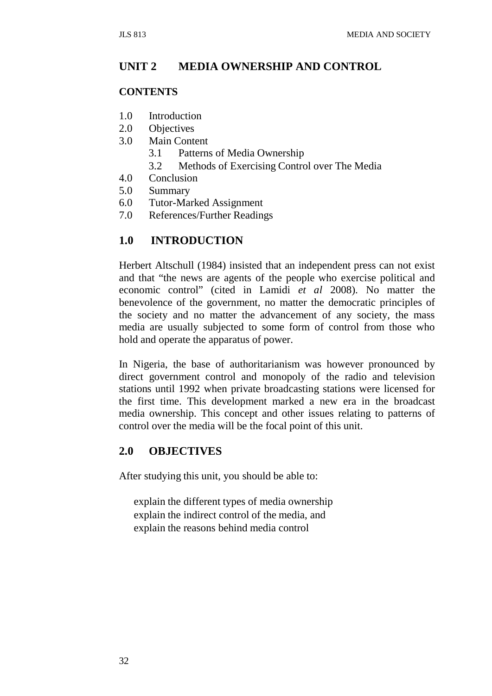## **UNIT 2 MEDIA OWNERSHIP AND CONTROL**

#### **CONTENTS**

- 1.0 Introduction
- 2.0 Objectives
- 3.0 Main Content
	- 3.1 Patterns of Media Ownership
	- 3.2 Methods of Exercising Control over The Media
- 4.0 Conclusion
- 5.0 Summary
- 6.0 Tutor-Marked Assignment
- 7.0 References/Further Readings

### **1.0 INTRODUCTION**

Herbert Altschull (1984) insisted that an independent press can not exist and that "the news are agents of the people who exercise political and economic control" (cited in Lamidi *et al* 2008). No matter the benevolence of the government, no matter the democratic principles of the society and no matter the advancement of any society, the mass media are usually subjected to some form of control from those who hold and operate the apparatus of power.

In Nigeria, the base of authoritarianism was however pronounced by direct government control and monopoly of the radio and television stations until 1992 when private broadcasting stations were licensed for the first time. This development marked a new era in the broadcast media ownership. This concept and other issues relating to patterns of control over the media will be the focal point of this unit.

### **2.0 OBJECTIVES**

After studying this unit, you should be able to:

explain the different types of media ownership explain the indirect control of the media, and explain the reasons behind media control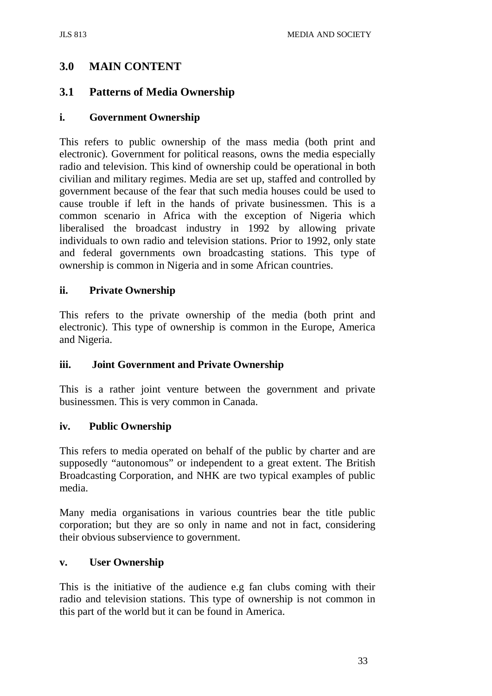# **3.0 MAIN CONTENT**

## **3.1 Patterns of Media Ownership**

## **i. Government Ownership**

This refers to public ownership of the mass media (both print and electronic). Government for political reasons, owns the media especially radio and television. This kind of ownership could be operational in both civilian and military regimes. Media are set up, staffed and controlled by government because of the fear that such media houses could be used to cause trouble if left in the hands of private businessmen. This is a common scenario in Africa with the exception of Nigeria which liberalised the broadcast industry in 1992 by allowing private individuals to own radio and television stations. Prior to 1992, only state and federal governments own broadcasting stations. This type of ownership is common in Nigeria and in some African countries.

## **ii. Private Ownership**

This refers to the private ownership of the media (both print and electronic). This type of ownership is common in the Europe, America and Nigeria.

## **iii. Joint Government and Private Ownership**

This is a rather joint venture between the government and private businessmen. This is very common in Canada.

## **iv. Public Ownership**

This refers to media operated on behalf of the public by charter and are supposedly "autonomous" or independent to a great extent. The British Broadcasting Corporation, and NHK are two typical examples of public media.

Many media organisations in various countries bear the title public corporation; but they are so only in name and not in fact, considering their obvious subservience to government.

## **v. User Ownership**

This is the initiative of the audience e.g fan clubs coming with their radio and television stations. This type of ownership is not common in this part of the world but it can be found in America.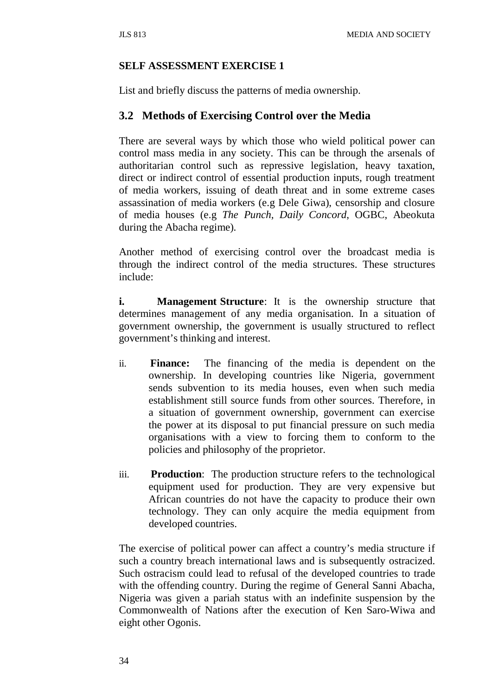### **SELF ASSESSMENT EXERCISE 1**

List and briefly discuss the patterns of media ownership.

## **3.2 Methods of Exercising Control over the Media**

There are several ways by which those who wield political power can control mass media in any society. This can be through the arsenals of authoritarian control such as repressive legislation, heavy taxation, direct or indirect control of essential production inputs, rough treatment of media workers, issuing of death threat and in some extreme cases assassination of media workers (e.g Dele Giwa), censorship and closure of media houses (e.g *The Punch, Daily Concord*, OGBC, Abeokuta during the Abacha regime).

Another method of exercising control over the broadcast media is through the indirect control of the media structures. These structures include:

**i.** Management **Structure**: It is the ownership structure that determines management of any media organisation. In a situation of government ownership, the government is usually structured to reflect government's thinking and interest.

- ii. **Finance:** The financing of the media is dependent on the ownership. In developing countries like Nigeria, government sends subvention to its media houses, even when such media establishment still source funds from other sources. Therefore, in a situation of government ownership, government can exercise the power at its disposal to put financial pressure on such media organisations with a view to forcing them to conform to the policies and philosophy of the proprietor.
- iii. **Production**: The production structure refers to the technological equipment used for production. They are very expensive but African countries do not have the capacity to produce their own technology. They can only acquire the media equipment from developed countries.

The exercise of political power can affect a country's media structure if such a country breach international laws and is subsequently ostracized. Such ostracism could lead to refusal of the developed countries to trade with the offending country. During the regime of General Sanni Abacha, Nigeria was given a pariah status with an indefinite suspension by the Commonwealth of Nations after the execution of Ken Saro-Wiwa and eight other Ogonis.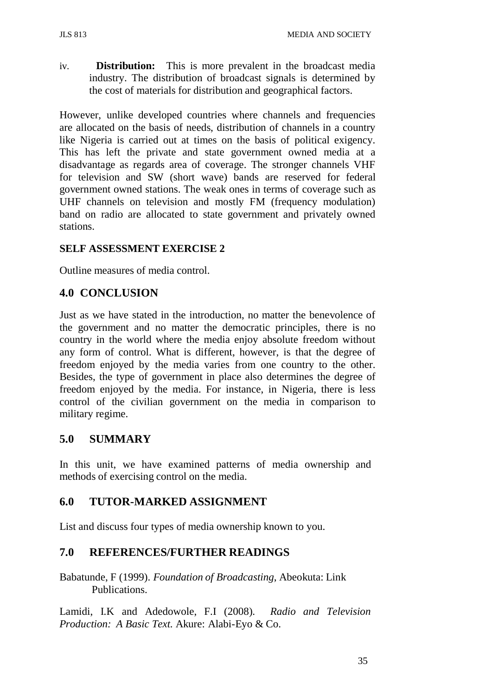iv. **Distribution:** This is more prevalent in the broadcast media industry. The distribution of broadcast signals is determined by the cost of materials for distribution and geographical factors.

However, unlike developed countries where channels and frequencies are allocated on the basis of needs, distribution of channels in a country like Nigeria is carried out at times on the basis of political exigency. This has left the private and state government owned media at a disadvantage as regards area of coverage. The stronger channels VHF for television and SW (short wave) bands are reserved for federal government owned stations. The weak ones in terms of coverage such as UHF channels on television and mostly FM (frequency modulation) band on radio are allocated to state government and privately owned stations.

## **SELF ASSESSMENT EXERCISE 2**

Outline measures of media control.

## **4.0 CONCLUSION**

Just as we have stated in the introduction, no matter the benevolence of the government and no matter the democratic principles, there is no country in the world where the media enjoy absolute freedom without any form of control. What is different, however, is that the degree of freedom enjoyed by the media varies from one country to the other. Besides, the type of government in place also determines the degree of freedom enjoyed by the media. For instance, in Nigeria, there is less control of the civilian government on the media in comparison to military regime.

## **5.0 SUMMARY**

In this unit, we have examined patterns of media ownership and methods of exercising control on the media.

## **6.0 TUTOR-MARKED ASSIGNMENT**

List and discuss four types of media ownership known to you.

## **7.0 REFERENCES/FURTHER READINGS**

Babatunde, F (1999). *Foundation of Broadcasting*, Abeokuta: Link Publications.

Lamidi, I.K and Adedowole, F.I (2008). *Radio and Television Production: A Basic Text.* Akure: Alabi-Eyo & Co.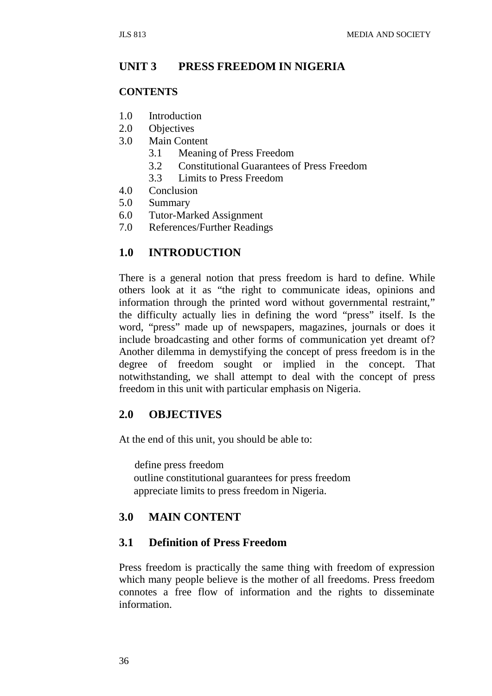## **UNIT 3 PRESS FREEDOM IN NIGERIA**

#### **CONTENTS**

- 1.0 Introduction
- 2.0 Objectives
- 3.0 Main Content
	- 3.1 Meaning of Press Freedom
	- 3.2 Constitutional Guarantees of Press Freedom
	- 3.3 Limits to Press Freedom
- 4.0 Conclusion
- 5.0 Summary
- 6.0 Tutor-Marked Assignment
- 7.0 References/Further Readings

### **1.0 INTRODUCTION**

There is a general notion that press freedom is hard to define. While others look at it as "the right to communicate ideas, opinions and information through the printed word without governmental restraint," the difficulty actually lies in defining the word "press" itself. Is the word, "press" made up of newspapers, magazines, journals or does it include broadcasting and other forms of communication yet dreamt of? Another dilemma in demystifying the concept of press freedom is in the degree of freedom sought or implied in the concept. That notwithstanding, we shall attempt to deal with the concept of press freedom in this unit with particular emphasis on Nigeria.

### **2.0 OBJECTIVES**

At the end of this unit, you should be able to:

define press freedom outline constitutional guarantees for press freedom appreciate limits to press freedom in Nigeria.

## **3.0 MAIN CONTENT**

#### **3.1 Definition of Press Freedom**

Press freedom is practically the same thing with freedom of expression which many people believe is the mother of all freedoms. Press freedom connotes a free flow of information and the rights to disseminate information.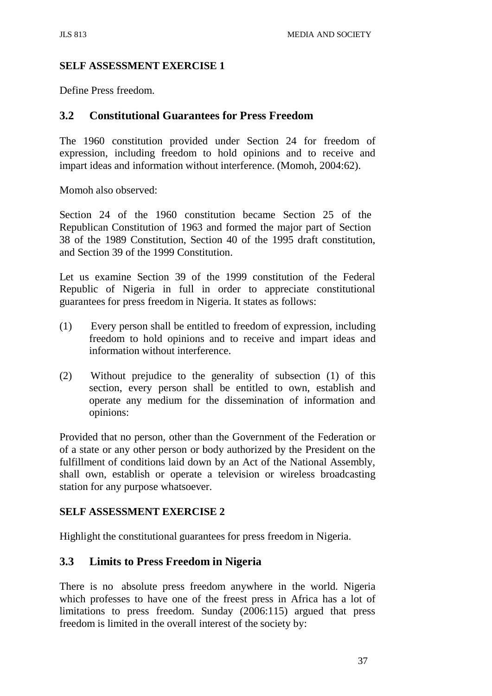### **SELF ASSESSMENT EXERCISE 1**

Define Press freedom.

### **3.2 Constitutional Guarantees for Press Freedom**

The 1960 constitution provided under Section 24 for freedom of expression, including freedom to hold opinions and to receive and impart ideas and information without interference. (Momoh, 2004:62).

Momoh also observed:

Section 24 of the 1960 constitution became Section 25 of the Republican Constitution of 1963 and formed the major part of Section 38 of the 1989 Constitution, Section 40 of the 1995 draft constitution, and Section 39 of the 1999 Constitution.

Let us examine Section 39 of the 1999 constitution of the Federal Republic of Nigeria in full in order to appreciate constitutional guarantees for press freedom in Nigeria. It states as follows:

- (1) Every person shall be entitled to freedom of expression, including freedom to hold opinions and to receive and impart ideas and information without interference.
- (2) Without prejudice to the generality of subsection (1) of this section, every person shall be entitled to own, establish and operate any medium for the dissemination of information and opinions:

Provided that no person, other than the Government of the Federation or of a state or any other person or body authorized by the President on the fulfillment of conditions laid down by an Act of the National Assembly, shall own, establish or operate a television or wireless broadcasting station for any purpose whatsoever.

#### **SELF ASSESSMENT EXERCISE 2**

Highlight the constitutional guarantees for press freedom in Nigeria.

## **3.3 Limits to Press Freedom in Nigeria**

There is no absolute press freedom anywhere in the world. Nigeria which professes to have one of the freest press in Africa has a lot of limitations to press freedom. Sunday (2006:115) argued that press freedom is limited in the overall interest of the society by: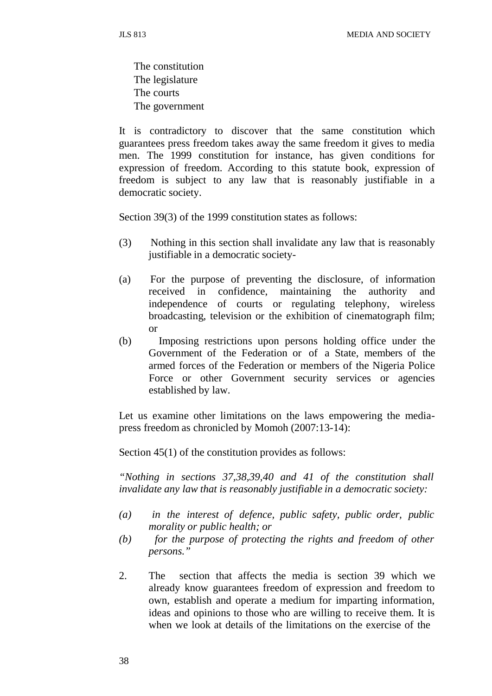The constitution The legislature The courts The government

It is contradictory to discover that the same constitution which guarantees press freedom takes away the same freedom it gives to media men. The 1999 constitution for instance, has given conditions for expression of freedom. According to this statute book, expression of freedom is subject to any law that is reasonably justifiable in a democratic society.

Section 39(3) of the 1999 constitution states as follows:

- (3) Nothing in this section shall invalidate any law that is reasonably justifiable in a democratic society-
- (a) For the purpose of preventing the disclosure, of information received in confidence, maintaining the authority and independence of courts or regulating telephony, wireless broadcasting, television or the exhibition of cinematograph film; or
- (b) Imposing restrictions upon persons holding office under the Government of the Federation or of a State, members of the armed forces of the Federation or members of the Nigeria Police Force or other Government security services or agencies established by law.

Let us examine other limitations on the laws empowering the mediapress freedom as chronicled by Momoh (2007:13-14):

Section 45(1) of the constitution provides as follows:

*"Nothing in sections 37,38,39,40 and 41 of the constitution shall invalidate any law that is reasonably justifiable in a democratic society:*

- *(a) in the interest of defence, public safety, public order, public morality or public health; or*
- *(b) for the purpose of protecting the rights and freedom of other persons."*
- 2. The section that affects the media is section 39 which we already know guarantees freedom of expression and freedom to own, establish and operate a medium for imparting information, ideas and opinions to those who are willing to receive them. It is when we look at details of the limitations on the exercise of the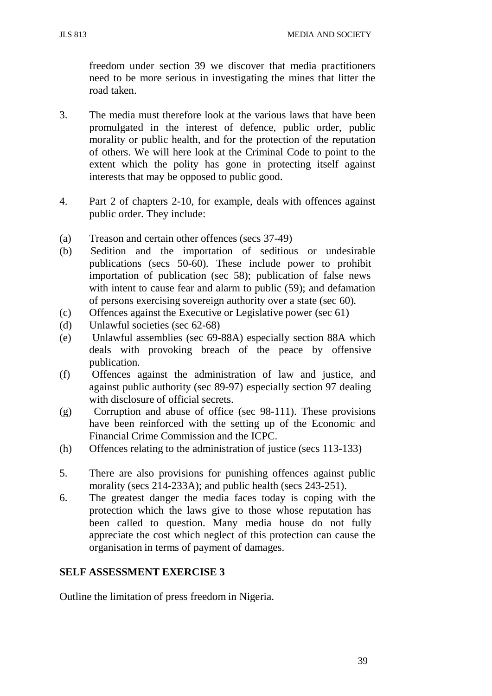JLS 813 MEDIA AND SOCIETY

freedom under section 39 we discover that media practitioners need to be more serious in investigating the mines that litter the road taken.

- 3. The media must therefore look at the various laws that have been promulgated in the interest of defence, public order, public morality or public health, and for the protection of the reputation of others. We will here look at the Criminal Code to point to the extent which the polity has gone in protecting itself against interests that may be opposed to public good.
- 4. Part 2 of chapters 2-10, for example, deals with offences against public order. They include:
- (a) Treason and certain other offences (secs 37-49)
- (b) Sedition and the importation of seditious or undesirable publications (secs 50-60). These include power to prohibit importation of publication (sec 58); publication of false news with intent to cause fear and alarm to public (59); and defamation of persons exercising sovereign authority over a state (sec 60).
- (c) Offences against the Executive or Legislative power (sec 61)
- (d) Unlawful societies (sec 62-68)
- (e) Unlawful assemblies (sec 69-88A) especially section 88A which deals with provoking breach of the peace by offensive publication.
- (f) Offences against the administration of law and justice, and against public authority (sec 89-97) especially section 97 dealing with disclosure of official secrets.
- (g) Corruption and abuse of office (sec 98-111). These provisions have been reinforced with the setting up of the Economic and Financial Crime Commission and the ICPC.
- (h) Offences relating to the administration of justice (secs 113-133)
- 5. There are also provisions for punishing offences against public morality (secs 214-233A); and public health (secs 243-251).
- 6. The greatest danger the media faces today is coping with the protection which the laws give to those whose reputation has been called to question. Many media house do not fully appreciate the cost which neglect of this protection can cause the organisation in terms of payment of damages.

## **SELF ASSESSMENT EXERCISE 3**

Outline the limitation of press freedom in Nigeria.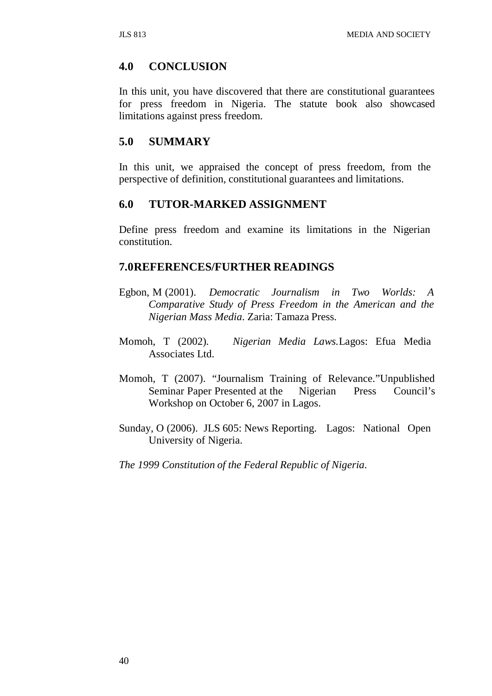## **4.0 CONCLUSION**

In this unit, you have discovered that there are constitutional guarantees for press freedom in Nigeria. The statute book also showcased limitations against press freedom.

## **5.0 SUMMARY**

In this unit, we appraised the concept of press freedom, from the perspective of definition, constitutional guarantees and limitations.

## **6.0 TUTOR-MARKED ASSIGNMENT**

Define press freedom and examine its limitations in the Nigerian constitution.

### **7.0REFERENCES/FURTHER READINGS**

- Egbon, M (2001). *Democratic Journalism in Two Worlds: A Comparative Study of Press Freedom in the American and the Nigerian Mass Media*. Zaria: Tamaza Press.
- Momoh, T (2002). *Nigerian Media Laws.*Lagos: Efua Media Associates Ltd.
- Momoh, T (2007). "Journalism Training of Relevance."Unpublished Seminar Paper Presented at the Nigerian Press Council's Workshop on October 6, 2007 in Lagos.
- Sunday, O (2006). JLS 605: News Reporting. Lagos: National Open University of Nigeria.

*The 1999 Constitution of the Federal Republic of Nigeria*.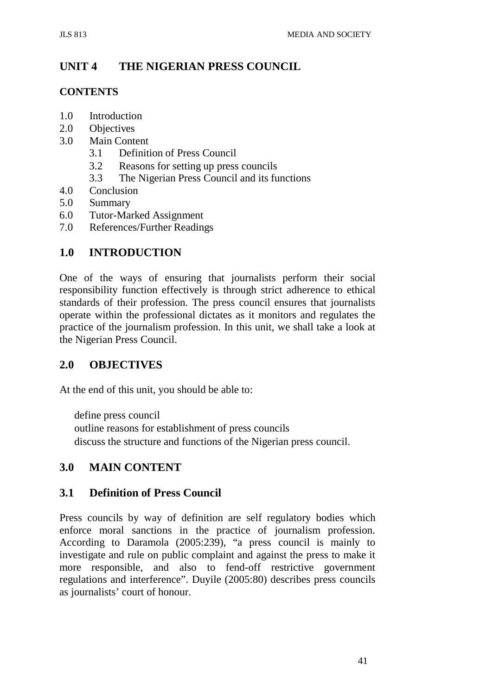# **UNIT 4 THE NIGERIAN PRESS COUNCIL**

## **CONTENTS**

- 1.0 Introduction
- 2.0 Objectives
- 3.0 Main Content
	- 3.1 Definition of Press Council
	- 3.2 Reasons for setting up press councils
	- 3.3 The Nigerian Press Council and its functions
- 4.0 Conclusion
- 5.0 Summary
- 6.0 Tutor-Marked Assignment
- 7.0 References/Further Readings

## **1.0 INTRODUCTION**

One of the ways of ensuring that journalists perform their social responsibility function effectively is through strict adherence to ethical standards of their profession. The press council ensures that journalists operate within the professional dictates as it monitors and regulates the practice of the journalism profession. In this unit, we shall take a look at the Nigerian Press Council.

## **2.0 OBJECTIVES**

At the end of this unit, you should be able to:

define press council outline reasons for establishment of press councils discuss the structure and functions of the Nigerian press council.

## **3.0 MAIN CONTENT**

## **3.1 Definition of Press Council**

Press councils by way of definition are self regulatory bodies which enforce moral sanctions in the practice of journalism profession. According to Daramola (2005:239), "a press council is mainly to investigate and rule on public complaint and against the press to make it more responsible, and also to fend-off restrictive government regulations and interference". Duyile (2005:80) describes press councils as journalists' court of honour.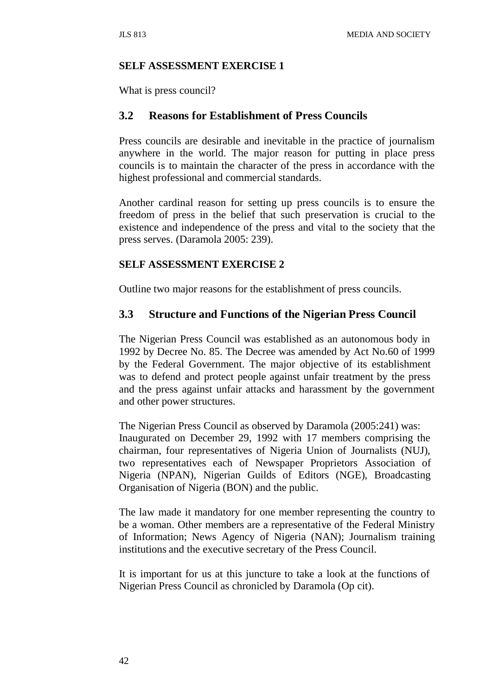#### **SELF ASSESSMENT EXERCISE 1**

What is press council?

### **3.2 Reasons for Establishment of Press Councils**

Press councils are desirable and inevitable in the practice of journalism anywhere in the world. The major reason for putting in place press councils is to maintain the character of the press in accordance with the highest professional and commercial standards.

Another cardinal reason for setting up press councils is to ensure the freedom of press in the belief that such preservation is crucial to the existence and independence of the press and vital to the society that the press serves. (Daramola 2005: 239).

#### **SELF ASSESSMENT EXERCISE 2**

Outline two major reasons for the establishment of press councils.

### **3.3 Structure and Functions of the Nigerian Press Council**

The Nigerian Press Council was established as an autonomous body in 1992 by Decree No. 85. The Decree was amended by Act No.60 of 1999 by the Federal Government. The major objective of its establishment was to defend and protect people against unfair treatment by the press and the press against unfair attacks and harassment by the government and other power structures.

The Nigerian Press Council as observed by Daramola (2005:241) was: Inaugurated on December 29, 1992 with 17 members comprising the chairman, four representatives of Nigeria Union of Journalists (NUJ), two representatives each of Newspaper Proprietors Association of Nigeria (NPAN), Nigerian Guilds of Editors (NGE), Broadcasting Organisation of Nigeria (BON) and the public.

The law made it mandatory for one member representing the country to be a woman. Other members are a representative of the Federal Ministry of Information; News Agency of Nigeria (NAN); Journalism training institutions and the executive secretary of the Press Council.

It is important for us at this juncture to take a look at the functions of Nigerian Press Council as chronicled by Daramola (Op cit).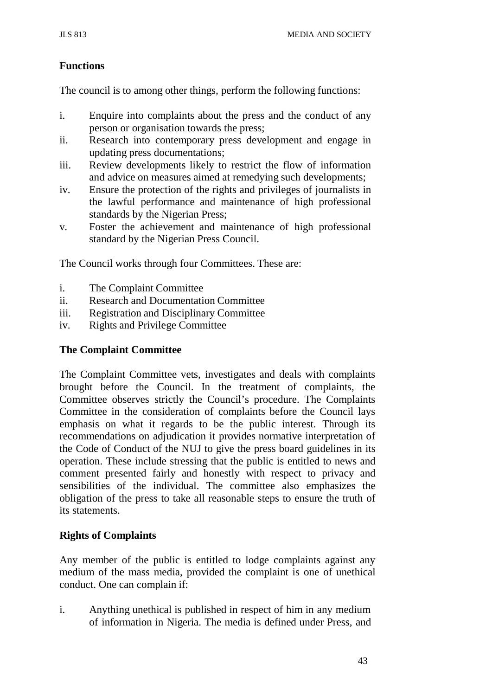## **Functions**

The council is to among other things, perform the following functions:

- i. Enquire into complaints about the press and the conduct of any person or organisation towards the press;
- ii. Research into contemporary press development and engage in updating press documentations;
- iii. Review developments likely to restrict the flow of information and advice on measures aimed at remedying such developments;
- iv. Ensure the protection of the rights and privileges of journalists in the lawful performance and maintenance of high professional standards by the Nigerian Press;
- v. Foster the achievement and maintenance of high professional standard by the Nigerian Press Council.

The Council works through four Committees. These are:

- i. The Complaint Committee
- ii. Research and Documentation Committee
- iii. Registration and Disciplinary Committee
- iv. Rights and Privilege Committee

## **The Complaint Committee**

The Complaint Committee vets, investigates and deals with complaints brought before the Council. In the treatment of complaints, the Committee observes strictly the Council's procedure. The Complaints Committee in the consideration of complaints before the Council lays emphasis on what it regards to be the public interest. Through its recommendations on adjudication it provides normative interpretation of the Code of Conduct of the NUJ to give the press board guidelines in its operation. These include stressing that the public is entitled to news and comment presented fairly and honestly with respect to privacy and sensibilities of the individual. The committee also emphasizes the obligation of the press to take all reasonable steps to ensure the truth of its statements.

## **Rights of Complaints**

Any member of the public is entitled to lodge complaints against any medium of the mass media, provided the complaint is one of unethical conduct. One can complain if:

i. Anything unethical is published in respect of him in any medium of information in Nigeria. The media is defined under Press, and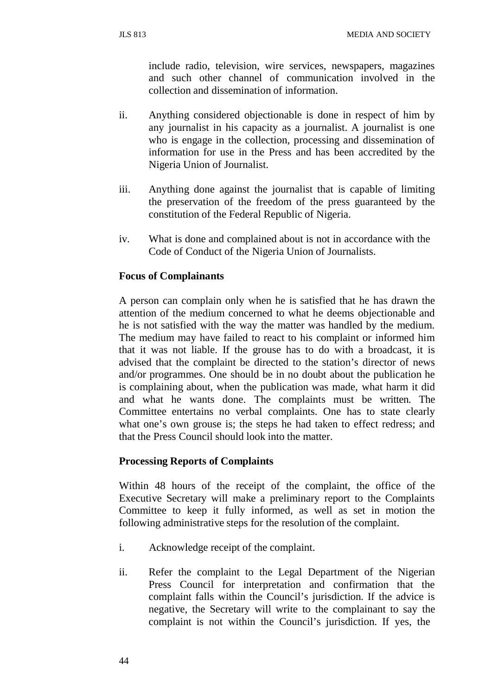include radio, television, wire services, newspapers, magazines and such other channel of communication involved in the collection and dissemination of information.

- ii. Anything considered objectionable is done in respect of him by any journalist in his capacity as a journalist. A journalist is one who is engage in the collection, processing and dissemination of information for use in the Press and has been accredited by the Nigeria Union of Journalist.
- iii. Anything done against the journalist that is capable of limiting the preservation of the freedom of the press guaranteed by the constitution of the Federal Republic of Nigeria.
- iv. What is done and complained about is not in accordance with the Code of Conduct of the Nigeria Union of Journalists.

### **Focus of Complainants**

A person can complain only when he is satisfied that he has drawn the attention of the medium concerned to what he deems objectionable and he is not satisfied with the way the matter was handled by the medium. The medium may have failed to react to his complaint or informed him that it was not liable. If the grouse has to do with a broadcast, it is advised that the complaint be directed to the station's director of news and/or programmes. One should be in no doubt about the publication he is complaining about, when the publication was made, what harm it did and what he wants done. The complaints must be written. The Committee entertains no verbal complaints. One has to state clearly what one's own grouse is; the steps he had taken to effect redress; and that the Press Council should look into the matter.

#### **Processing Reports of Complaints**

Within 48 hours of the receipt of the complaint, the office of the Executive Secretary will make a preliminary report to the Complaints Committee to keep it fully informed, as well as set in motion the following administrative steps for the resolution of the complaint.

- i. Acknowledge receipt of the complaint.
- ii. Refer the complaint to the Legal Department of the Nigerian Press Council for interpretation and confirmation that the complaint falls within the Council's jurisdiction. If the advice is negative, the Secretary will write to the complainant to say the complaint is not within the Council's jurisdiction. If yes, the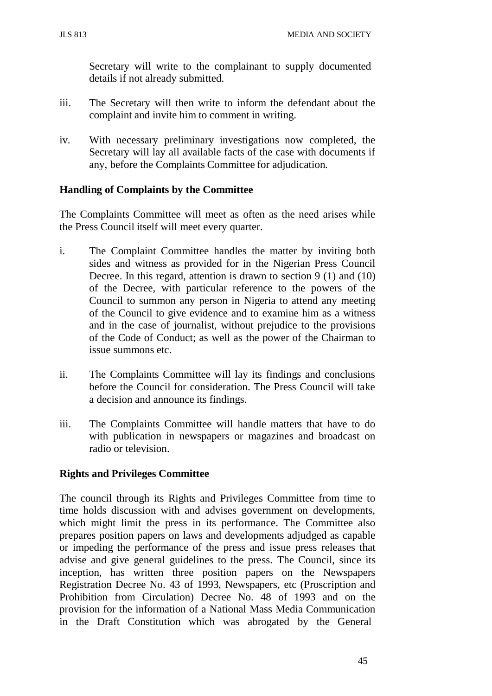Secretary will write to the complainant to supply documented details if not already submitted.

- iii. The Secretary will then write to inform the defendant about the complaint and invite him to comment in writing.
- iv. With necessary preliminary investigations now completed, the Secretary will lay all available facts of the case with documents if any, before the Complaints Committee for adjudication.

## **Handling of Complaints by the Committee**

The Complaints Committee will meet as often as the need arises while the Press Council itself will meet every quarter.

- i. The Complaint Committee handles the matter by inviting both sides and witness as provided for in the Nigerian Press Council Decree. In this regard, attention is drawn to section 9 (1) and (10) of the Decree, with particular reference to the powers of the Council to summon any person in Nigeria to attend any meeting of the Council to give evidence and to examine him as a witness and in the case of journalist, without prejudice to the provisions of the Code of Conduct; as well as the power of the Chairman to issue summons etc.
- ii. The Complaints Committee will lay its findings and conclusions before the Council for consideration. The Press Council will take a decision and announce its findings.
- iii. The Complaints Committee will handle matters that have to do with publication in newspapers or magazines and broadcast on radio or television.

## **Rights and Privileges Committee**

The council through its Rights and Privileges Committee from time to time holds discussion with and advises government on developments, which might limit the press in its performance. The Committee also prepares position papers on laws and developments adjudged as capable or impeding the performance of the press and issue press releases that advise and give general guidelines to the press. The Council, since its inception, has written three position papers on the Newspapers Registration Decree No. 43 of 1993, Newspapers, etc (Proscription and Prohibition from Circulation) Decree No. 48 of 1993 and on the provision for the information of a National Mass Media Communication in the Draft Constitution which was abrogated by the General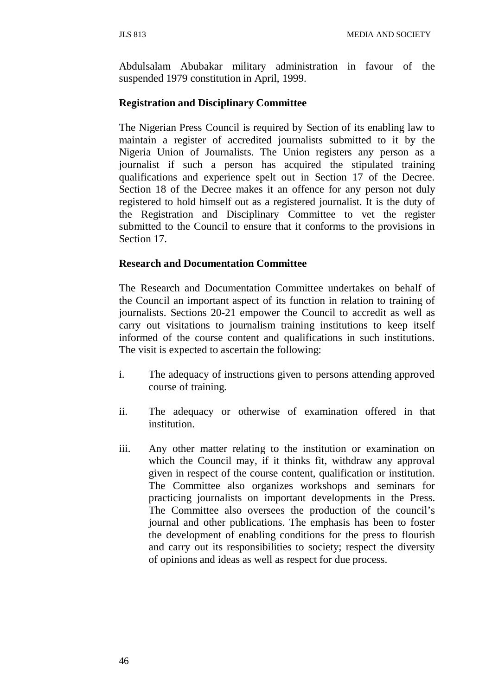Abdulsalam Abubakar military administration in favour of the suspended 1979 constitution in April, 1999.

## **Registration and Disciplinary Committee**

The Nigerian Press Council is required by Section of its enabling law to maintain a register of accredited journalists submitted to it by the Nigeria Union of Journalists. The Union registers any person as a journalist if such a person has acquired the stipulated training qualifications and experience spelt out in Section 17 of the Decree. Section 18 of the Decree makes it an offence for any person not duly registered to hold himself out as a registered journalist. It is the duty of the Registration and Disciplinary Committee to vet the register submitted to the Council to ensure that it conforms to the provisions in Section 17.

### **Research and Documentation Committee**

The Research and Documentation Committee undertakes on behalf of the Council an important aspect of its function in relation to training of journalists. Sections 20-21 empower the Council to accredit as well as carry out visitations to journalism training institutions to keep itself informed of the course content and qualifications in such institutions. The visit is expected to ascertain the following:

- i. The adequacy of instructions given to persons attending approved course of training.
- ii. The adequacy or otherwise of examination offered in that institution.
- iii. Any other matter relating to the institution or examination on which the Council may, if it thinks fit, withdraw any approval given in respect of the course content, qualification or institution. The Committee also organizes workshops and seminars for practicing journalists on important developments in the Press. The Committee also oversees the production of the council's journal and other publications. The emphasis has been to foster the development of enabling conditions for the press to flourish and carry out its responsibilities to society; respect the diversity of opinions and ideas as well as respect for due process.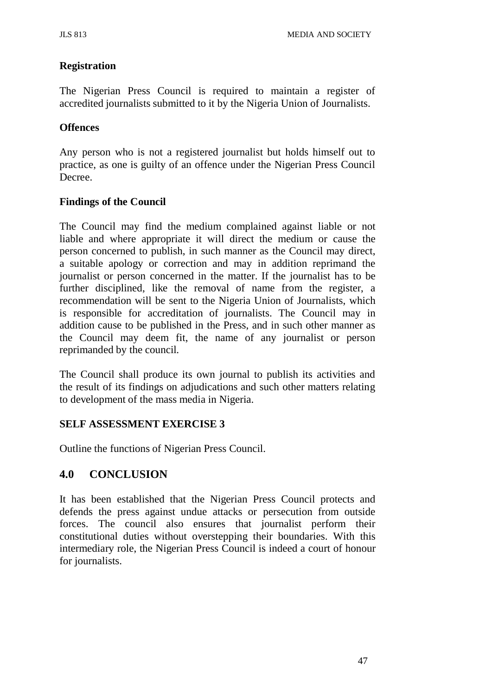## **Registration**

The Nigerian Press Council is required to maintain a register of accredited journalists submitted to it by the Nigeria Union of Journalists.

### **Offences**

Any person who is not a registered journalist but holds himself out to practice, as one is guilty of an offence under the Nigerian Press Council Decree.

### **Findings of the Council**

The Council may find the medium complained against liable or not liable and where appropriate it will direct the medium or cause the person concerned to publish, in such manner as the Council may direct, a suitable apology or correction and may in addition reprimand the journalist or person concerned in the matter. If the journalist has to be further disciplined, like the removal of name from the register, a recommendation will be sent to the Nigeria Union of Journalists, which is responsible for accreditation of journalists. The Council may in addition cause to be published in the Press, and in such other manner as the Council may deem fit, the name of any journalist or person reprimanded by the council.

The Council shall produce its own journal to publish its activities and the result of its findings on adjudications and such other matters relating to development of the mass media in Nigeria.

#### **SELF ASSESSMENT EXERCISE 3**

Outline the functions of Nigerian Press Council.

## **4.0 CONCLUSION**

It has been established that the Nigerian Press Council protects and defends the press against undue attacks or persecution from outside forces. The council also ensures that journalist perform their constitutional duties without overstepping their boundaries. With this intermediary role, the Nigerian Press Council is indeed a court of honour for journalists.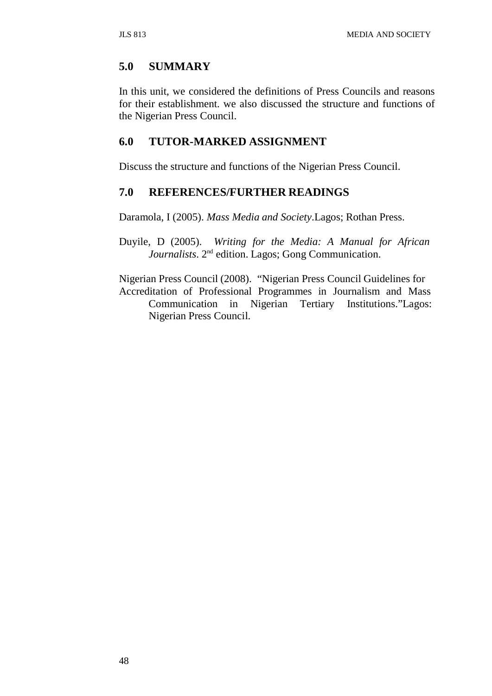## **5.0 SUMMARY**

In this unit, we considered the definitions of Press Councils and reasons for their establishment. we also discussed the structure and functions of the Nigerian Press Council.

## **6.0 TUTOR-MARKED ASSIGNMENT**

Discuss the structure and functions of the Nigerian Press Council.

### **7.0 REFERENCES/FURTHER READINGS**

Daramola, I (2005). *Mass Media and Society*.Lagos; Rothan Press.

Duyile, D (2005). *Writing for the Media: A Manual for African Journalists*. 2nd edition. Lagos; Gong Communication.

Nigerian Press Council (2008). "Nigerian Press Council Guidelines for Accreditation of Professional Programmes in Journalism and Mass Communication in Nigerian Tertiary Institutions."Lagos: Nigerian Press Council.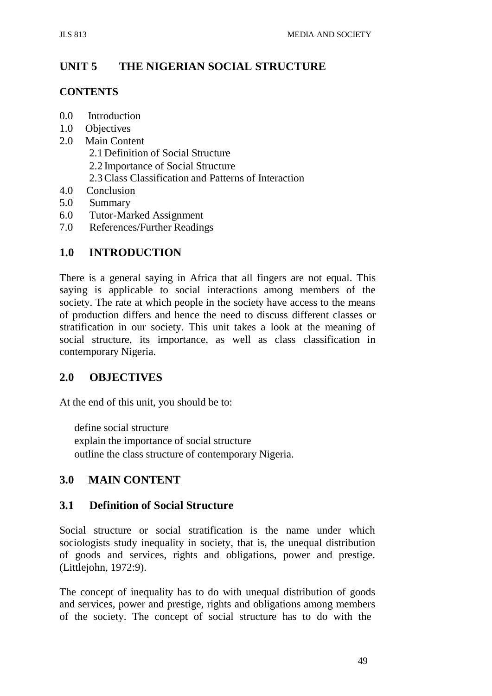# **UNIT 5 THE NIGERIAN SOCIAL STRUCTURE**

### **CONTENTS**

- 0.0 Introduction
- 1.0 Objectives
- 2.0 Main Content
	- 2.1 Definition of Social Structure
	- 2.2 Importance of Social Structure
	- 2.3Class Classification and Patterns of Interaction
- 4.0 Conclusion
- 5.0 Summary
- 6.0 Tutor-Marked Assignment
- 7.0 References/Further Readings

## **1.0 INTRODUCTION**

There is a general saying in Africa that all fingers are not equal. This saying is applicable to social interactions among members of the society. The rate at which people in the society have access to the means of production differs and hence the need to discuss different classes or stratification in our society. This unit takes a look at the meaning of social structure, its importance, as well as class classification in contemporary Nigeria.

## **2.0 OBJECTIVES**

At the end of this unit, you should be to:

define social structure explain the importance of social structure outline the class structure of contemporary Nigeria.

## **3.0 MAIN CONTENT**

## **3.1 Definition of Social Structure**

Social structure or social stratification is the name under which sociologists study inequality in society, that is, the unequal distribution of goods and services, rights and obligations, power and prestige. (Littlejohn, 1972:9).

The concept of inequality has to do with unequal distribution of goods and services, power and prestige, rights and obligations among members of the society. The concept of social structure has to do with the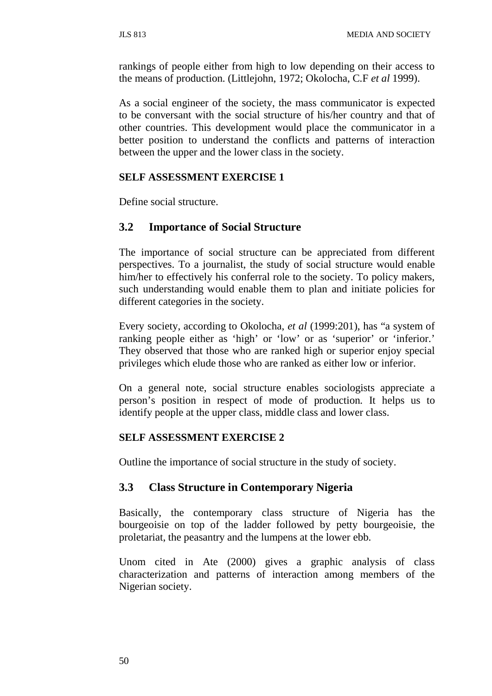rankings of people either from high to low depending on their access to the means of production. (Littlejohn, 1972; Okolocha, C.F *et al* 1999).

As a social engineer of the society, the mass communicator is expected to be conversant with the social structure of his/her country and that of other countries. This development would place the communicator in a better position to understand the conflicts and patterns of interaction between the upper and the lower class in the society.

### **SELF ASSESSMENT EXERCISE 1**

Define social structure.

## **3.2 Importance of Social Structure**

The importance of social structure can be appreciated from different perspectives. To a journalist, the study of social structure would enable him/her to effectively his conferral role to the society. To policy makers, such understanding would enable them to plan and initiate policies for different categories in the society.

Every society, according to Okolocha, *et al* (1999:201), has "a system of ranking people either as 'high' or 'low' or as 'superior' or 'inferior.' They observed that those who are ranked high or superior enjoy special privileges which elude those who are ranked as either low or inferior.

On a general note, social structure enables sociologists appreciate a person's position in respect of mode of production. It helps us to identify people at the upper class, middle class and lower class.

#### **SELF ASSESSMENT EXERCISE 2**

Outline the importance of social structure in the study of society.

## **3.3 Class Structure in Contemporary Nigeria**

Basically, the contemporary class structure of Nigeria has the bourgeoisie on top of the ladder followed by petty bourgeoisie, the proletariat, the peasantry and the lumpens at the lower ebb.

Unom cited in Ate (2000) gives a graphic analysis of class characterization and patterns of interaction among members of the Nigerian society.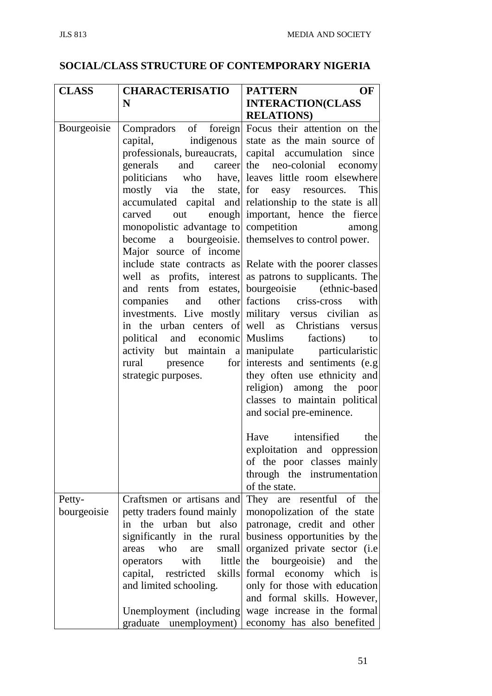# **SOCIAL/CLASS STRUCTURE OF CONTEMPORARY NIGERIA**

| <b>CLASS</b>          | <b>CHARACTERISATIO</b>                                                                                                                                                                                                                                                  | <b>PATTERN</b><br>OF                                                                                                                                                                                                                                                                                                                                                                                                                                                                                                                                                                                                                                                                                                                                                                                                                                                                                                                                                                                                                                                                                           |
|-----------------------|-------------------------------------------------------------------------------------------------------------------------------------------------------------------------------------------------------------------------------------------------------------------------|----------------------------------------------------------------------------------------------------------------------------------------------------------------------------------------------------------------------------------------------------------------------------------------------------------------------------------------------------------------------------------------------------------------------------------------------------------------------------------------------------------------------------------------------------------------------------------------------------------------------------------------------------------------------------------------------------------------------------------------------------------------------------------------------------------------------------------------------------------------------------------------------------------------------------------------------------------------------------------------------------------------------------------------------------------------------------------------------------------------|
|                       | N                                                                                                                                                                                                                                                                       | <b>INTERACTION(CLASS</b>                                                                                                                                                                                                                                                                                                                                                                                                                                                                                                                                                                                                                                                                                                                                                                                                                                                                                                                                                                                                                                                                                       |
|                       |                                                                                                                                                                                                                                                                         | <b>RELATIONS</b> )                                                                                                                                                                                                                                                                                                                                                                                                                                                                                                                                                                                                                                                                                                                                                                                                                                                                                                                                                                                                                                                                                             |
| Bourgeoisie           | generals<br>carved<br>out<br>monopolistic advantage to competition<br>Major source of income<br>companies<br>investments. Live mostly military versus civilian<br>political and economic Muslims factions)<br>rural presence<br>strategic purposes.                     | Compradors of foreign Focus their attention on the<br>capital, indigenous state as the main source of<br>professionals, bureaucrats, capital accumulation since<br>and career the neo-colonial economy<br>politicians who have, leaves little room elsewhere<br>mostly via the state, for easy resources. This<br>accumulated capital and relationship to the state is all<br>enough important, hence the fierce<br>among<br>become a bourgeoisie. themselves to control power.<br>include state contracts as Relate with the poorer classes<br>well as profits, interest as patrons to supplicants. The<br>and rents from estates, bourgeoisie (ethnic-based<br>and other factions criss-cross with<br>as<br>in the urban centers of well as Christians versus<br>to<br>activity but maintain a manipulate particularistic<br>for interests and sentiments (e.g)<br>they often use ethnicity and<br>religion) among the poor<br>classes to maintain political<br>and social pre-eminence.<br>Have intensified the<br>exploitation and oppression<br>of the poor classes mainly<br>through the instrumentation |
|                       |                                                                                                                                                                                                                                                                         | of the state.                                                                                                                                                                                                                                                                                                                                                                                                                                                                                                                                                                                                                                                                                                                                                                                                                                                                                                                                                                                                                                                                                                  |
| Petty-<br>bourgeoisie | Craftsmen or artisans and<br>petty traders found mainly<br>also<br>in the urban but<br>significantly in the rural<br>who<br>small<br>are<br>areas<br>with<br>little<br>operators<br>capital, restricted<br>skills<br>and limited schooling.<br>Unemployment (including) | They are resentful of the<br>monopolization of the state<br>patronage, credit and other<br>business opportunities by the<br>organized private sector (i.e<br>the bourgeoisie) and<br>the<br>formal economy which is<br>only for those with education<br>and formal skills. However,<br>wage increase in the formal                                                                                                                                                                                                                                                                                                                                                                                                                                                                                                                                                                                                                                                                                                                                                                                             |
|                       | graduate unemployment)                                                                                                                                                                                                                                                  | economy has also benefited                                                                                                                                                                                                                                                                                                                                                                                                                                                                                                                                                                                                                                                                                                                                                                                                                                                                                                                                                                                                                                                                                     |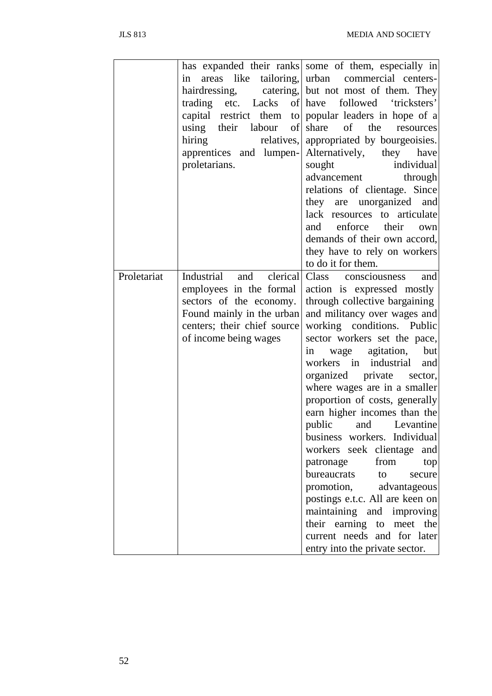|             |                             | has expanded their ranks some of them, especially in  |  |  |
|-------------|-----------------------------|-------------------------------------------------------|--|--|
|             | areas like<br>in            | tailoring, urban commercial centers-                  |  |  |
|             |                             | hairdressing, catering, but not most of them. They    |  |  |
|             |                             | trading etc. Lacks of have followed 'tricksters'      |  |  |
|             |                             | capital restrict them to popular leaders in hope of a |  |  |
|             | using their labour of       | of<br>the<br>share<br>resources                       |  |  |
|             | hiring<br>relatives,        | appropriated by bourgeoisies.                         |  |  |
|             | apprentices and lumpen-     | Alternatively,<br>they have                           |  |  |
|             | proletarians.               | sought<br>individual                                  |  |  |
|             |                             | advancement<br>through                                |  |  |
|             |                             | relations of clientage. Since                         |  |  |
|             |                             | they are unorganized and                              |  |  |
|             |                             | lack resources to articulate                          |  |  |
|             |                             | enforce their<br>and<br>own                           |  |  |
|             |                             | demands of their own accord,                          |  |  |
|             |                             | they have to rely on workers                          |  |  |
|             |                             | to do it for them.                                    |  |  |
| Proletariat | Industrial<br>and clerical  | Class consciousness<br>and                            |  |  |
|             | employees in the formal     | action is expressed mostly                            |  |  |
|             | sectors of the economy.     | through collective bargaining                         |  |  |
|             | Found mainly in the urban   | and militancy over wages and                          |  |  |
|             | centers; their chief source | working conditions. Public                            |  |  |
|             | of income being wages       | sector workers set the pace,                          |  |  |
|             |                             | wage agitation,<br>but<br>1n                          |  |  |
|             |                             | workers in industrial<br>and                          |  |  |
|             |                             | organized private sector,                             |  |  |
|             |                             | where wages are in a smaller                          |  |  |
|             |                             | proportion of costs, generally                        |  |  |
|             |                             | earn higher incomes than the                          |  |  |
|             |                             | public<br>Levantine                                   |  |  |
|             |                             | and                                                   |  |  |
|             |                             | business workers. Individual                          |  |  |
|             |                             | workers seek clientage and                            |  |  |
|             |                             | from<br>patronage<br>top                              |  |  |
|             |                             | bureaucrats to<br>secure                              |  |  |
|             |                             | promotion, advantageous                               |  |  |
|             |                             | postings e.t.c. All are keen on                       |  |  |
|             |                             | maintaining and improving                             |  |  |
|             |                             | their earning to meet the                             |  |  |
|             |                             | current needs and for later                           |  |  |
|             |                             | entry into the private sector.                        |  |  |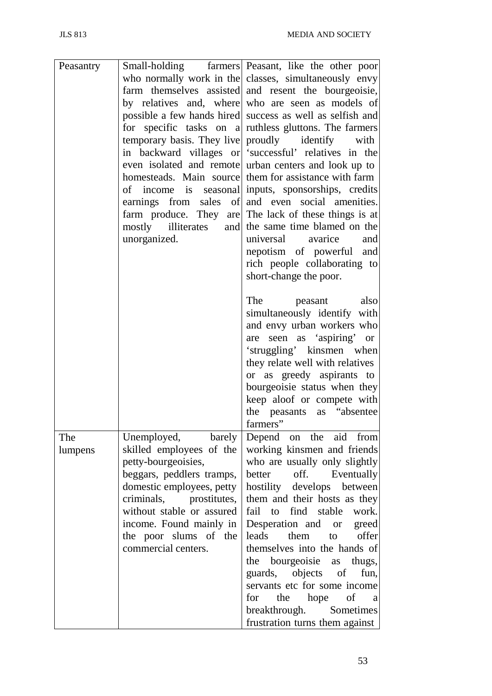| Peasantry |                           | Small-holding farmers Peasant, like the other poor        |
|-----------|---------------------------|-----------------------------------------------------------|
|           |                           | who normally work in the classes, simultaneously envy     |
|           |                           | farm themselves assisted and resent the bourgeoisie,      |
|           |                           | by relatives and, where who are seen as models of         |
|           |                           | possible a few hands hired success as well as selfish and |
|           |                           | for specific tasks on a ruthless gluttons. The farmers    |
|           |                           | temporary basis. They live proudly identify with          |
|           |                           | in backward villages or successful' relatives in the      |
|           |                           | even isolated and remote urban centers and look up to     |
|           |                           | homesteads. Main source them for assistance with farm     |
|           |                           | of income is seasonal inputs, sponsorships, credits       |
|           |                           | earnings from sales of and even social amenities.         |
|           |                           | farm produce. They are The lack of these things is at     |
|           |                           | mostly illiterates and the same time blamed on the        |
|           | unorganized.              | universal avarice and                                     |
|           |                           |                                                           |
|           |                           | nepotism of powerful and                                  |
|           |                           | rich people collaborating to                              |
|           |                           | short-change the poor.                                    |
|           |                           | also<br>The<br>peasant                                    |
|           |                           |                                                           |
|           |                           | simultaneously identify with                              |
|           |                           | and envy urban workers who                                |
|           |                           | are seen as 'aspiring' or                                 |
|           |                           | 'struggling' kinsmen when                                 |
|           |                           | they relate well with relatives                           |
|           |                           | or as greedy aspirants to                                 |
|           |                           | bourgeoisie status when they                              |
|           |                           | keep aloof or compete with                                |
|           |                           | the peasants as "absentee                                 |
|           |                           | farmers"                                                  |
| The       |                           | Unemployed, barely Depend on the aid from                 |
| lumpens   | skilled employees of the  | working kinsmen and friends                               |
|           | petty-bourgeoisies,       | who are usually only slightly                             |
|           | beggars, peddlers tramps, | off.<br>better<br>Eventually                              |
|           | domestic employees, petty | hostility develops between                                |
|           | criminals, prostitutes,   | them and their hosts as they                              |
|           | without stable or assured | fail to find stable<br>work.                              |
|           | income. Found mainly in   |                                                           |
|           |                           | Desperation and or greed<br>them to offer<br>leads        |
|           | the poor slums of the     |                                                           |
|           | commercial centers.       | themselves into the hands of                              |
|           |                           | the bourgeoisie as thugs,                                 |
|           |                           | guards, objects of<br>fun,                                |
|           |                           | servants etc for some income                              |
|           |                           | the hope of<br>for<br>$\mathbf a$                         |
|           |                           | breakthrough. Sometimes                                   |
|           |                           | frustration turns them against                            |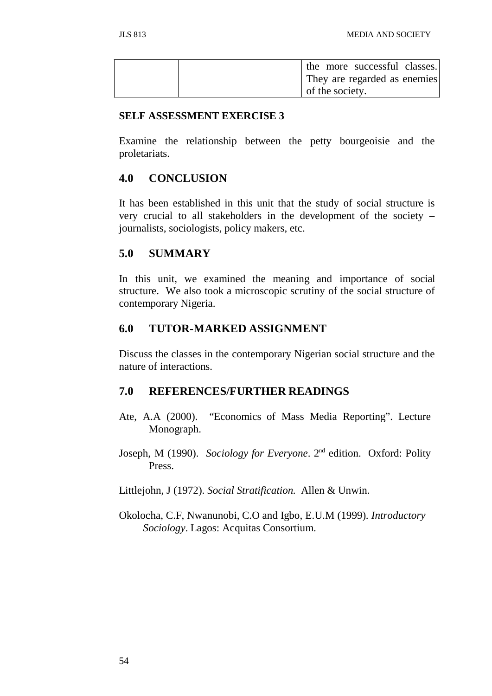|  |                 | the more successful classes. |  |
|--|-----------------|------------------------------|--|
|  |                 | They are regarded as enemies |  |
|  | of the society. |                              |  |

#### **SELF ASSESSMENT EXERCISE 3**

Examine the relationship between the petty bourgeoisie and the proletariats.

## **4.0 CONCLUSION**

It has been established in this unit that the study of social structure is very crucial to all stakeholders in the development of the society – journalists, sociologists, policy makers, etc.

## **5.0 SUMMARY**

In this unit, we examined the meaning and importance of social structure. We also took a microscopic scrutiny of the social structure of contemporary Nigeria.

## **6.0 TUTOR-MARKED ASSIGNMENT**

Discuss the classes in the contemporary Nigerian social structure and the nature of interactions.

## **7.0 REFERENCES/FURTHER READINGS**

- Ate, A.A (2000). "Economics of Mass Media Reporting". Lecture Monograph.
- Joseph, M (1990). *Sociology for Everyone*. 2nd edition. Oxford: Polity Press.

Littlejohn, J (1972). *Social Stratification.* Allen & Unwin.

Okolocha, C.F, Nwanunobi, C.O and Igbo, E.U.M (1999). *Introductory Sociology*. Lagos: Acquitas Consortium.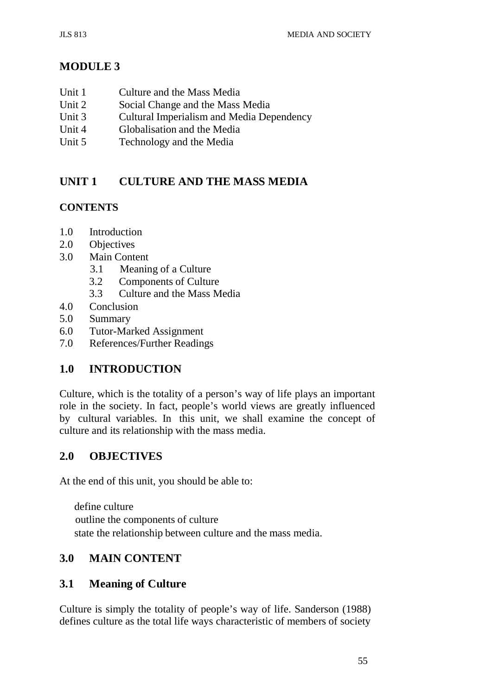# **MODULE 3**

- Unit 1 Culture and the Mass Media
- Unit 2 Social Change and the Mass Media<br>Unit 3 Cultural Imperialism and Media Dep
- Cultural Imperialism and Media Dependency
- Unit 4 Globalisation and the Media
- Unit 5 Technology and the Media

# **UNIT 1 CULTURE AND THE MASS MEDIA**

## **CONTENTS**

- 1.0 Introduction
- 2.0 Objectives
- 3.0 Main Content
	- 3.1 Meaning of a Culture
	- 3.2 Components of Culture
	- 3.3 Culture and the Mass Media
- 4.0 Conclusion
- 5.0 Summary
- 6.0 Tutor-Marked Assignment
- 7.0 References/Further Readings

# **1.0 INTRODUCTION**

Culture, which is the totality of a person's way of life plays an important role in the society. In fact, people's world views are greatly influenced by cultural variables. In this unit, we shall examine the concept of culture and its relationship with the mass media.

## **2.0 OBJECTIVES**

At the end of this unit, you should be able to:

define culture outline the components of culture state the relationship between culture and the mass media.

# **3.0 MAIN CONTENT**

## **3.1 Meaning of Culture**

Culture is simply the totality of people's way of life. Sanderson (1988) defines culture as the total life ways characteristic of members of society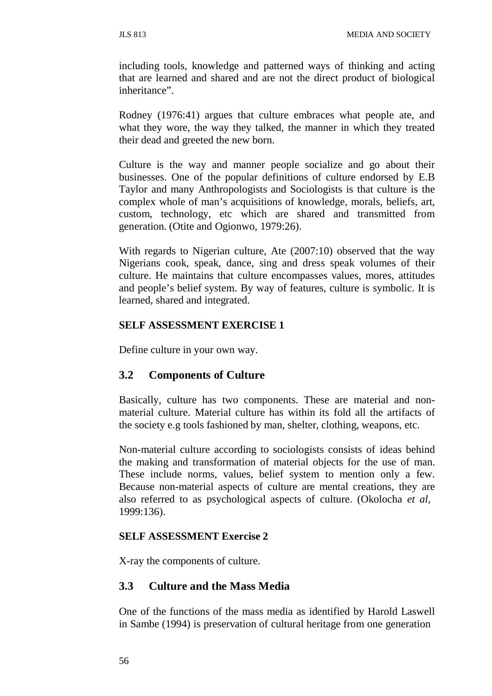including tools, knowledge and patterned ways of thinking and acting that are learned and shared and are not the direct product of biological inheritance".

Rodney (1976:41) argues that culture embraces what people ate, and what they wore, the way they talked, the manner in which they treated their dead and greeted the new born.

Culture is the way and manner people socialize and go about their businesses. One of the popular definitions of culture endorsed by E.B Taylor and many Anthropologists and Sociologists is that culture is the complex whole of man's acquisitions of knowledge, morals, beliefs, art, custom, technology, etc which are shared and transmitted from generation. (Otite and Ogionwo, 1979:26).

With regards to Nigerian culture, Ate (2007:10) observed that the way Nigerians cook, speak, dance, sing and dress speak volumes of their culture. He maintains that culture encompasses values, mores, attitudes and people's belief system. By way of features, culture is symbolic. It is learned, shared and integrated.

## **SELF ASSESSMENT EXERCISE 1**

Define culture in your own way.

## **3.2 Components of Culture**

Basically, culture has two components. These are material and nonmaterial culture. Material culture has within its fold all the artifacts of the society e.g tools fashioned by man, shelter, clothing, weapons, etc.

Non-material culture according to sociologists consists of ideas behind the making and transformation of material objects for the use of man. These include norms, values, belief system to mention only a few. Because non-material aspects of culture are mental creations, they are also referred to as psychological aspects of culture. (Okolocha *et al*, 1999:136).

## **SELF ASSESSMENT Exercise 2**

X-ray the components of culture.

## **3.3 Culture and the Mass Media**

One of the functions of the mass media as identified by Harold Laswell in Sambe (1994) is preservation of cultural heritage from one generation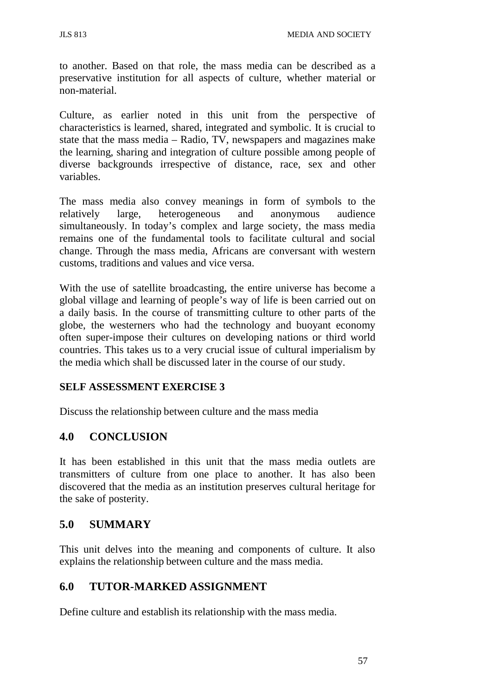to another. Based on that role, the mass media can be described as a preservative institution for all aspects of culture, whether material or non-material.

Culture, as earlier noted in this unit from the perspective of characteristics is learned, shared, integrated and symbolic. It is crucial to state that the mass media – Radio, TV, newspapers and magazines make the learning, sharing and integration of culture possible among people of diverse backgrounds irrespective of distance, race, sex and other variables.

The mass media also convey meanings in form of symbols to the relatively large, heterogeneous and anonymous audience simultaneously. In today's complex and large society, the mass media remains one of the fundamental tools to facilitate cultural and social change. Through the mass media, Africans are conversant with western customs, traditions and values and vice versa.

With the use of satellite broadcasting, the entire universe has become a global village and learning of people's way of life is been carried out on a daily basis. In the course of transmitting culture to other parts of the globe, the westerners who had the technology and buoyant economy often super-impose their cultures on developing nations or third world countries. This takes us to a very crucial issue of cultural imperialism by the media which shall be discussed later in the course of our study.

### **SELF ASSESSMENT EXERCISE 3**

Discuss the relationship between culture and the mass media

# **4.0 CONCLUSION**

It has been established in this unit that the mass media outlets are transmitters of culture from one place to another. It has also been discovered that the media as an institution preserves cultural heritage for the sake of posterity.

### **5.0 SUMMARY**

This unit delves into the meaning and components of culture. It also explains the relationship between culture and the mass media.

# **6.0 TUTOR-MARKED ASSIGNMENT**

Define culture and establish its relationship with the mass media.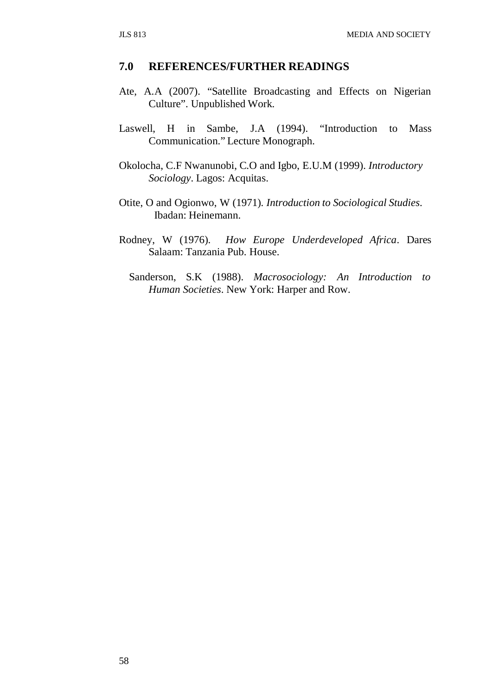#### **7.0 REFERENCES/FURTHER READINGS**

- Ate, A.A (2007). "Satellite Broadcasting and Effects on Nigerian Culture". Unpublished Work.
- Laswell, H in Sambe, J.A (1994). "Introduction to Mass Communication." Lecture Monograph.
- Okolocha, C.F Nwanunobi, C.O and Igbo, E.U.M (1999). *Introductory Sociology*. Lagos: Acquitas.
- Otite, O and Ogionwo, W (1971). *Introduction to Sociological Studies*. Ibadan: Heinemann.
- Rodney, W (1976). *How Europe Underdeveloped Africa*. Dares Salaam: Tanzania Pub. House.
	- Sanderson, S.K (1988). *Macrosociology: An Introduction to Human Societies*. New York: Harper and Row.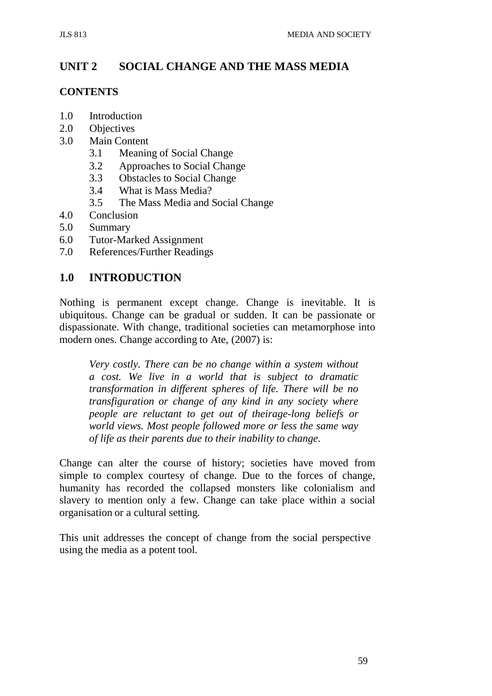# **UNIT 2 SOCIAL CHANGE AND THE MASS MEDIA**

#### **CONTENTS**

- 1.0 Introduction
- 2.0 Objectives
- 3.0 Main Content
	- 3.1 Meaning of Social Change
	- 3.2 Approaches to Social Change
	- 3.3 Obstacles to Social Change
	- 3.4 What is Mass Media?
	- 3.5 The Mass Media and Social Change
- 4.0 Conclusion
- 5.0 Summary
- 6.0 Tutor-Marked Assignment
- 7.0 References/Further Readings

### **1.0 INTRODUCTION**

Nothing is permanent except change. Change is inevitable. It is ubiquitous. Change can be gradual or sudden. It can be passionate or dispassionate. With change, traditional societies can metamorphose into modern ones. Change according to Ate, (2007) is:

*Very costly. There can be no change within a system without a cost. We live in a world that is subject to dramatic transformation in different spheres of life. There will be no transfiguration or change of any kind in any society where people are reluctant to get out of theirage-long beliefs or world views. Most people followed more or less the same way of life as their parents due to their inability to change.*

Change can alter the course of history; societies have moved from simple to complex courtesy of change. Due to the forces of change, humanity has recorded the collapsed monsters like colonialism and slavery to mention only a few. Change can take place within a social organisation or a cultural setting.

This unit addresses the concept of change from the social perspective using the media as a potent tool.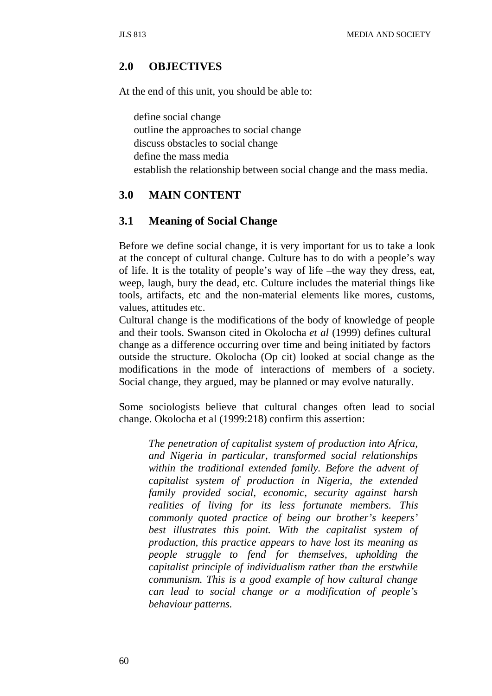### **2.0 OBJECTIVES**

At the end of this unit, you should be able to:

define social change outline the approaches to social change discuss obstacles to social change define the mass media establish the relationship between social change and the mass media.

## **3.0 MAIN CONTENT**

### **3.1 Meaning of Social Change**

Before we define social change, it is very important for us to take a look at the concept of cultural change. Culture has to do with a people's way of life. It is the totality of people's way of life –the way they dress, eat, weep, laugh, bury the dead, etc. Culture includes the material things like tools, artifacts, etc and the non-material elements like mores, customs, values, attitudes etc.

Cultural change is the modifications of the body of knowledge of people and their tools. Swanson cited in Okolocha *et al* (1999) defines cultural change as a difference occurring over time and being initiated by factors outside the structure. Okolocha (Op cit) looked at social change as the modifications in the mode of interactions of members of a society. Social change, they argued, may be planned or may evolve naturally.

Some sociologists believe that cultural changes often lead to social change. Okolocha et al (1999:218) confirm this assertion:

*The penetration of capitalist system of production into Africa, and Nigeria in particular, transformed social relationships within the traditional extended family. Before the advent of capitalist system of production in Nigeria, the extended family provided social, economic, security against harsh realities of living for its less fortunate members. This commonly quoted practice of being our brother's keepers' best illustrates this point. With the capitalist system of production, this practice appears to have lost its meaning as people struggle to fend for themselves, upholding the capitalist principle of individualism rather than the erstwhile communism. This is a good example of how cultural change can lead to social change or a modification of people's behaviour patterns.*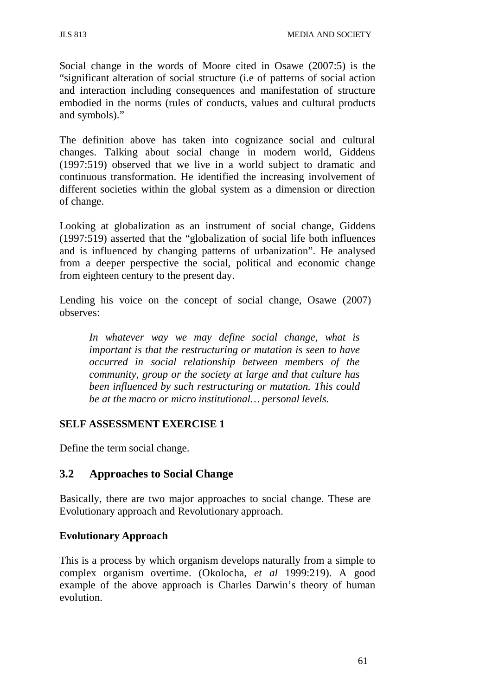Social change in the words of Moore cited in Osawe (2007:5) is the "significant alteration of social structure (i.e of patterns of social action and interaction including consequences and manifestation of structure embodied in the norms (rules of conducts, values and cultural products and symbols)."

The definition above has taken into cognizance social and cultural changes. Talking about social change in modern world, Giddens (1997:519) observed that we live in a world subject to dramatic and continuous transformation. He identified the increasing involvement of different societies within the global system as a dimension or direction of change.

Looking at globalization as an instrument of social change, Giddens (1997:519) asserted that the "globalization of social life both influences and is influenced by changing patterns of urbanization". He analysed from a deeper perspective the social, political and economic change from eighteen century to the present day.

Lending his voice on the concept of social change, Osawe (2007) observes:

*In whatever way we may define social change, what is important is that the restructuring or mutation is seen to have occurred in social relationship between members of the community, group or the society at large and that culture has been influenced by such restructuring or mutation. This could be at the macro or micro institutional… personal levels.*

#### **SELF ASSESSMENT EXERCISE 1**

Define the term social change.

# **3.2 Approaches to Social Change**

Basically, there are two major approaches to social change. These are Evolutionary approach and Revolutionary approach.

### **Evolutionary Approach**

This is a process by which organism develops naturally from a simple to complex organism overtime. (Okolocha, *et al* 1999:219). A good example of the above approach is Charles Darwin's theory of human evolution.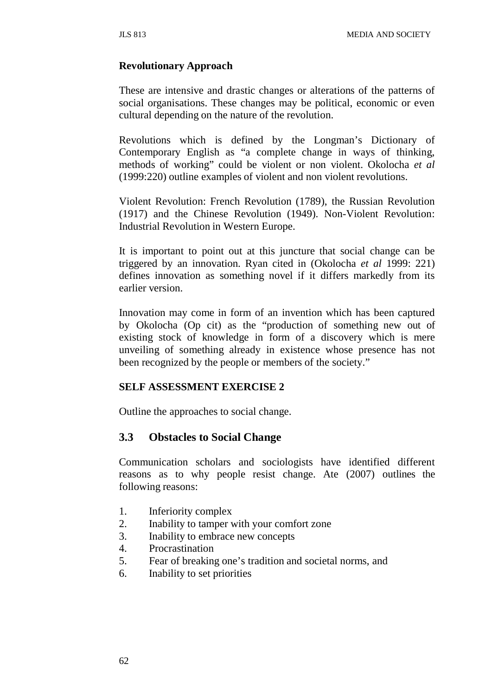### **Revolutionary Approach**

These are intensive and drastic changes or alterations of the patterns of social organisations. These changes may be political, economic or even cultural depending on the nature of the revolution.

Revolutions which is defined by the Longman's Dictionary of Contemporary English as "a complete change in ways of thinking, methods of working" could be violent or non violent. Okolocha *et al*  (1999:220) outline examples of violent and non violent revolutions.

Violent Revolution: French Revolution (1789), the Russian Revolution (1917) and the Chinese Revolution (1949). Non-Violent Revolution: Industrial Revolution in Western Europe.

It is important to point out at this juncture that social change can be triggered by an innovation. Ryan cited in (Okolocha *et al* 1999: 221) defines innovation as something novel if it differs markedly from its earlier version.

Innovation may come in form of an invention which has been captured by Okolocha (Op cit) as the "production of something new out of existing stock of knowledge in form of a discovery which is mere unveiling of something already in existence whose presence has not been recognized by the people or members of the society."

#### **SELF ASSESSMENT EXERCISE 2**

Outline the approaches to social change.

# **3.3 Obstacles to Social Change**

Communication scholars and sociologists have identified different reasons as to why people resist change. Ate (2007) outlines the following reasons:

- 1. Inferiority complex
- 2. Inability to tamper with your comfort zone
- 3. Inability to embrace new concepts
- 4. Procrastination
- 5. Fear of breaking one's tradition and societal norms, and
- 6. Inability to set priorities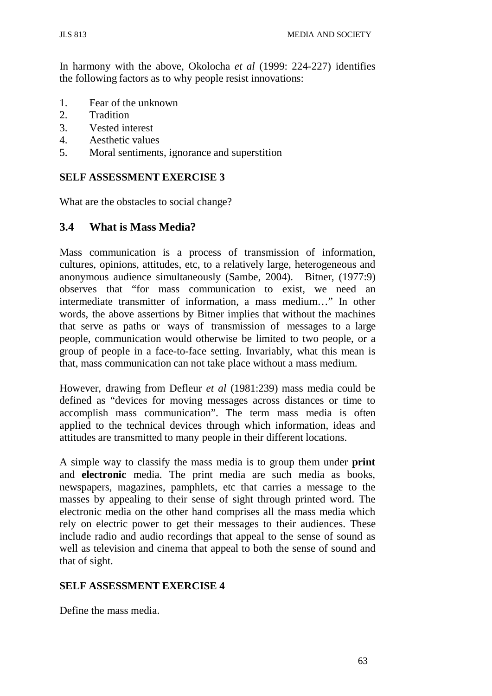In harmony with the above, Okolocha *et al* (1999: 224-227) identifies the following factors as to why people resist innovations:

- 1. Fear of the unknown
- 2. Tradition
- 3. Vested interest
- 4. Aesthetic values
- 5. Moral sentiments, ignorance and superstition

### **SELF ASSESSMENT EXERCISE 3**

What are the obstacles to social change?

### **3.4 What is Mass Media?**

Mass communication is a process of transmission of information, cultures, opinions, attitudes, etc, to a relatively large, heterogeneous and anonymous audience simultaneously (Sambe, 2004). Bitner, (1977:9) observes that "for mass communication to exist, we need an intermediate transmitter of information, a mass medium…" In other words, the above assertions by Bitner implies that without the machines that serve as paths or ways of transmission of messages to a large people, communication would otherwise be limited to two people, or a group of people in a face-to-face setting. Invariably, what this mean is that, mass communication can not take place without a mass medium.

However, drawing from Defleur *et al* (1981:239) mass media could be defined as "devices for moving messages across distances or time to accomplish mass communication". The term mass media is often applied to the technical devices through which information, ideas and attitudes are transmitted to many people in their different locations.

A simple way to classify the mass media is to group them under **print**  and **electronic** media. The print media are such media as books, newspapers, magazines, pamphlets, etc that carries a message to the masses by appealing to their sense of sight through printed word. The electronic media on the other hand comprises all the mass media which rely on electric power to get their messages to their audiences. These include radio and audio recordings that appeal to the sense of sound as well as television and cinema that appeal to both the sense of sound and that of sight.

#### **SELF ASSESSMENT EXERCISE 4**

Define the mass media.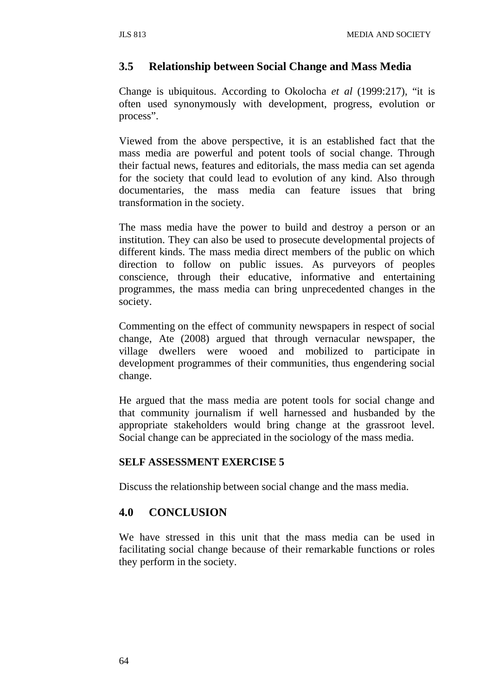## **3.5 Relationship between Social Change and Mass Media**

Change is ubiquitous. According to Okolocha *et al* (1999:217), "it is often used synonymously with development, progress, evolution or process".

Viewed from the above perspective, it is an established fact that the mass media are powerful and potent tools of social change. Through their factual news, features and editorials, the mass media can set agenda for the society that could lead to evolution of any kind. Also through documentaries, the mass media can feature issues that bring transformation in the society.

The mass media have the power to build and destroy a person or an institution. They can also be used to prosecute developmental projects of different kinds. The mass media direct members of the public on which direction to follow on public issues. As purveyors of peoples conscience, through their educative, informative and entertaining programmes, the mass media can bring unprecedented changes in the society.

Commenting on the effect of community newspapers in respect of social change, Ate (2008) argued that through vernacular newspaper, the village dwellers were wooed and mobilized to participate in development programmes of their communities, thus engendering social change.

He argued that the mass media are potent tools for social change and that community journalism if well harnessed and husbanded by the appropriate stakeholders would bring change at the grassroot level. Social change can be appreciated in the sociology of the mass media.

#### **SELF ASSESSMENT EXERCISE 5**

Discuss the relationship between social change and the mass media.

# **4.0 CONCLUSION**

We have stressed in this unit that the mass media can be used in facilitating social change because of their remarkable functions or roles they perform in the society.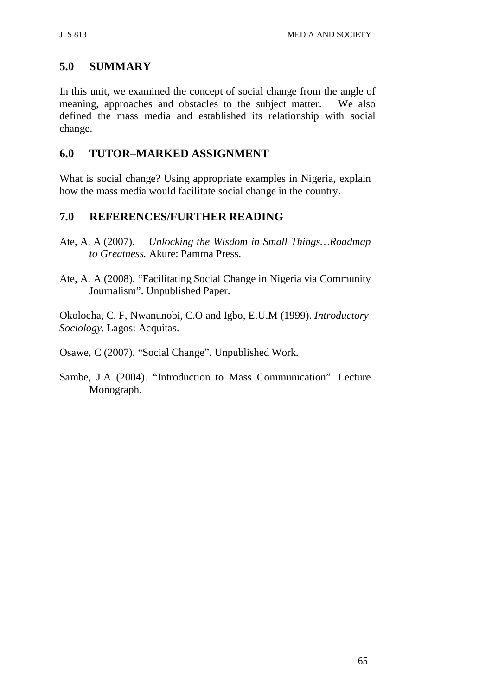# **5.0 SUMMARY**

In this unit, we examined the concept of social change from the angle of meaning, approaches and obstacles to the subject matter. We also defined the mass media and established its relationship with social change.

# **6.0 TUTOR–MARKED ASSIGNMENT**

What is social change? Using appropriate examples in Nigeria, explain how the mass media would facilitate social change in the country.

# **7.0 REFERENCES/FURTHER READING**

- Ate, A. A (2007). *Unlocking the Wisdom in Small Things…Roadmap to Greatness.* Akure: Pamma Press.
- Ate, A. A (2008). "Facilitating Social Change in Nigeria via Community Journalism". Unpublished Paper.

Okolocha, C. F, Nwanunobi, C.O and Igbo, E.U.M (1999). *Introductory Sociology.* Lagos: Acquitas.

Osawe, C (2007). "Social Change". Unpublished Work.

Sambe, J.A (2004). "Introduction to Mass Communication". Lecture Monograph.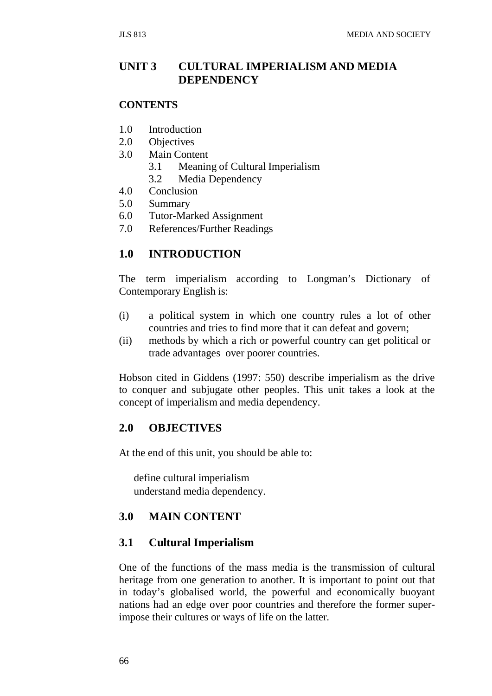# **UNIT 3 CULTURAL IMPERIALISM AND MEDIA DEPENDENCY**

#### **CONTENTS**

- 1.0 Introduction
- 2.0 Objectives
- 3.0 Main Content
	- 3.1 Meaning of Cultural Imperialism
	- 3.2 Media Dependency
- 4.0 Conclusion
- 5.0 Summary
- 6.0 Tutor-Marked Assignment
- 7.0 References/Further Readings

# **1.0 INTRODUCTION**

The term imperialism according to Longman's Dictionary of Contemporary English is:

- (i) a political system in which one country rules a lot of other countries and tries to find more that it can defeat and govern;
- (ii) methods by which a rich or powerful country can get political or trade advantages over poorer countries.

Hobson cited in Giddens (1997: 550) describe imperialism as the drive to conquer and subjugate other peoples. This unit takes a look at the concept of imperialism and media dependency.

### **2.0 OBJECTIVES**

At the end of this unit, you should be able to:

define cultural imperialism understand media dependency.

### **3.0 MAIN CONTENT**

### **3.1 Cultural Imperialism**

One of the functions of the mass media is the transmission of cultural heritage from one generation to another. It is important to point out that in today's globalised world, the powerful and economically buoyant nations had an edge over poor countries and therefore the former superimpose their cultures or ways of life on the latter.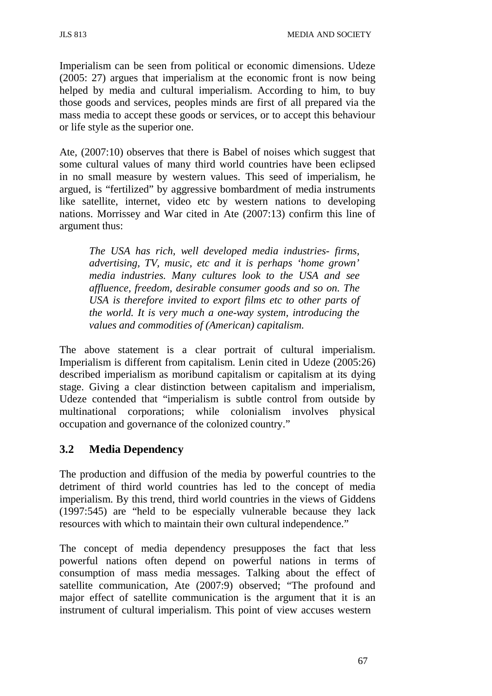Imperialism can be seen from political or economic dimensions. Udeze (2005: 27) argues that imperialism at the economic front is now being helped by media and cultural imperialism. According to him, to buy those goods and services, peoples minds are first of all prepared via the mass media to accept these goods or services, or to accept this behaviour or life style as the superior one.

Ate, (2007:10) observes that there is Babel of noises which suggest that some cultural values of many third world countries have been eclipsed in no small measure by western values. This seed of imperialism, he argued, is "fertilized" by aggressive bombardment of media instruments like satellite, internet, video etc by western nations to developing nations. Morrissey and War cited in Ate (2007:13) confirm this line of argument thus:

*The USA has rich, well developed media industries- firms, advertising, TV, music, etc and it is perhaps 'home grown' media industries. Many cultures look to the USA and see affluence, freedom, desirable consumer goods and so on. The USA is therefore invited to export films etc to other parts of the world. It is very much a one-way system, introducing the values and commodities of (American) capitalism.*

The above statement is a clear portrait of cultural imperialism. Imperialism is different from capitalism. Lenin cited in Udeze (2005:26) described imperialism as moribund capitalism or capitalism at its dying stage. Giving a clear distinction between capitalism and imperialism, Udeze contended that "imperialism is subtle control from outside by multinational corporations; while colonialism involves physical occupation and governance of the colonized country."

# **3.2 Media Dependency**

The production and diffusion of the media by powerful countries to the detriment of third world countries has led to the concept of media imperialism. By this trend, third world countries in the views of Giddens (1997:545) are "held to be especially vulnerable because they lack resources with which to maintain their own cultural independence."

The concept of media dependency presupposes the fact that less powerful nations often depend on powerful nations in terms of consumption of mass media messages. Talking about the effect of satellite communication, Ate (2007:9) observed; "The profound and major effect of satellite communication is the argument that it is an instrument of cultural imperialism. This point of view accuses western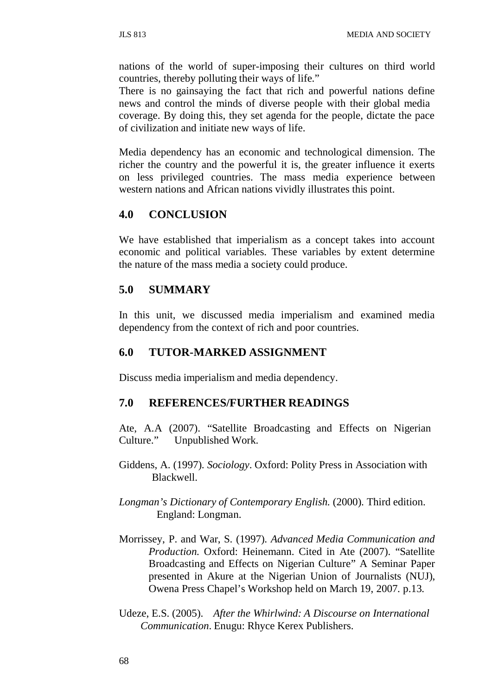nations of the world of super-imposing their cultures on third world countries, thereby polluting their ways of life."

There is no gainsaying the fact that rich and powerful nations define news and control the minds of diverse people with their global media coverage. By doing this, they set agenda for the people, dictate the pace of civilization and initiate new ways of life.

Media dependency has an economic and technological dimension. The richer the country and the powerful it is, the greater influence it exerts on less privileged countries. The mass media experience between western nations and African nations vividly illustrates this point.

### **4.0 CONCLUSION**

We have established that imperialism as a concept takes into account economic and political variables. These variables by extent determine the nature of the mass media a society could produce.

### **5.0 SUMMARY**

In this unit, we discussed media imperialism and examined media dependency from the context of rich and poor countries.

#### **6.0 TUTOR-MARKED ASSIGNMENT**

Discuss media imperialism and media dependency.

#### **7.0 REFERENCES/FURTHER READINGS**

Ate, A.A (2007). "Satellite Broadcasting and Effects on Nigerian Culture." Unpublished Work.

- Giddens, A. (1997). *Sociology*. Oxford: Polity Press in Association with Blackwell.
- *Longman's Dictionary of Contemporary English.* (2000). Third edition. England: Longman.
- Morrissey, P. and War, S. (1997). *Advanced Media Communication and Production.* Oxford: Heinemann. Cited in Ate (2007). "Satellite Broadcasting and Effects on Nigerian Culture" A Seminar Paper presented in Akure at the Nigerian Union of Journalists (NUJ), Owena Press Chapel's Workshop held on March 19, 2007. p.13.
- Udeze, E.S. (2005). *After the Whirlwind: A Discourse on International Communication*. Enugu: Rhyce Kerex Publishers.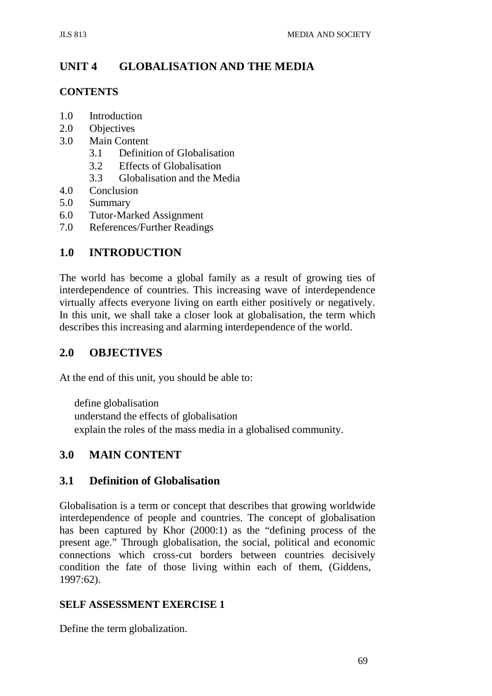# **UNIT 4 GLOBALISATION AND THE MEDIA**

### **CONTENTS**

- 1.0 Introduction
- 2.0 Objectives
- 3.0 Main Content
	- 3.1 Definition of Globalisation
	- 3.2 Effects of Globalisation
	- 3.3 Globalisation and the Media
- 4.0 Conclusion
- 5.0 Summary
- 6.0 Tutor-Marked Assignment
- 7.0 References/Further Readings

# **1.0 INTRODUCTION**

The world has become a global family as a result of growing ties of interdependence of countries. This increasing wave of interdependence virtually affects everyone living on earth either positively or negatively. In this unit, we shall take a closer look at globalisation, the term which describes this increasing and alarming interdependence of the world.

# **2.0 OBJECTIVES**

At the end of this unit, you should be able to:

define globalisation understand the effects of globalisation explain the roles of the mass media in a globalised community.

# **3.0 MAIN CONTENT**

# **3.1 Definition of Globalisation**

Globalisation is a term or concept that describes that growing worldwide interdependence of people and countries. The concept of globalisation has been captured by Khor (2000:1) as the "defining process of the present age." Through globalisation, the social, political and economic connections which cross-cut borders between countries decisively condition the fate of those living within each of them, (Giddens, 1997:62).

### **SELF ASSESSMENT EXERCISE 1**

Define the term globalization.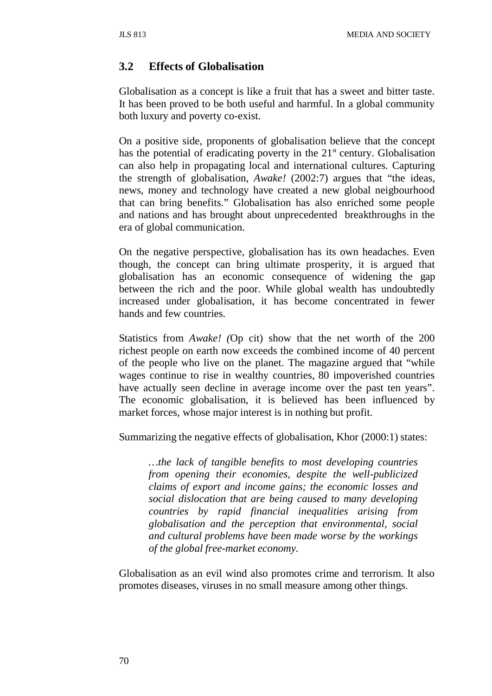### **3.2 Effects of Globalisation**

Globalisation as a concept is like a fruit that has a sweet and bitter taste. It has been proved to be both useful and harmful. In a global community both luxury and poverty co-exist.

On a positive side, proponents of globalisation believe that the concept has the potential of eradicating poverty in the  $21<sup>st</sup>$  century. Globalisation can also help in propagating local and international cultures. Capturing the strength of globalisation, *Awake!* (2002:7) argues that "the ideas, news, money and technology have created a new global neigbourhood that can bring benefits." Globalisation has also enriched some people and nations and has brought about unprecedented breakthroughs in the era of global communication.

On the negative perspective, globalisation has its own headaches. Even though, the concept can bring ultimate prosperity, it is argued that globalisation has an economic consequence of widening the gap between the rich and the poor. While global wealth has undoubtedly increased under globalisation, it has become concentrated in fewer hands and few countries.

Statistics from *Awake! (*Op cit) show that the net worth of the 200 richest people on earth now exceeds the combined income of 40 percent of the people who live on the planet. The magazine argued that "while wages continue to rise in wealthy countries, 80 impoverished countries have actually seen decline in average income over the past ten years". The economic globalisation, it is believed has been influenced by market forces, whose major interest is in nothing but profit.

Summarizing the negative effects of globalisation, Khor (2000:1) states:

*…the lack of tangible benefits to most developing countries from opening their economies, despite the well-publicized claims of export and income gains; the economic losses and social dislocation that are being caused to many developing countries by rapid financial inequalities arising from globalisation and the perception that environmental, social and cultural problems have been made worse by the workings of the global free-market economy.*

Globalisation as an evil wind also promotes crime and terrorism. It also promotes diseases, viruses in no small measure among other things.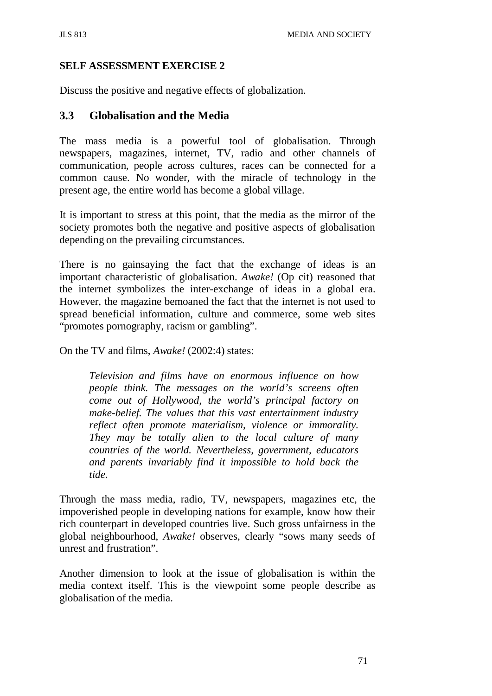### **SELF ASSESSMENT EXERCISE 2**

Discuss the positive and negative effects of globalization.

### **3.3 Globalisation and the Media**

The mass media is a powerful tool of globalisation. Through newspapers, magazines, internet, TV, radio and other channels of communication, people across cultures, races can be connected for a common cause. No wonder, with the miracle of technology in the present age, the entire world has become a global village.

It is important to stress at this point, that the media as the mirror of the society promotes both the negative and positive aspects of globalisation depending on the prevailing circumstances.

There is no gainsaying the fact that the exchange of ideas is an important characteristic of globalisation. *Awake!* (Op cit) reasoned that the internet symbolizes the inter-exchange of ideas in a global era. However, the magazine bemoaned the fact that the internet is not used to spread beneficial information, culture and commerce, some web sites "promotes pornography, racism or gambling".

On the TV and films, *Awake!* (2002:4) states:

*Television and films have on enormous influence on how people think. The messages on the world's screens often come out of Hollywood, the world's principal factory on make-belief. The values that this vast entertainment industry reflect often promote materialism, violence or immorality. They may be totally alien to the local culture of many countries of the world. Nevertheless, government, educators and parents invariably find it impossible to hold back the tide.*

Through the mass media, radio, TV, newspapers, magazines etc, the impoverished people in developing nations for example, know how their rich counterpart in developed countries live. Such gross unfairness in the global neighbourhood, *Awake!* observes, clearly "sows many seeds of unrest and frustration".

Another dimension to look at the issue of globalisation is within the media context itself. This is the viewpoint some people describe as globalisation of the media.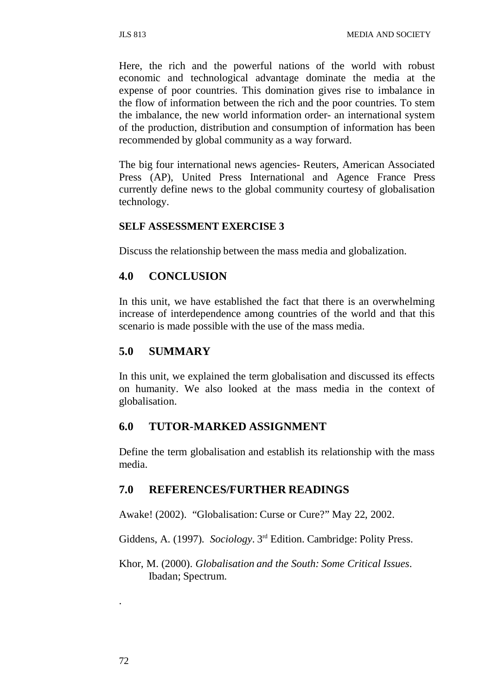Here, the rich and the powerful nations of the world with robust economic and technological advantage dominate the media at the expense of poor countries. This domination gives rise to imbalance in the flow of information between the rich and the poor countries. To stem the imbalance, the new world information order- an international system of the production, distribution and consumption of information has been recommended by global community as a way forward.

The big four international news agencies- Reuters, American Associated Press (AP), United Press International and Agence France Press currently define news to the global community courtesy of globalisation technology.

#### **SELF ASSESSMENT EXERCISE 3**

Discuss the relationship between the mass media and globalization.

### **4.0 CONCLUSION**

In this unit, we have established the fact that there is an overwhelming increase of interdependence among countries of the world and that this scenario is made possible with the use of the mass media.

#### **5.0 SUMMARY**

In this unit, we explained the term globalisation and discussed its effects on humanity. We also looked at the mass media in the context of globalisation.

### **6.0 TUTOR-MARKED ASSIGNMENT**

Define the term globalisation and establish its relationship with the mass media.

### **7.0 REFERENCES/FURTHER READINGS**

Awake! (2002). "Globalisation: Curse or Cure?" May 22, 2002.

Giddens, A. (1997). *Sociology*. 3rd Edition. Cambridge: Polity Press.

Khor, M. (2000). *Globalisation and the South: Some Critical Issues*. Ibadan; Spectrum.

.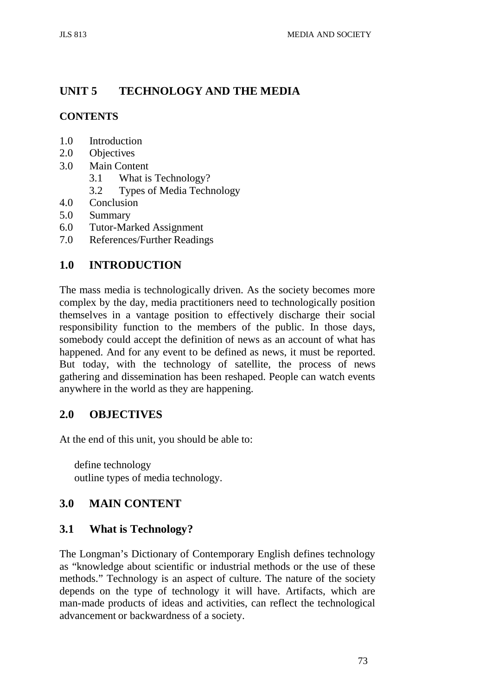# **UNIT 5 TECHNOLOGY AND THE MEDIA**

# **CONTENTS**

- 1.0 Introduction<br>2.0 Objectives
- **Objectives**
- 3.0 Main Content
	- 3.1 What is Technology?
	- 3.2 Types of Media Technology
- 4.0 Conclusion
- 5.0 Summary
- 6.0 Tutor-Marked Assignment
- 7.0 References/Further Readings

# **1.0 INTRODUCTION**

The mass media is technologically driven. As the society becomes more complex by the day, media practitioners need to technologically position themselves in a vantage position to effectively discharge their social responsibility function to the members of the public. In those days, somebody could accept the definition of news as an account of what has happened. And for any event to be defined as news, it must be reported. But today, with the technology of satellite, the process of news gathering and dissemination has been reshaped. People can watch events anywhere in the world as they are happening.

# **2.0 OBJECTIVES**

At the end of this unit, you should be able to:

define technology outline types of media technology.

# **3.0 MAIN CONTENT**

# **3.1 What is Technology?**

The Longman's Dictionary of Contemporary English defines technology as "knowledge about scientific or industrial methods or the use of these methods." Technology is an aspect of culture. The nature of the society depends on the type of technology it will have. Artifacts, which are man-made products of ideas and activities, can reflect the technological advancement or backwardness of a society.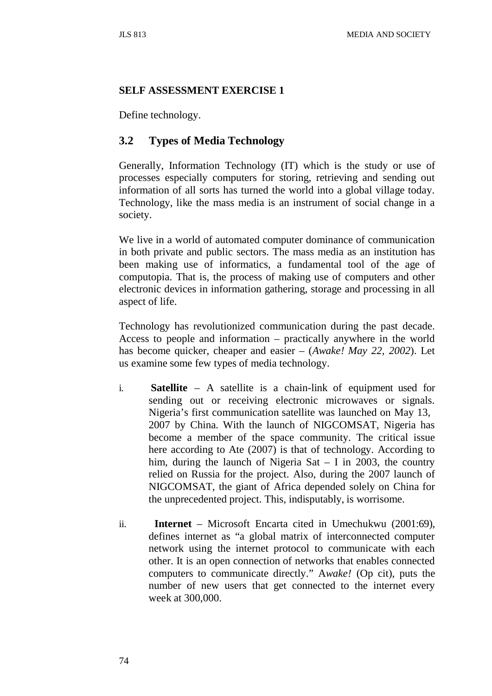#### **SELF ASSESSMENT EXERCISE 1**

Define technology.

# **3.2 Types of Media Technology**

Generally, Information Technology (IT) which is the study or use of processes especially computers for storing, retrieving and sending out information of all sorts has turned the world into a global village today. Technology, like the mass media is an instrument of social change in a society.

We live in a world of automated computer dominance of communication in both private and public sectors. The mass media as an institution has been making use of informatics, a fundamental tool of the age of computopia. That is, the process of making use of computers and other electronic devices in information gathering, storage and processing in all aspect of life.

Technology has revolutionized communication during the past decade. Access to people and information – practically anywhere in the world has become quicker, cheaper and easier – (*Awake! May 22, 2002*). Let us examine some few types of media technology.

- i. **Satellite**  A satellite is a chain-link of equipment used for sending out or receiving electronic microwaves or signals. Nigeria's first communication satellite was launched on May 13, 2007 by China. With the launch of NIGCOMSAT, Nigeria has become a member of the space community. The critical issue here according to Ate (2007) is that of technology. According to him, during the launch of Nigeria Sat – I in 2003, the country relied on Russia for the project. Also, during the 2007 launch of NIGCOMSAT, the giant of Africa depended solely on China for the unprecedented project. This, indisputably, is worrisome.
- ii. **Internet** Microsoft Encarta cited in Umechukwu (2001:69), defines internet as "a global matrix of interconnected computer network using the internet protocol to communicate with each other. It is an open connection of networks that enables connected computers to communicate directly." A*wake!* (Op cit), puts the number of new users that get connected to the internet every week at 300,000.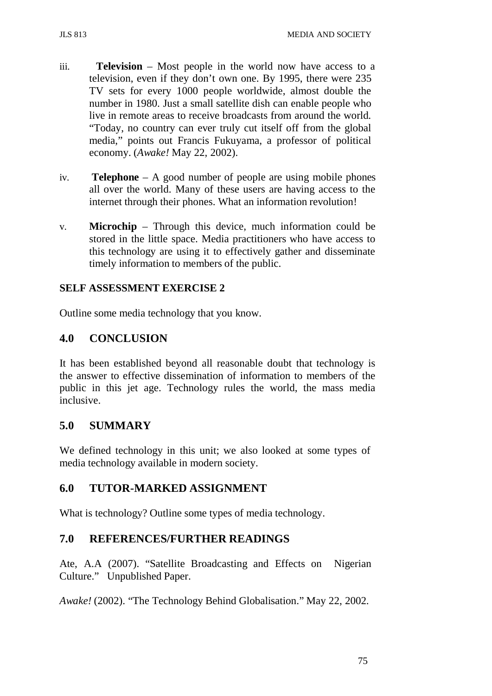- 
- iii. **Television**  Most people in the world now have access to a television, even if they don't own one. By 1995, there were 235 TV sets for every 1000 people worldwide, almost double the number in 1980. Just a small satellite dish can enable people who live in remote areas to receive broadcasts from around the world. "Today, no country can ever truly cut itself off from the global media," points out Francis Fukuyama, a professor of political economy. (*Awake!* May 22, 2002).
- iv. **Telephone** A good number of people are using mobile phones all over the world. Many of these users are having access to the internet through their phones. What an information revolution!
- v. **Microchip** Through this device, much information could be stored in the little space. Media practitioners who have access to this technology are using it to effectively gather and disseminate timely information to members of the public.

## **SELF ASSESSMENT EXERCISE 2**

Outline some media technology that you know.

# **4.0 CONCLUSION**

It has been established beyond all reasonable doubt that technology is the answer to effective dissemination of information to members of the public in this jet age. Technology rules the world, the mass media inclusive.

# **5.0 SUMMARY**

We defined technology in this unit; we also looked at some types of media technology available in modern society.

# **6.0 TUTOR-MARKED ASSIGNMENT**

What is technology? Outline some types of media technology.

# **7.0 REFERENCES/FURTHER READINGS**

Ate, A.A (2007). "Satellite Broadcasting and Effects on Nigerian Culture." Unpublished Paper.

*Awake!* (2002). "The Technology Behind Globalisation." May 22, 2002.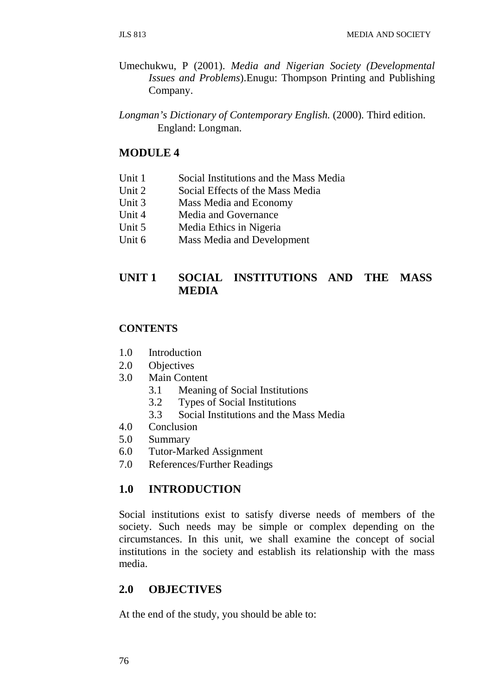- Umechukwu, P (2001). *Media and Nigerian Society (Developmental Issues and Problems*).Enugu: Thompson Printing and Publishing Company.
- *Longman's Dictionary of Contemporary English.* (2000). Third edition. England: Longman.

### **MODULE 4**

- Unit 1 Social Institutions and the Mass Media
- Unit 2 Social Effects of the Mass Media
- Unit 3 Mass Media and Economy
- Unit 4 Media and Governance
- Unit 5 Media Ethics in Nigeria
- Unit 6 Mass Media and Development

## **UNIT 1 SOCIAL INSTITUTIONS AND THE MASS MEDIA**

#### **CONTENTS**

- 1.0 Introduction
- 2.0 Objectives
- 3.0 Main Content
	- 3.1 Meaning of Social Institutions
	- 3.2 Types of Social Institutions
	- 3.3 Social Institutions and the Mass Media
- 4.0 Conclusion
- 5.0 Summary
- 6.0 Tutor-Marked Assignment
- 7.0 References/Further Readings

### **1.0 INTRODUCTION**

Social institutions exist to satisfy diverse needs of members of the society. Such needs may be simple or complex depending on the circumstances. In this unit, we shall examine the concept of social institutions in the society and establish its relationship with the mass media.

## **2.0 OBJECTIVES**

At the end of the study, you should be able to: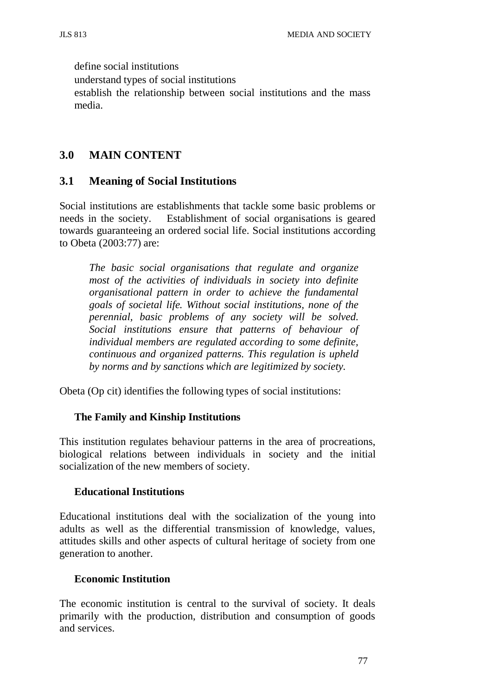define social institutions understand types of social institutions establish the relationship between social institutions and the mass media.

## **3.0 MAIN CONTENT**

### **3.1 Meaning of Social Institutions**

Social institutions are establishments that tackle some basic problems or needs in the society. Establishment of social organisations is geared towards guaranteeing an ordered social life. Social institutions according to Obeta (2003:77) are:

*The basic social organisations that regulate and organize most of the activities of individuals in society into definite organisational pattern in order to achieve the fundamental goals of societal life. Without social institutions, none of the perennial, basic problems of any society will be solved. Social institutions ensure that patterns of behaviour of individual members are regulated according to some definite, continuous and organized patterns. This regulation is upheld by norms and by sanctions which are legitimized by society.*

Obeta (Op cit) identifies the following types of social institutions:

### **The Family and Kinship Institutions**

This institution regulates behaviour patterns in the area of procreations, biological relations between individuals in society and the initial socialization of the new members of society.

#### **Educational Institutions**

Educational institutions deal with the socialization of the young into adults as well as the differential transmission of knowledge, values, attitudes skills and other aspects of cultural heritage of society from one generation to another.

#### **Economic Institution**

The economic institution is central to the survival of society. It deals primarily with the production, distribution and consumption of goods and services.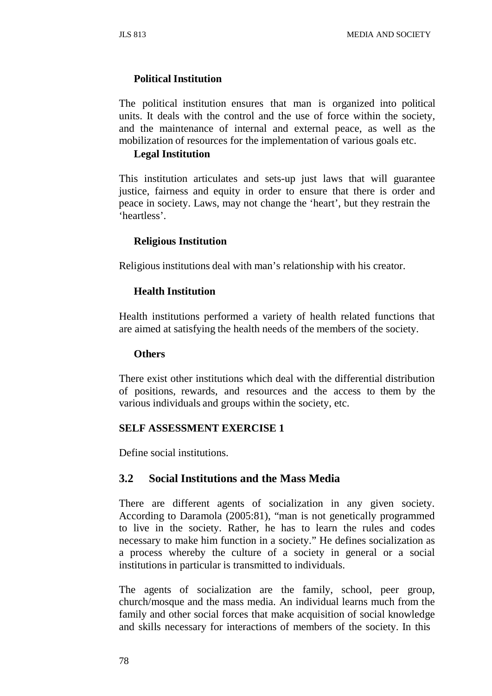### **Political Institution**

The political institution ensures that man is organized into political units. It deals with the control and the use of force within the society, and the maintenance of internal and external peace, as well as the mobilization of resources for the implementation of various goals etc.

#### **Legal Institution**

This institution articulates and sets-up just laws that will guarantee justice, fairness and equity in order to ensure that there is order and peace in society. Laws, may not change the 'heart', but they restrain the 'heartless'.

#### **Religious Institution**

Religious institutions deal with man's relationship with his creator.

#### **Health Institution**

Health institutions performed a variety of health related functions that are aimed at satisfying the health needs of the members of the society.

#### **Others**

There exist other institutions which deal with the differential distribution of positions, rewards, and resources and the access to them by the various individuals and groups within the society, etc.

#### **SELF ASSESSMENT EXERCISE 1**

Define social institutions.

### **3.2 Social Institutions and the Mass Media**

There are different agents of socialization in any given society. According to Daramola (2005:81), "man is not genetically programmed to live in the society. Rather, he has to learn the rules and codes necessary to make him function in a society." He defines socialization as a process whereby the culture of a society in general or a social institutions in particular is transmitted to individuals.

The agents of socialization are the family, school, peer group, church/mosque and the mass media. An individual learns much from the family and other social forces that make acquisition of social knowledge and skills necessary for interactions of members of the society. In this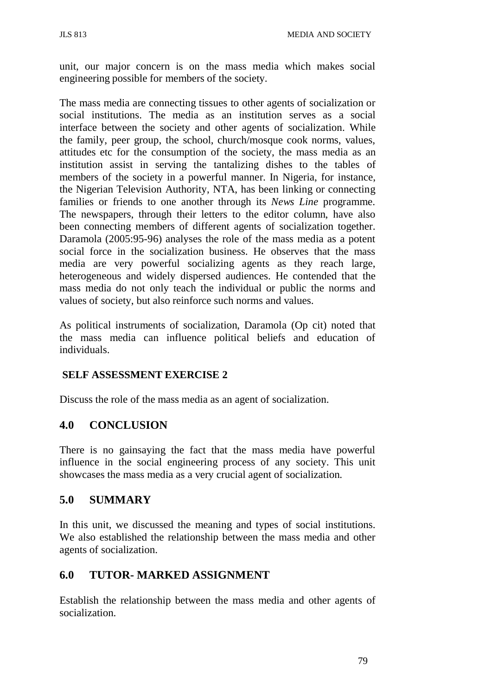unit, our major concern is on the mass media which makes social engineering possible for members of the society.

The mass media are connecting tissues to other agents of socialization or social institutions. The media as an institution serves as a social interface between the society and other agents of socialization. While the family, peer group, the school, church/mosque cook norms, values, attitudes etc for the consumption of the society, the mass media as an institution assist in serving the tantalizing dishes to the tables of members of the society in a powerful manner. In Nigeria, for instance, the Nigerian Television Authority, NTA, has been linking or connecting families or friends to one another through its *News Line* programme. The newspapers, through their letters to the editor column, have also been connecting members of different agents of socialization together. Daramola (2005:95-96) analyses the role of the mass media as a potent social force in the socialization business. He observes that the mass media are very powerful socializing agents as they reach large, heterogeneous and widely dispersed audiences. He contended that the mass media do not only teach the individual or public the norms and values of society, but also reinforce such norms and values.

As political instruments of socialization, Daramola (Op cit) noted that the mass media can influence political beliefs and education of individuals.

### **SELF ASSESSMENT EXERCISE 2**

Discuss the role of the mass media as an agent of socialization.

# **4.0 CONCLUSION**

There is no gainsaying the fact that the mass media have powerful influence in the social engineering process of any society. This unit showcases the mass media as a very crucial agent of socialization.

### **5.0 SUMMARY**

In this unit, we discussed the meaning and types of social institutions. We also established the relationship between the mass media and other agents of socialization.

# **6.0 TUTOR- MARKED ASSIGNMENT**

Establish the relationship between the mass media and other agents of socialization.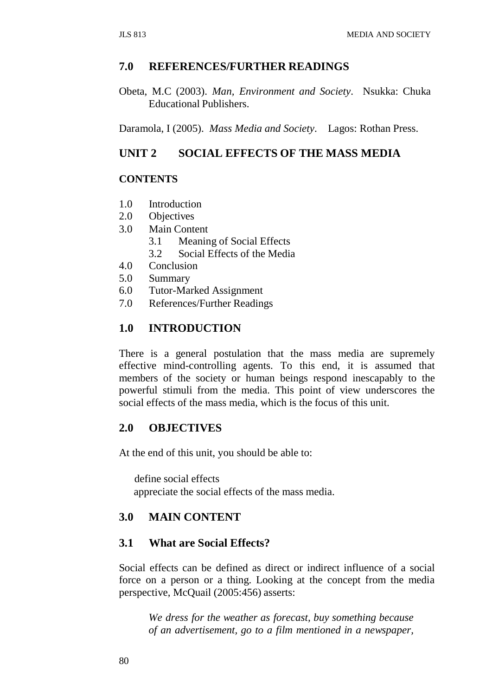### **7.0 REFERENCES/FURTHER READINGS**

Obeta, M.C (2003). *Man, Environment and Society*. Nsukka: Chuka Educational Publishers.

Daramola, I (2005). *Mass Media and Society*. Lagos: Rothan Press.

## **UNIT 2 SOCIAL EFFECTS OF THE MASS MEDIA**

### **CONTENTS**

- 1.0 Introduction
- 2.0 Objectives
- 3.0 Main Content
	- 3.1 Meaning of Social Effects
	- 3.2 Social Effects of the Media
- 4.0 Conclusion
- 5.0 Summary
- 6.0 Tutor-Marked Assignment
- 7.0 References/Further Readings

### **1.0 INTRODUCTION**

There is a general postulation that the mass media are supremely effective mind-controlling agents. To this end, it is assumed that members of the society or human beings respond inescapably to the powerful stimuli from the media. This point of view underscores the social effects of the mass media, which is the focus of this unit.

## **2.0 OBJECTIVES**

At the end of this unit, you should be able to:

define social effects appreciate the social effects of the mass media.

#### **3.0 MAIN CONTENT**

### **3.1 What are Social Effects?**

Social effects can be defined as direct or indirect influence of a social force on a person or a thing. Looking at the concept from the media perspective, McQuail (2005:456) asserts:

*We dress for the weather as forecast, buy something because of an advertisement, go to a film mentioned in a newspaper,*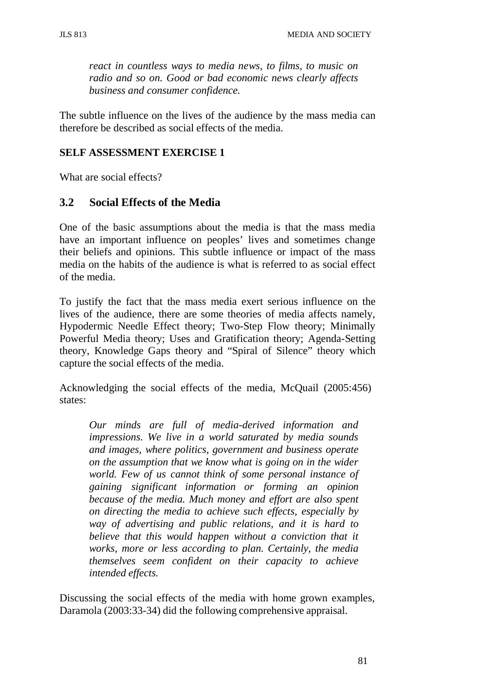*react in countless ways to media news, to films, to music on radio and so on. Good or bad economic news clearly affects business and consumer confidence.*

The subtle influence on the lives of the audience by the mass media can therefore be described as social effects of the media.

#### **SELF ASSESSMENT EXERCISE 1**

What are social effects?

### **3.2 Social Effects of the Media**

One of the basic assumptions about the media is that the mass media have an important influence on peoples' lives and sometimes change their beliefs and opinions. This subtle influence or impact of the mass media on the habits of the audience is what is referred to as social effect of the media.

To justify the fact that the mass media exert serious influence on the lives of the audience, there are some theories of media affects namely, Hypodermic Needle Effect theory; Two-Step Flow theory; Minimally Powerful Media theory; Uses and Gratification theory; Agenda-Setting theory, Knowledge Gaps theory and "Spiral of Silence" theory which capture the social effects of the media.

Acknowledging the social effects of the media, McQuail (2005:456) states:

*Our minds are full of media-derived information and impressions. We live in a world saturated by media sounds and images, where politics, government and business operate on the assumption that we know what is going on in the wider world. Few of us cannot think of some personal instance of gaining significant information or forming an opinion because of the media. Much money and effort are also spent on directing the media to achieve such effects, especially by way of advertising and public relations, and it is hard to believe that this would happen without a conviction that it works, more or less according to plan. Certainly, the media themselves seem confident on their capacity to achieve intended effects.*

Discussing the social effects of the media with home grown examples, Daramola (2003:33-34) did the following comprehensive appraisal.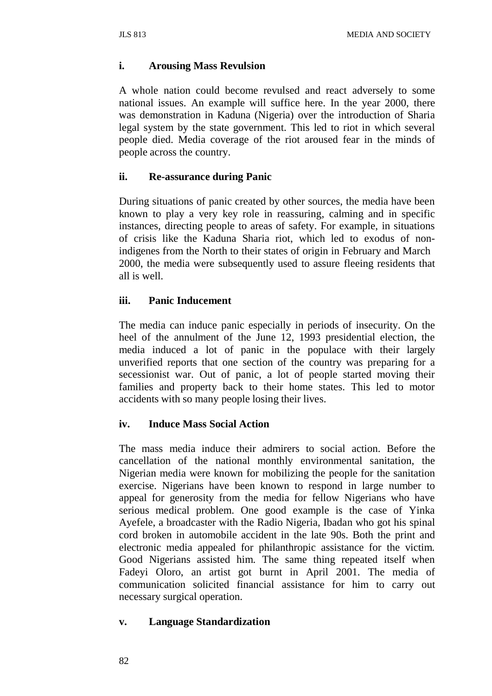#### **i. Arousing Mass Revulsion**

A whole nation could become revulsed and react adversely to some national issues. An example will suffice here. In the year 2000, there was demonstration in Kaduna (Nigeria) over the introduction of Sharia legal system by the state government. This led to riot in which several people died. Media coverage of the riot aroused fear in the minds of people across the country.

#### **ii. Re-assurance during Panic**

During situations of panic created by other sources, the media have been known to play a very key role in reassuring, calming and in specific instances, directing people to areas of safety. For example, in situations of crisis like the Kaduna Sharia riot, which led to exodus of nonindigenes from the North to their states of origin in February and March 2000, the media were subsequently used to assure fleeing residents that all is well.

### **iii. Panic Inducement**

The media can induce panic especially in periods of insecurity. On the heel of the annulment of the June 12, 1993 presidential election, the media induced a lot of panic in the populace with their largely unverified reports that one section of the country was preparing for a secessionist war. Out of panic, a lot of people started moving their families and property back to their home states. This led to motor accidents with so many people losing their lives.

### **iv. Induce Mass Social Action**

The mass media induce their admirers to social action. Before the cancellation of the national monthly environmental sanitation, the Nigerian media were known for mobilizing the people for the sanitation exercise. Nigerians have been known to respond in large number to appeal for generosity from the media for fellow Nigerians who have serious medical problem. One good example is the case of Yinka Ayefele, a broadcaster with the Radio Nigeria, Ibadan who got his spinal cord broken in automobile accident in the late 90s. Both the print and electronic media appealed for philanthropic assistance for the victim. Good Nigerians assisted him. The same thing repeated itself when Fadeyi Oloro, an artist got burnt in April 2001. The media of communication solicited financial assistance for him to carry out necessary surgical operation.

#### **v. Language Standardization**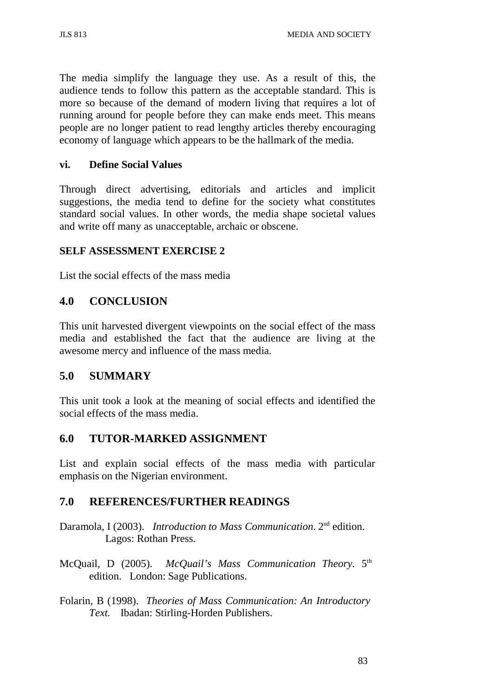The media simplify the language they use. As a result of this, the audience tends to follow this pattern as the acceptable standard. This is more so because of the demand of modern living that requires a lot of running around for people before they can make ends meet. This means people are no longer patient to read lengthy articles thereby encouraging economy of language which appears to be the hallmark of the media.

#### **vi. Define Social Values**

Through direct advertising, editorials and articles and implicit suggestions, the media tend to define for the society what constitutes standard social values. In other words, the media shape societal values and write off many as unacceptable, archaic or obscene.

#### **SELF ASSESSMENT EXERCISE 2**

List the social effects of the mass media

## **4.0 CONCLUSION**

This unit harvested divergent viewpoints on the social effect of the mass media and established the fact that the audience are living at the awesome mercy and influence of the mass media.

### **5.0 SUMMARY**

This unit took a look at the meaning of social effects and identified the social effects of the mass media.

### **6.0 TUTOR-MARKED ASSIGNMENT**

List and explain social effects of the mass media with particular emphasis on the Nigerian environment.

### **7.0 REFERENCES/FURTHER READINGS**

- Daramola, I (2003). *Introduction to Mass Communication*. 2nd edition. Lagos: Rothan Press.
- McQuail, D (2005). *McQuail's Mass Communication Theory.* 5th edition. London: Sage Publications.
- Folarin, B (1998). *Theories of Mass Communication: An Introductory Text.* Ibadan: Stirling-Horden Publishers.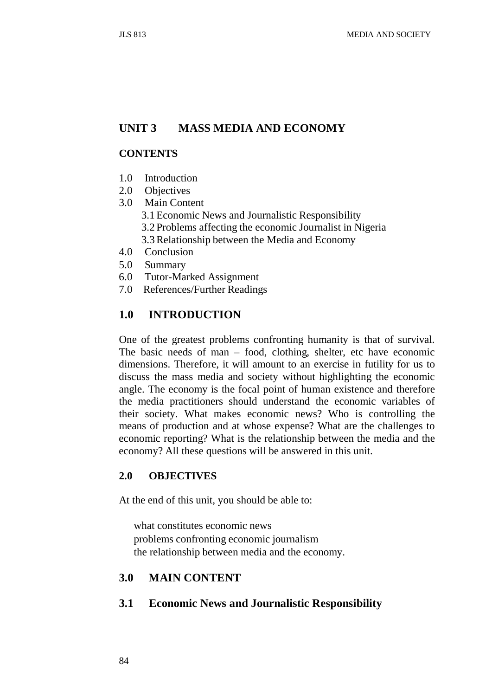### **UNIT 3 MASS MEDIA AND ECONOMY**

#### **CONTENTS**

- 1.0 Introduction
- 2.0 Objectives
- 3.0 Main Content
	- 3.1Economic News and Journalistic Responsibility
	- 3.2 Problems affecting the economic Journalist in Nigeria
	- 3.3Relationship between the Media and Economy
- 4.0 Conclusion
- 5.0 Summary
- 6.0 Tutor-Marked Assignment
- 7.0 References/Further Readings

### **1.0 INTRODUCTION**

One of the greatest problems confronting humanity is that of survival. The basic needs of man – food, clothing, shelter, etc have economic dimensions. Therefore, it will amount to an exercise in futility for us to discuss the mass media and society without highlighting the economic angle. The economy is the focal point of human existence and therefore the media practitioners should understand the economic variables of their society. What makes economic news? Who is controlling the means of production and at whose expense? What are the challenges to economic reporting? What is the relationship between the media and the economy? All these questions will be answered in this unit.

### **2.0 OBJECTIVES**

At the end of this unit, you should be able to:

what constitutes economic news problems confronting economic journalism the relationship between media and the economy.

#### **3.0 MAIN CONTENT**

#### **3.1 Economic News and Journalistic Responsibility**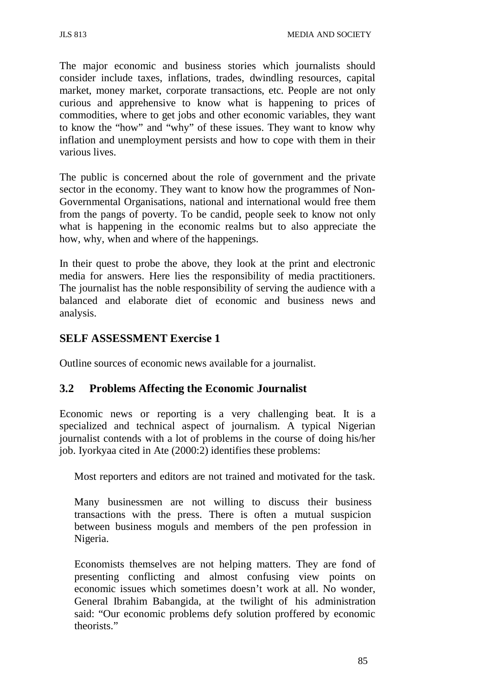The major economic and business stories which journalists should consider include taxes, inflations, trades, dwindling resources, capital market, money market, corporate transactions, etc. People are not only curious and apprehensive to know what is happening to prices of commodities, where to get jobs and other economic variables, they want to know the "how" and "why" of these issues. They want to know why inflation and unemployment persists and how to cope with them in their various lives.

The public is concerned about the role of government and the private sector in the economy. They want to know how the programmes of Non-Governmental Organisations, national and international would free them from the pangs of poverty. To be candid, people seek to know not only what is happening in the economic realms but to also appreciate the how, why, when and where of the happenings.

In their quest to probe the above, they look at the print and electronic media for answers. Here lies the responsibility of media practitioners. The journalist has the noble responsibility of serving the audience with a balanced and elaborate diet of economic and business news and analysis.

# **SELF ASSESSMENT Exercise 1**

Outline sources of economic news available for a journalist.

# **3.2 Problems Affecting the Economic Journalist**

Economic news or reporting is a very challenging beat. It is a specialized and technical aspect of journalism. A typical Nigerian journalist contends with a lot of problems in the course of doing his/her job. Iyorkyaa cited in Ate (2000:2) identifies these problems:

Most reporters and editors are not trained and motivated for the task.

Many businessmen are not willing to discuss their business transactions with the press. There is often a mutual suspicion between business moguls and members of the pen profession in Nigeria.

Economists themselves are not helping matters. They are fond of presenting conflicting and almost confusing view points on economic issues which sometimes doesn't work at all. No wonder, General Ibrahim Babangida, at the twilight of his administration said: "Our economic problems defy solution proffered by economic theorists."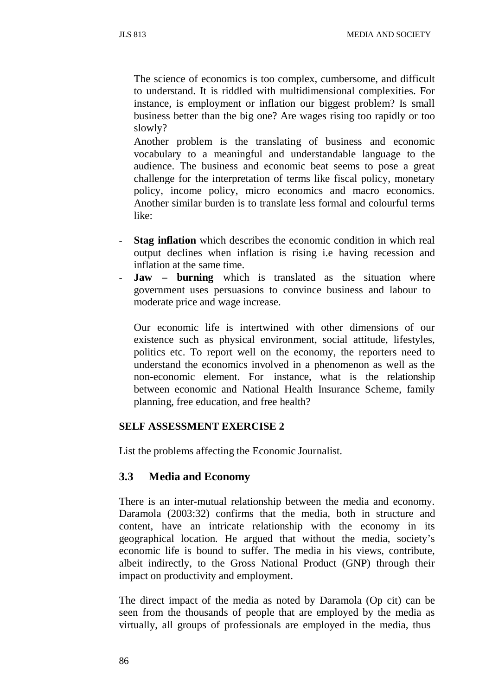The science of economics is too complex, cumbersome, and difficult to understand. It is riddled with multidimensional complexities. For instance, is employment or inflation our biggest problem? Is small business better than the big one? Are wages rising too rapidly or too slowly?

Another problem is the translating of business and economic vocabulary to a meaningful and understandable language to the audience. The business and economic beat seems to pose a great challenge for the interpretation of terms like fiscal policy, monetary policy, income policy, micro economics and macro economics. Another similar burden is to translate less formal and colourful terms like:

- **Stag inflation** which describes the economic condition in which real output declines when inflation is rising i.e having recession and inflation at the same time.
- **Jaw burning** which is translated as the situation where government uses persuasions to convince business and labour to moderate price and wage increase.

Our economic life is intertwined with other dimensions of our existence such as physical environment, social attitude, lifestyles, politics etc. To report well on the economy, the reporters need to understand the economics involved in a phenomenon as well as the non-economic element. For instance, what is the relationship between economic and National Health Insurance Scheme, family planning, free education, and free health?

#### **SELF ASSESSMENT EXERCISE 2**

List the problems affecting the Economic Journalist.

### **3.3 Media and Economy**

There is an inter-mutual relationship between the media and economy. Daramola (2003:32) confirms that the media, both in structure and content, have an intricate relationship with the economy in its geographical location. He argued that without the media, society's economic life is bound to suffer. The media in his views, contribute, albeit indirectly, to the Gross National Product (GNP) through their impact on productivity and employment.

The direct impact of the media as noted by Daramola (Op cit) can be seen from the thousands of people that are employed by the media as virtually, all groups of professionals are employed in the media, thus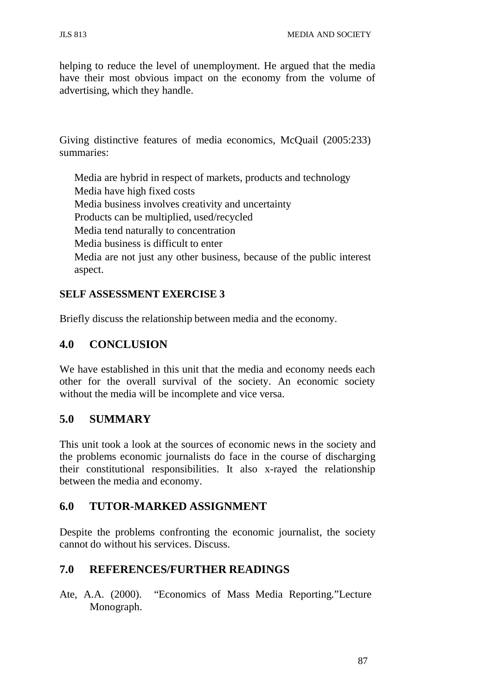helping to reduce the level of unemployment. He argued that the media have their most obvious impact on the economy from the volume of advertising, which they handle.

Giving distinctive features of media economics, McQuail (2005:233) summaries:

Media are hybrid in respect of markets, products and technology Media have high fixed costs Media business involves creativity and uncertainty Products can be multiplied, used/recycled Media tend naturally to concentration Media business is difficult to enter Media are not just any other business, because of the public interest aspect.

### **SELF ASSESSMENT EXERCISE 3**

Briefly discuss the relationship between media and the economy.

# **4.0 CONCLUSION**

We have established in this unit that the media and economy needs each other for the overall survival of the society. An economic society without the media will be incomplete and vice versa.

# **5.0 SUMMARY**

This unit took a look at the sources of economic news in the society and the problems economic journalists do face in the course of discharging their constitutional responsibilities. It also x-rayed the relationship between the media and economy.

# **6.0 TUTOR-MARKED ASSIGNMENT**

Despite the problems confronting the economic journalist, the society cannot do without his services. Discuss.

# **7.0 REFERENCES/FURTHER READINGS**

Ate, A.A. (2000). "Economics of Mass Media Reporting."Lecture Monograph.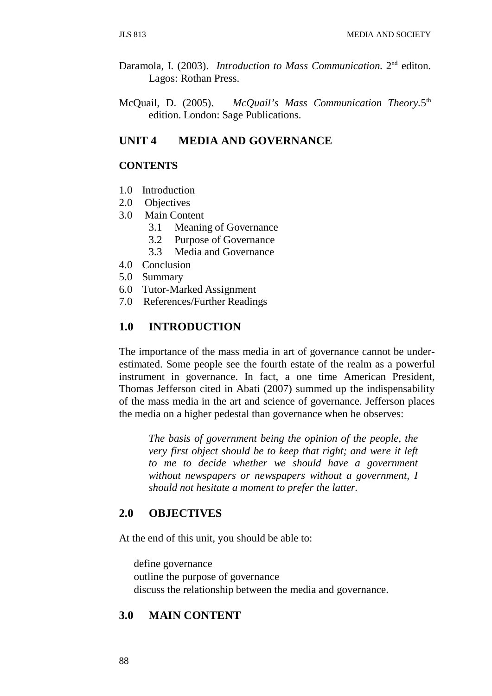- Daramola, I. (2003). *Introduction to Mass Communication.* 2nd editon. Lagos: Rothan Press.
- McQuail, D. (2005). *McQuail's Mass Communication Theory.*5th edition. London: Sage Publications.

### **UNIT 4 MEDIA AND GOVERNANCE**

#### **CONTENTS**

- 1.0 Introduction
- 2.0 Objectives
- 3.0 Main Content
	- 3.1 Meaning of Governance
	- 3.2 Purpose of Governance
	- 3.3 Media and Governance
- 4.0 Conclusion
- 5.0 Summary
- 6.0 Tutor-Marked Assignment
- 7.0 References/Further Readings

#### **1.0 INTRODUCTION**

The importance of the mass media in art of governance cannot be underestimated. Some people see the fourth estate of the realm as a powerful instrument in governance. In fact, a one time American President, Thomas Jefferson cited in Abati (2007) summed up the indispensability of the mass media in the art and science of governance. Jefferson places the media on a higher pedestal than governance when he observes:

*The basis of government being the opinion of the people, the very first object should be to keep that right; and were it left to me to decide whether we should have a government without newspapers or newspapers without a government, I should not hesitate a moment to prefer the latter.*

#### **2.0 OBJECTIVES**

At the end of this unit, you should be able to:

define governance outline the purpose of governance discuss the relationship between the media and governance.

#### **3.0 MAIN CONTENT**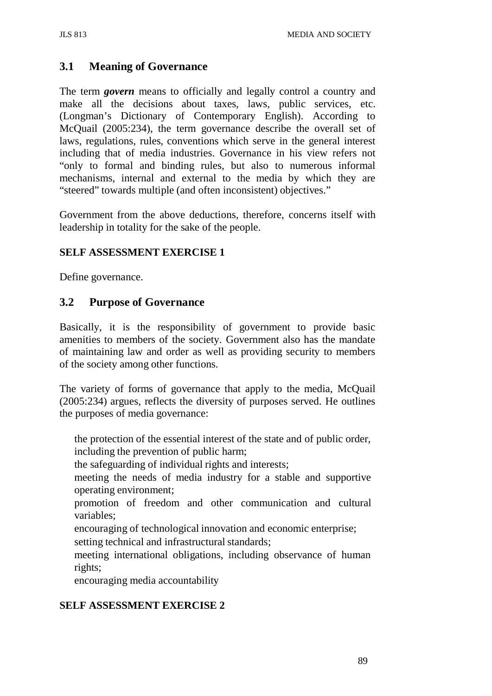# **3.1 Meaning of Governance**

The term *govern* means to officially and legally control a country and make all the decisions about taxes, laws, public services, etc. (Longman's Dictionary of Contemporary English). According to McQuail (2005:234), the term governance describe the overall set of laws, regulations, rules, conventions which serve in the general interest including that of media industries. Governance in his view refers not "only to formal and binding rules, but also to numerous informal mechanisms, internal and external to the media by which they are "steered" towards multiple (and often inconsistent) objectives."

Government from the above deductions, therefore, concerns itself with leadership in totality for the sake of the people.

### **SELF ASSESSMENT EXERCISE 1**

Define governance.

## **3.2 Purpose of Governance**

Basically, it is the responsibility of government to provide basic amenities to members of the society. Government also has the mandate of maintaining law and order as well as providing security to members of the society among other functions.

The variety of forms of governance that apply to the media, McQuail (2005:234) argues, reflects the diversity of purposes served. He outlines the purposes of media governance:

the protection of the essential interest of the state and of public order, including the prevention of public harm;

the safeguarding of individual rights and interests;

meeting the needs of media industry for a stable and supportive operating environment;

promotion of freedom and other communication and cultural variables;

encouraging of technological innovation and economic enterprise;

setting technical and infrastructural standards;

meeting international obligations, including observance of human rights;

encouraging media accountability

# **SELF ASSESSMENT EXERCISE 2**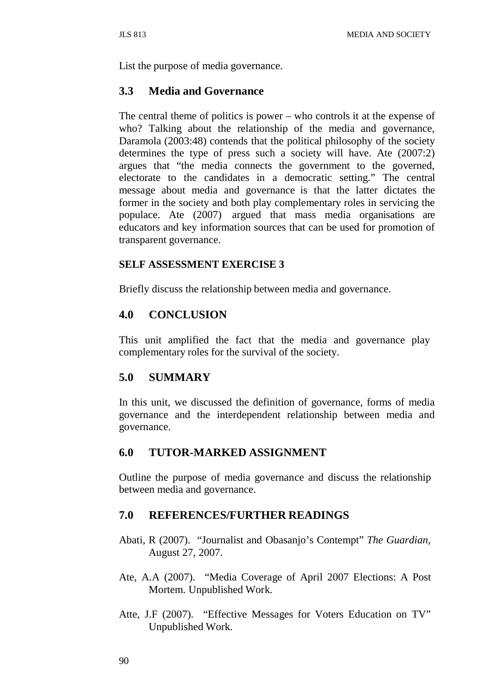List the purpose of media governance.

### **3.3 Media and Governance**

The central theme of politics is power – who controls it at the expense of who? Talking about the relationship of the media and governance, Daramola (2003:48) contends that the political philosophy of the society determines the type of press such a society will have. Ate (2007:2) argues that "the media connects the government to the governed, electorate to the candidates in a democratic setting." The central message about media and governance is that the latter dictates the former in the society and both play complementary roles in servicing the populace. Ate (2007) argued that mass media organisations are educators and key information sources that can be used for promotion of transparent governance.

#### **SELF ASSESSMENT EXERCISE 3**

Briefly discuss the relationship between media and governance.

### **4.0 CONCLUSION**

This unit amplified the fact that the media and governance play complementary roles for the survival of the society.

## **5.0 SUMMARY**

In this unit, we discussed the definition of governance, forms of media governance and the interdependent relationship between media and governance.

### **6.0 TUTOR-MARKED ASSIGNMENT**

Outline the purpose of media governance and discuss the relationship between media and governance.

### **7.0 REFERENCES/FURTHER READINGS**

- Abati, R (2007). "Journalist and Obasanjo's Contempt" *The Guardian,* August 27, 2007.
- Ate, A.A (2007). "Media Coverage of April 2007 Elections: A Post Mortem. Unpublished Work.
- Atte, J.F (2007). "Effective Messages for Voters Education on TV" Unpublished Work.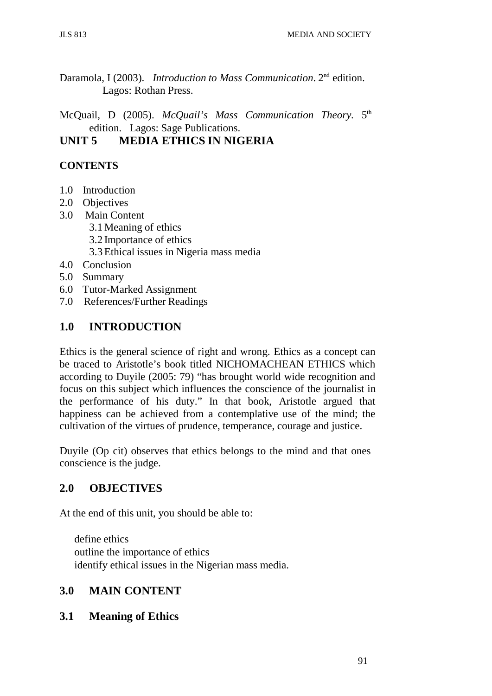Daramola, I (2003). *Introduction to Mass Communication*. 2nd edition. Lagos: Rothan Press.

McQuail, D (2005). *McQuail's Mass Communication Theory.* 5th edition. Lagos: Sage Publications.

# **UNIT 5 MEDIA ETHICS IN NIGERIA**

# **CONTENTS**

- 1.0 Introduction
- 2.0 Objectives
- 3.0 Main Content
	- 3.1Meaning of ethics
	- 3.2 Importance of ethics
	- 3.3Ethical issues in Nigeria mass media
- 4.0 Conclusion
- 5.0 Summary
- 6.0 Tutor-Marked Assignment
- 7.0 References/Further Readings

# **1.0 INTRODUCTION**

Ethics is the general science of right and wrong. Ethics as a concept can be traced to Aristotle's book titled NICHOMACHEAN ETHICS which according to Duyile (2005: 79) "has brought world wide recognition and focus on this subject which influences the conscience of the journalist in the performance of his duty." In that book, Aristotle argued that happiness can be achieved from a contemplative use of the mind; the cultivation of the virtues of prudence, temperance, courage and justice.

Duyile (Op cit) observes that ethics belongs to the mind and that ones conscience is the judge.

### **2.0 OBJECTIVES**

At the end of this unit, you should be able to:

define ethics outline the importance of ethics identify ethical issues in the Nigerian mass media.

# **3.0 MAIN CONTENT**

### **3.1 Meaning of Ethics**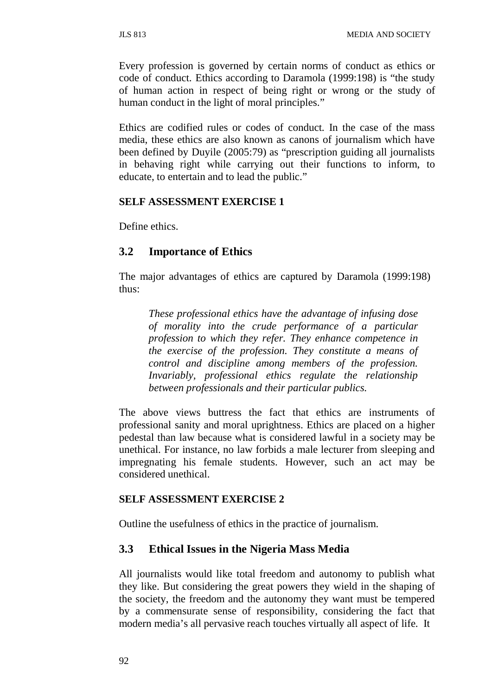Every profession is governed by certain norms of conduct as ethics or code of conduct. Ethics according to Daramola (1999:198) is "the study of human action in respect of being right or wrong or the study of human conduct in the light of moral principles."

Ethics are codified rules or codes of conduct. In the case of the mass media, these ethics are also known as canons of journalism which have been defined by Duyile (2005:79) as "prescription guiding all journalists in behaving right while carrying out their functions to inform, to educate, to entertain and to lead the public."

#### **SELF ASSESSMENT EXERCISE 1**

Define ethics.

### **3.2 Importance of Ethics**

The major advantages of ethics are captured by Daramola (1999:198) thus:

*These professional ethics have the advantage of infusing dose of morality into the crude performance of a particular profession to which they refer. They enhance competence in the exercise of the profession. They constitute a means of control and discipline among members of the profession. Invariably, professional ethics regulate the relationship between professionals and their particular publics.*

The above views buttress the fact that ethics are instruments of professional sanity and moral uprightness. Ethics are placed on a higher pedestal than law because what is considered lawful in a society may be unethical. For instance, no law forbids a male lecturer from sleeping and impregnating his female students. However, such an act may be considered unethical.

#### **SELF ASSESSMENT EXERCISE 2**

Outline the usefulness of ethics in the practice of journalism.

### **3.3 Ethical Issues in the Nigeria Mass Media**

All journalists would like total freedom and autonomy to publish what they like. But considering the great powers they wield in the shaping of the society, the freedom and the autonomy they want must be tempered by a commensurate sense of responsibility, considering the fact that modern media's all pervasive reach touches virtually all aspect of life. It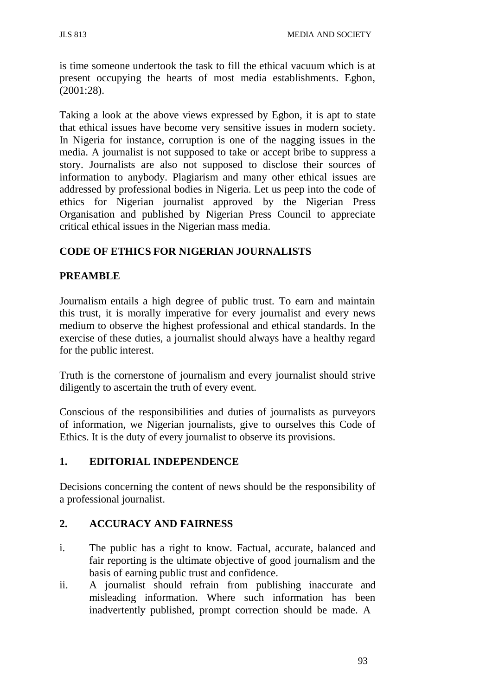is time someone undertook the task to fill the ethical vacuum which is at present occupying the hearts of most media establishments. Egbon, (2001:28).

Taking a look at the above views expressed by Egbon, it is apt to state that ethical issues have become very sensitive issues in modern society. In Nigeria for instance, corruption is one of the nagging issues in the media. A journalist is not supposed to take or accept bribe to suppress a story. Journalists are also not supposed to disclose their sources of information to anybody. Plagiarism and many other ethical issues are addressed by professional bodies in Nigeria. Let us peep into the code of ethics for Nigerian journalist approved by the Nigerian Press Organisation and published by Nigerian Press Council to appreciate critical ethical issues in the Nigerian mass media.

# **CODE OF ETHICS FOR NIGERIAN JOURNALISTS**

## **PREAMBLE**

Journalism entails a high degree of public trust. To earn and maintain this trust, it is morally imperative for every journalist and every news medium to observe the highest professional and ethical standards. In the exercise of these duties, a journalist should always have a healthy regard for the public interest.

Truth is the cornerstone of journalism and every journalist should strive diligently to ascertain the truth of every event.

Conscious of the responsibilities and duties of journalists as purveyors of information, we Nigerian journalists, give to ourselves this Code of Ethics. It is the duty of every journalist to observe its provisions.

### **1. EDITORIAL INDEPENDENCE**

Decisions concerning the content of news should be the responsibility of a professional journalist.

### **2. ACCURACY AND FAIRNESS**

- i. The public has a right to know. Factual, accurate, balanced and fair reporting is the ultimate objective of good journalism and the basis of earning public trust and confidence.
- ii. A journalist should refrain from publishing inaccurate and misleading information. Where such information has been inadvertently published, prompt correction should be made. A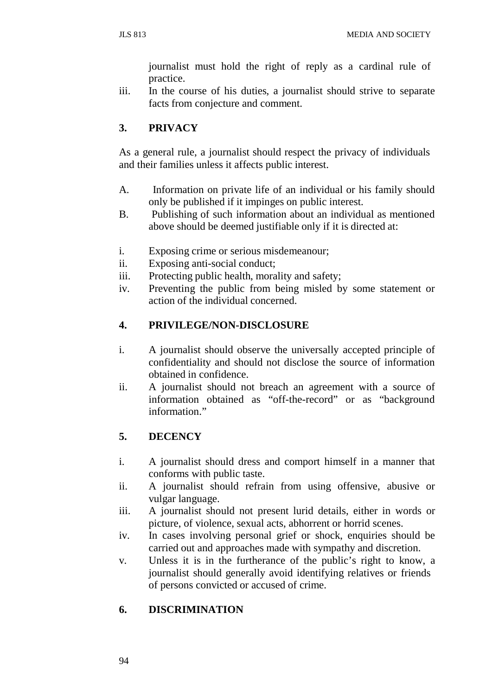journalist must hold the right of reply as a cardinal rule of practice.

iii. In the course of his duties, a journalist should strive to separate facts from conjecture and comment.

## **3. PRIVACY**

As a general rule, a journalist should respect the privacy of individuals and their families unless it affects public interest.

- A. Information on private life of an individual or his family should only be published if it impinges on public interest.
- B. Publishing of such information about an individual as mentioned above should be deemed justifiable only if it is directed at:
- i. Exposing crime or serious misdemeanour;
- ii. Exposing anti-social conduct;
- iii. Protecting public health, morality and safety;
- iv. Preventing the public from being misled by some statement or action of the individual concerned.

### **4. PRIVILEGE/NON-DISCLOSURE**

- i. A journalist should observe the universally accepted principle of confidentiality and should not disclose the source of information obtained in confidence.
- ii. A journalist should not breach an agreement with a source of information obtained as "off-the-record" or as "background information."

# **5. DECENCY**

- i. A journalist should dress and comport himself in a manner that conforms with public taste.
- ii. A journalist should refrain from using offensive, abusive or vulgar language.
- iii. A journalist should not present lurid details, either in words or picture, of violence, sexual acts, abhorrent or horrid scenes.
- iv. In cases involving personal grief or shock, enquiries should be carried out and approaches made with sympathy and discretion.
- v. Unless it is in the furtherance of the public's right to know, a journalist should generally avoid identifying relatives or friends of persons convicted or accused of crime.

### **6. DISCRIMINATION**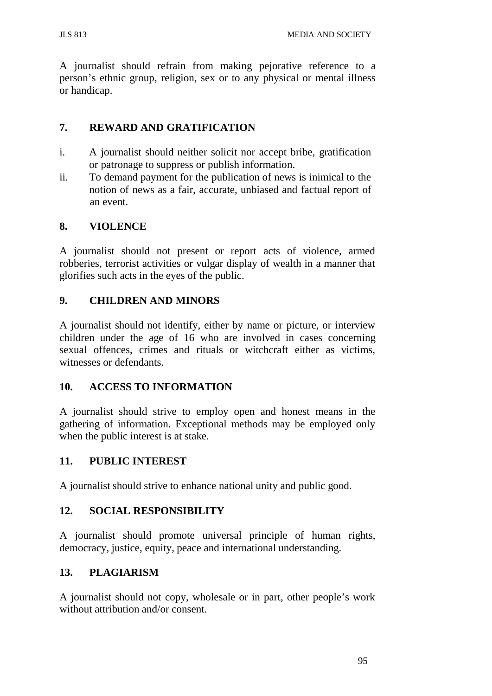JLS 813 MEDIA AND SOCIETY

A journalist should refrain from making pejorative reference to a person's ethnic group, religion, sex or to any physical or mental illness or handicap.

## **7. REWARD AND GRATIFICATION**

- i. A journalist should neither solicit nor accept bribe, gratification or patronage to suppress or publish information.
- ii. To demand payment for the publication of news is inimical to the notion of news as a fair, accurate, unbiased and factual report of an event.

## **8. VIOLENCE**

A journalist should not present or report acts of violence, armed robberies, terrorist activities or vulgar display of wealth in a manner that glorifies such acts in the eyes of the public.

## **9. CHILDREN AND MINORS**

A journalist should not identify, either by name or picture, or interview children under the age of 16 who are involved in cases concerning sexual offences, crimes and rituals or witchcraft either as victims, witnesses or defendants.

### **10. ACCESS TO INFORMATION**

A journalist should strive to employ open and honest means in the gathering of information. Exceptional methods may be employed only when the public interest is at stake.

### **11. PUBLIC INTEREST**

A journalist should strive to enhance national unity and public good.

### **12. SOCIAL RESPONSIBILITY**

A journalist should promote universal principle of human rights, democracy, justice, equity, peace and international understanding.

# **13. PLAGIARISM**

A journalist should not copy, wholesale or in part, other people's work without attribution and/or consent.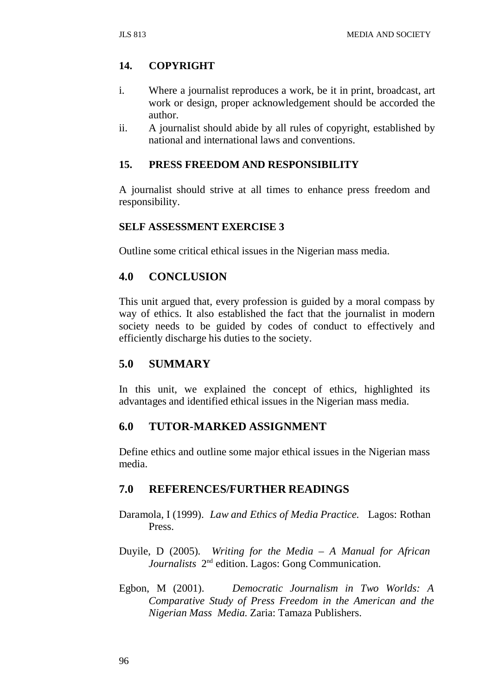# **14. COPYRIGHT**

- i. Where a journalist reproduces a work, be it in print, broadcast, art work or design, proper acknowledgement should be accorded the author.
- ii. A journalist should abide by all rules of copyright, established by national and international laws and conventions.

## **15. PRESS FREEDOM AND RESPONSIBILITY**

A journalist should strive at all times to enhance press freedom and responsibility.

### **SELF ASSESSMENT EXERCISE 3**

Outline some critical ethical issues in the Nigerian mass media.

## **4.0 CONCLUSION**

This unit argued that, every profession is guided by a moral compass by way of ethics. It also established the fact that the journalist in modern society needs to be guided by codes of conduct to effectively and efficiently discharge his duties to the society.

### **5.0 SUMMARY**

In this unit, we explained the concept of ethics, highlighted its advantages and identified ethical issues in the Nigerian mass media.

### **6.0 TUTOR-MARKED ASSIGNMENT**

Define ethics and outline some major ethical issues in the Nigerian mass media.

### **7.0 REFERENCES/FURTHER READINGS**

- Daramola, I (1999). *Law and Ethics of Media Practice.* Lagos: Rothan Press.
- Duyile, D (2005). *Writing for the Media – A Manual for African Journalists* 2nd edition. Lagos: Gong Communication.
- Egbon, M (2001). *Democratic Journalism in Two Worlds: A Comparative Study of Press Freedom in the American and the Nigerian Mass Media.* Zaria: Tamaza Publishers.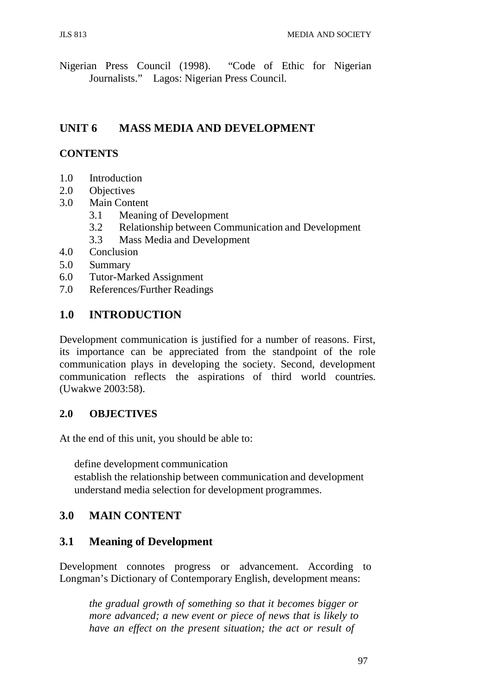Nigerian Press Council (1998). "Code of Ethic for Nigerian Journalists." Lagos: Nigerian Press Council.

# **UNIT 6 MASS MEDIA AND DEVELOPMENT**

### **CONTENTS**

- 1.0 Introduction
- 2.0 Objectives
- 3.0 Main Content
	- 3.1 Meaning of Development
	- 3.2 Relationship between Communication and Development
	- 3.3 Mass Media and Development
- 4.0 Conclusion
- 5.0 Summary
- 6.0 Tutor-Marked Assignment
- 7.0 References/Further Readings

### **1.0 INTRODUCTION**

Development communication is justified for a number of reasons. First, its importance can be appreciated from the standpoint of the role communication plays in developing the society. Second, development communication reflects the aspirations of third world countries. (Uwakwe 2003:58).

#### **2.0 OBJECTIVES**

At the end of this unit, you should be able to:

define development communication

establish the relationship between communication and development understand media selection for development programmes.

### **3.0 MAIN CONTENT**

### **3.1 Meaning of Development**

Development connotes progress or advancement. According to Longman's Dictionary of Contemporary English, development means:

*the gradual growth of something so that it becomes bigger or more advanced; a new event or piece of news that is likely to have an effect on the present situation; the act or result of*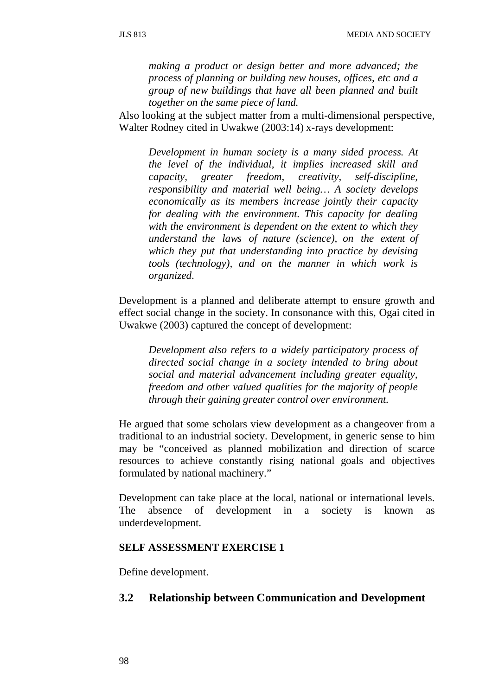*making a product or design better and more advanced; the process of planning or building new houses, offices, etc and a group of new buildings that have all been planned and built together on the same piece of land.*

Also looking at the subject matter from a multi-dimensional perspective, Walter Rodney cited in Uwakwe (2003:14) x-rays development:

*Development in human society is a many sided process. At the level of the individual, it implies increased skill and capacity, greater freedom, creativity, self-discipline, responsibility and material well being… A society develops economically as its members increase jointly their capacity for dealing with the environment. This capacity for dealing with the environment is dependent on the extent to which they understand the laws of nature (science), on the extent of which they put that understanding into practice by devising tools (technology), and on the manner in which work is organized*.

Development is a planned and deliberate attempt to ensure growth and effect social change in the society. In consonance with this, Ogai cited in Uwakwe (2003) captured the concept of development:

*Development also refers to a widely participatory process of directed social change in a society intended to bring about social and material advancement including greater equality, freedom and other valued qualities for the majority of people through their gaining greater control over environment.*

He argued that some scholars view development as a changeover from a traditional to an industrial society. Development, in generic sense to him may be "conceived as planned mobilization and direction of scarce resources to achieve constantly rising national goals and objectives formulated by national machinery."

Development can take place at the local, national or international levels. The absence of development in a society is known as underdevelopment.

#### **SELF ASSESSMENT EXERCISE 1**

Define development.

# **3.2 Relationship between Communication and Development**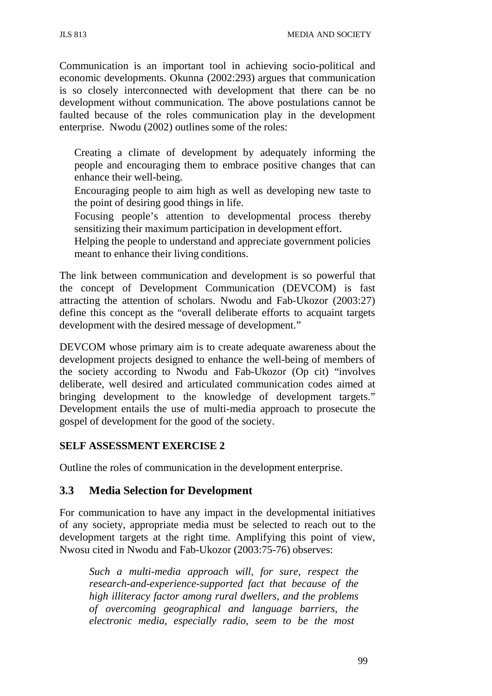Communication is an important tool in achieving socio-political and economic developments. Okunna (2002:293) argues that communication is so closely interconnected with development that there can be no development without communication. The above postulations cannot be faulted because of the roles communication play in the development enterprise. Nwodu (2002) outlines some of the roles:

Creating a climate of development by adequately informing the people and encouraging them to embrace positive changes that can enhance their well-being.

Encouraging people to aim high as well as developing new taste to the point of desiring good things in life.

Focusing people's attention to developmental process thereby sensitizing their maximum participation in development effort.

Helping the people to understand and appreciate government policies meant to enhance their living conditions.

The link between communication and development is so powerful that the concept of Development Communication (DEVCOM) is fast attracting the attention of scholars. Nwodu and Fab-Ukozor (2003:27) define this concept as the "overall deliberate efforts to acquaint targets development with the desired message of development."

DEVCOM whose primary aim is to create adequate awareness about the development projects designed to enhance the well-being of members of the society according to Nwodu and Fab-Ukozor (Op cit) "involves deliberate, well desired and articulated communication codes aimed at bringing development to the knowledge of development targets." Development entails the use of multi-media approach to prosecute the gospel of development for the good of the society.

### **SELF ASSESSMENT EXERCISE 2**

Outline the roles of communication in the development enterprise.

### **3.3 Media Selection for Development**

For communication to have any impact in the developmental initiatives of any society, appropriate media must be selected to reach out to the development targets at the right time. Amplifying this point of view, Nwosu cited in Nwodu and Fab-Ukozor (2003:75-76) observes:

*Such a multi-media approach will, for sure, respect the research-and-experience-supported fact that because of the high illiteracy factor among rural dwellers, and the problems of overcoming geographical and language barriers, the electronic media, especially radio, seem to be the most*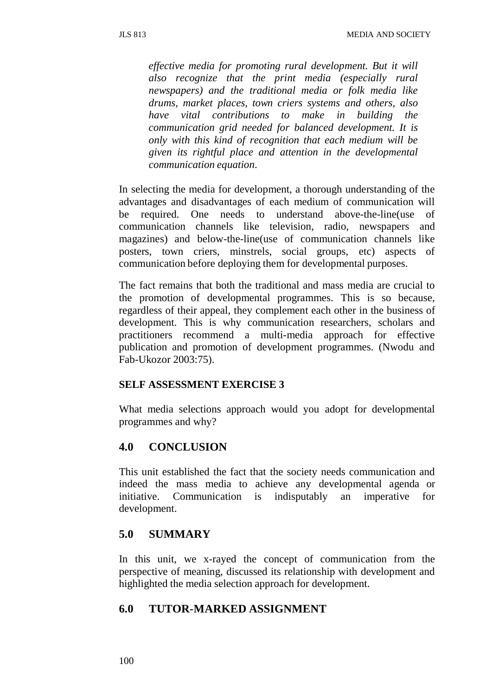*effective media for promoting rural development. But it will also recognize that the print media (especially rural newspapers) and the traditional media or folk media like drums, market places, town criers systems and others, also have vital contributions to make in building the communication grid needed for balanced development. It is only with this kind of recognition that each medium will be given its rightful place and attention in the developmental communication equation*.

In selecting the media for development, a thorough understanding of the advantages and disadvantages of each medium of communication will be required. One needs to understand above-the-line(use of communication channels like television, radio, newspapers and magazines) and below-the-line(use of communication channels like posters, town criers, minstrels, social groups, etc) aspects of communication before deploying them for developmental purposes.

The fact remains that both the traditional and mass media are crucial to the promotion of developmental programmes. This is so because, regardless of their appeal, they complement each other in the business of development. This is why communication researchers, scholars and practitioners recommend a multi-media approach for effective publication and promotion of development programmes. (Nwodu and Fab-Ukozor 2003:75).

#### **SELF ASSESSMENT EXERCISE 3**

What media selections approach would you adopt for developmental programmes and why?

# **4.0 CONCLUSION**

This unit established the fact that the society needs communication and indeed the mass media to achieve any developmental agenda or initiative. Communication is indisputably an imperative for development.

# **5.0 SUMMARY**

In this unit, we x-rayed the concept of communication from the perspective of meaning, discussed its relationship with development and highlighted the media selection approach for development.

# **6.0 TUTOR-MARKED ASSIGNMENT**